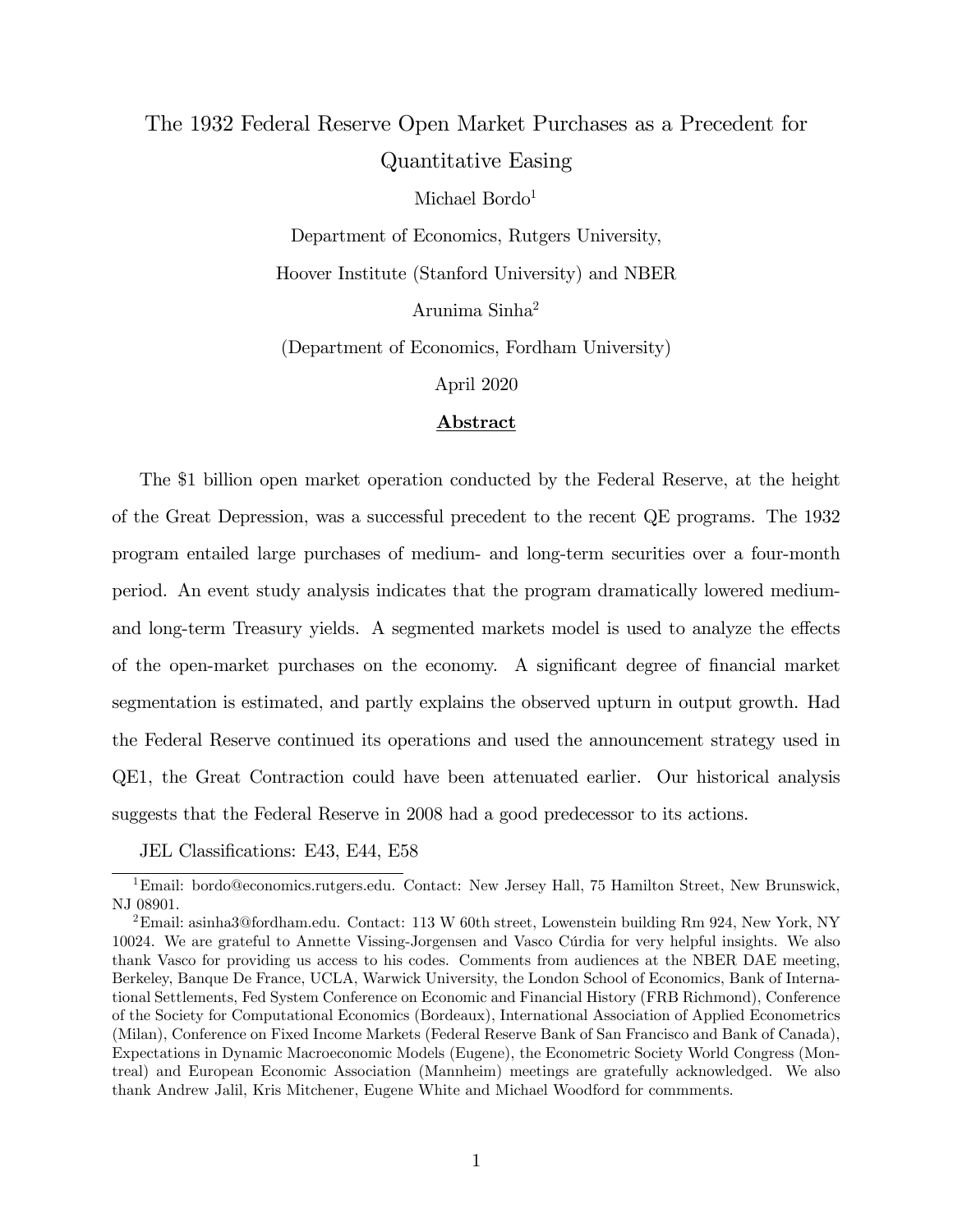# The 1932 Federal Reserve Open Market Purchases as a Precedent for Quantitative Easing

Michael Bordo<sup>1</sup>

Department of Economics, Rutgers University, Hoover Institute (Stanford University) and NBER Arunima Sinha<sup>2</sup>

(Department of Economics, Fordham University)

April 2020

#### Abstract

The \$1 billion open market operation conducted by the Federal Reserve, at the height of the Great Depression, was a successful precedent to the recent QE programs. The 1932 program entailed large purchases of medium- and long-term securities over a four-month period. An event study analysis indicates that the program dramatically lowered mediumand long-term Treasury yields. A segmented markets model is used to analyze the effects of the open-market purchases on the economy. A significant degree of financial market segmentation is estimated, and partly explains the observed upturn in output growth. Had the Federal Reserve continued its operations and used the announcement strategy used in QE1, the Great Contraction could have been attenuated earlier. Our historical analysis suggests that the Federal Reserve in 2008 had a good predecessor to its actions.

JEL Classifications: E43, E44, E58

<sup>&</sup>lt;sup>1</sup>Email: bordo@economics.rutgers.edu. Contact: New Jersey Hall, 75 Hamilton Street, New Brunswick, NJ 08901.

<sup>2</sup>Email: asinha3@fordham.edu. Contact: 113 W 60th street, Lowenstein building Rm 924, New York, NY 10024. We are grateful to Annette Vissing-Jorgensen and Vasco C˙rdia for very helpful insights. We also thank Vasco for providing us access to his codes. Comments from audiences at the NBER DAE meeting, Berkeley, Banque De France, UCLA, Warwick University, the London School of Economics, Bank of International Settlements, Fed System Conference on Economic and Financial History (FRB Richmond), Conference of the Society for Computational Economics (Bordeaux), International Association of Applied Econometrics (Milan), Conference on Fixed Income Markets (Federal Reserve Bank of San Francisco and Bank of Canada), Expectations in Dynamic Macroeconomic Models (Eugene), the Econometric Society World Congress (Montreal) and European Economic Association (Mannheim) meetings are gratefully acknowledged. We also thank Andrew Jalil, Kris Mitchener, Eugene White and Michael Woodford for commments.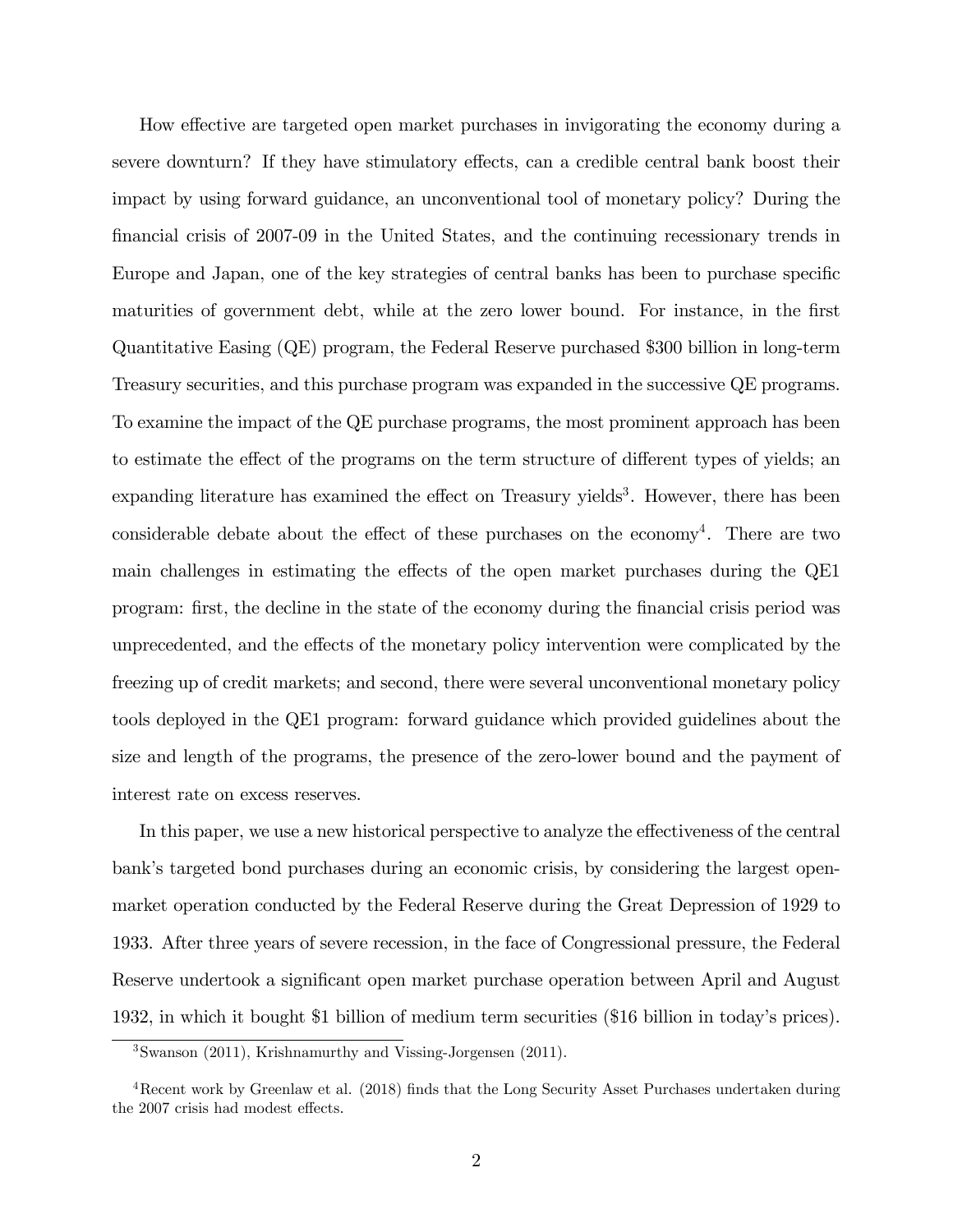How effective are targeted open market purchases in invigorating the economy during a severe downturn? If they have stimulatory effects, can a credible central bank boost their impact by using forward guidance, an unconventional tool of monetary policy? During the Önancial crisis of 2007-09 in the United States, and the continuing recessionary trends in Europe and Japan, one of the key strategies of central banks has been to purchase specific maturities of government debt, while at the zero lower bound. For instance, in the first Quantitative Easing (QE) program, the Federal Reserve purchased \$300 billion in long-term Treasury securities, and this purchase program was expanded in the successive QE programs. To examine the impact of the QE purchase programs, the most prominent approach has been to estimate the effect of the programs on the term structure of different types of yields; an expanding literature has examined the effect on Treasury yields<sup>3</sup>. However, there has been considerable debate about the effect of these purchases on the economy<sup>4</sup>. There are two main challenges in estimating the effects of the open market purchases during the QE1 program: Örst, the decline in the state of the economy during the Önancial crisis period was unprecedented, and the effects of the monetary policy intervention were complicated by the freezing up of credit markets; and second, there were several unconventional monetary policy tools deployed in the QE1 program: forward guidance which provided guidelines about the size and length of the programs, the presence of the zero-lower bound and the payment of interest rate on excess reserves.

In this paper, we use a new historical perspective to analyze the effectiveness of the central bank's targeted bond purchases during an economic crisis, by considering the largest openmarket operation conducted by the Federal Reserve during the Great Depression of 1929 to 1933. After three years of severe recession, in the face of Congressional pressure, the Federal Reserve undertook a significant open market purchase operation between April and August 1932, in which it bought \$1 billion of medium term securities (\$16 billion in todayís prices).

<sup>3</sup>Swanson (2011), Krishnamurthy and Vissing-Jorgensen (2011).

 $4$ Recent work by Greenlaw et al. (2018) finds that the Long Security Asset Purchases undertaken during the 2007 crisis had modest effects.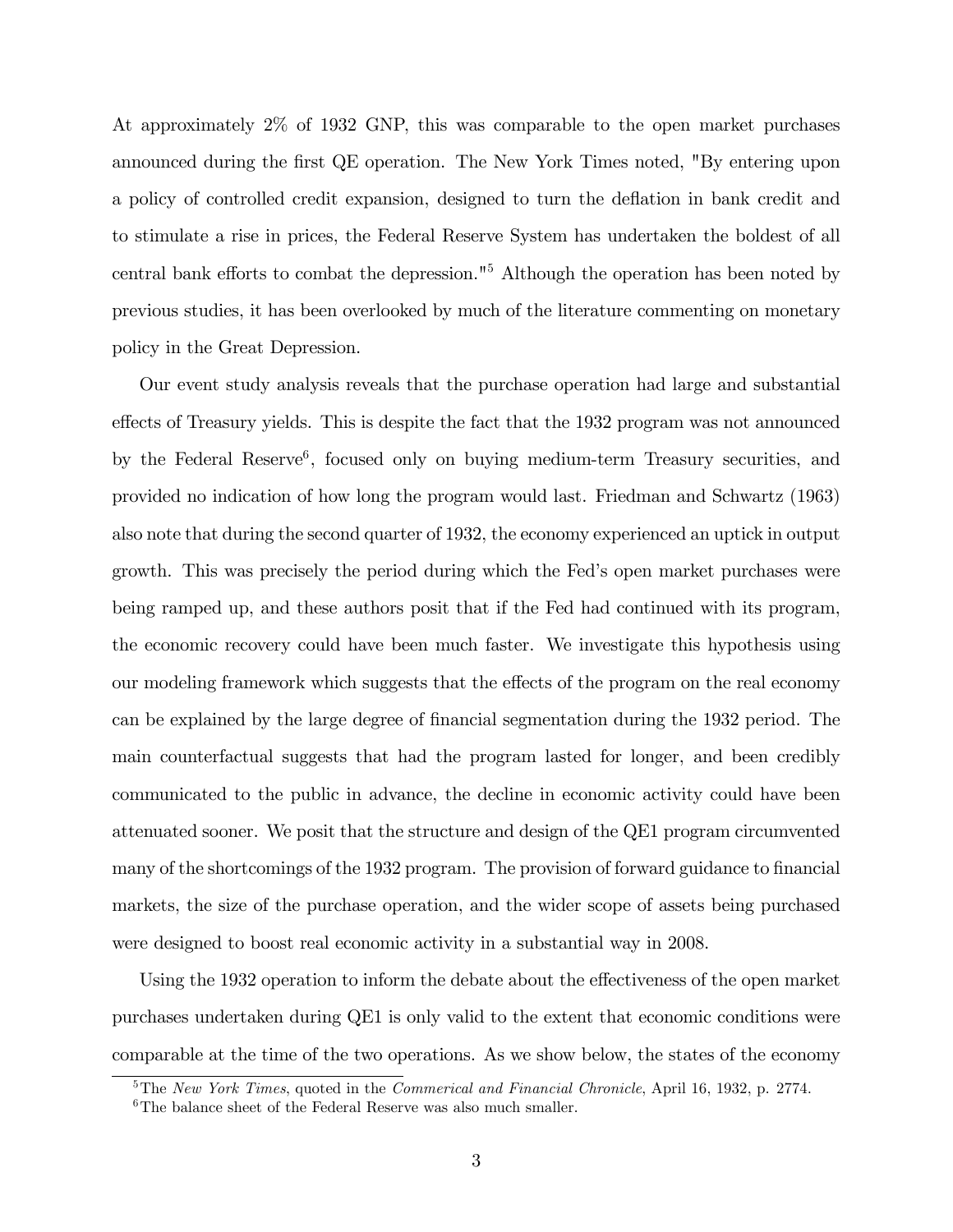At approximately 2% of 1932 GNP, this was comparable to the open market purchases announced during the first QE operation. The New York Times noted, "By entering upon a policy of controlled credit expansion, designed to turn the deflation in bank credit and to stimulate a rise in prices, the Federal Reserve System has undertaken the boldest of all central bank efforts to combat the depression."<sup>5</sup> Although the operation has been noted by previous studies, it has been overlooked by much of the literature commenting on monetary policy in the Great Depression.

Our event study analysis reveals that the purchase operation had large and substantial effects of Treasury yields. This is despite the fact that the 1932 program was not announced by the Federal Reserve<sup>6</sup>, focused only on buying medium-term Treasury securities, and provided no indication of how long the program would last. Friedman and Schwartz (1963) also note that during the second quarter of 1932, the economy experienced an uptick in output growth. This was precisely the period during which the Fedís open market purchases were being ramped up, and these authors posit that if the Fed had continued with its program, the economic recovery could have been much faster. We investigate this hypothesis using our modeling framework which suggests that the effects of the program on the real economy can be explained by the large degree of financial segmentation during the 1932 period. The main counterfactual suggests that had the program lasted for longer, and been credibly communicated to the public in advance, the decline in economic activity could have been attenuated sooner. We posit that the structure and design of the QE1 program circumvented many of the shortcomings of the 1932 program. The provision of forward guidance to financial markets, the size of the purchase operation, and the wider scope of assets being purchased were designed to boost real economic activity in a substantial way in 2008.

Using the 1932 operation to inform the debate about the effectiveness of the open market purchases undertaken during QE1 is only valid to the extent that economic conditions were comparable at the time of the two operations. As we show below, the states of the economy

 $5$ The New York Times, quoted in the Commerical and Financial Chronicle, April 16, 1932, p. 2774.

 ${}^{6}$ The balance sheet of the Federal Reserve was also much smaller.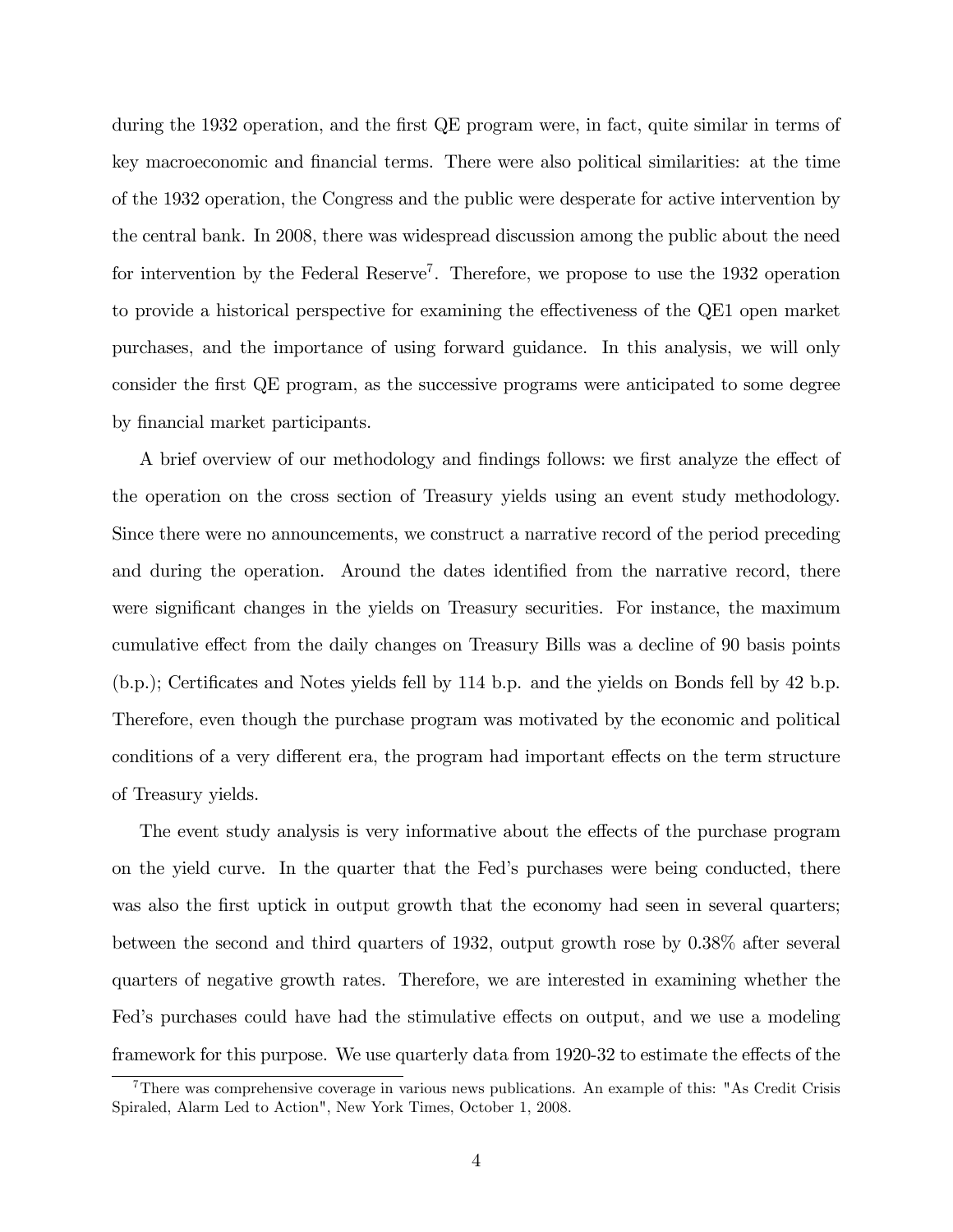during the 1932 operation, and the first QE program were, in fact, quite similar in terms of key macroeconomic and financial terms. There were also political similarities: at the time of the 1932 operation, the Congress and the public were desperate for active intervention by the central bank. In 2008, there was widespread discussion among the public about the need for intervention by the Federal Reserve<sup>7</sup>. Therefore, we propose to use the 1932 operation to provide a historical perspective for examining the effectiveness of the QE1 open market purchases, and the importance of using forward guidance. In this analysis, we will only consider the first QE program, as the successive programs were anticipated to some degree by financial market participants.

A brief overview of our methodology and findings follows: we first analyze the effect of the operation on the cross section of Treasury yields using an event study methodology. Since there were no announcements, we construct a narrative record of the period preceding and during the operation. Around the dates identified from the narrative record, there were significant changes in the yields on Treasury securities. For instance, the maximum cumulative effect from the daily changes on Treasury Bills was a decline of 90 basis points  $(b.p.);$  Certificates and Notes yields fell by 114 b.p. and the yields on Bonds fell by 42 b.p. Therefore, even though the purchase program was motivated by the economic and political conditions of a very different era, the program had important effects on the term structure of Treasury yields.

The event study analysis is very informative about the effects of the purchase program on the yield curve. In the quarter that the Fedís purchases were being conducted, there was also the first uptick in output growth that the economy had seen in several quarters; between the second and third quarters of 1932, output growth rose by 0.38% after several quarters of negative growth rates. Therefore, we are interested in examining whether the Fed's purchases could have had the stimulative effects on output, and we use a modeling framework for this purpose. We use quarterly data from 1920-32 to estimate the effects of the

<sup>7</sup>There was comprehensive coverage in various news publications. An example of this: "As Credit Crisis Spiraled, Alarm Led to Action", New York Times, October 1, 2008.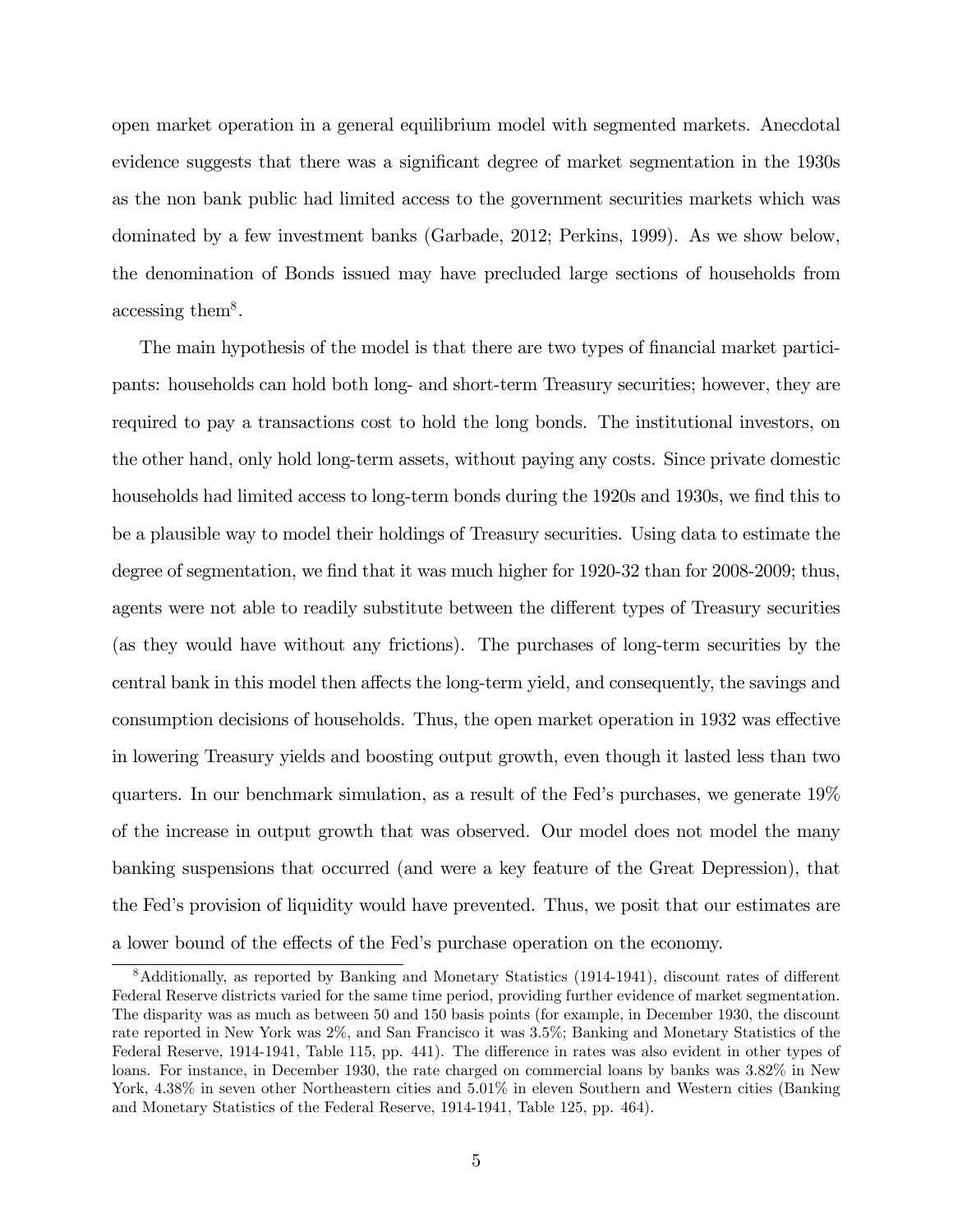open market operation in a general equilibrium model with segmented markets. Anecdotal evidence suggests that there was a significant degree of market segmentation in the 1930s as the non bank public had limited access to the government securities markets which was dominated by a few investment banks (Garbade, 2012; Perkins, 1999). As we show below, the denomination of Bonds issued may have precluded large sections of households from accessing them<sup>8</sup>.

The main hypothesis of the model is that there are two types of financial market participants: households can hold both long- and short-term Treasury securities; however, they are required to pay a transactions cost to hold the long bonds. The institutional investors, on the other hand, only hold long-term assets, without paying any costs. Since private domestic households had limited access to long-term bonds during the 1920s and 1930s, we find this to be a plausible way to model their holdings of Treasury securities. Using data to estimate the degree of segmentation, we find that it was much higher for 1920-32 than for 2008-2009; thus, agents were not able to readily substitute between the different types of Treasury securities (as they would have without any frictions). The purchases of long-term securities by the central bank in this model then affects the long-term yield, and consequently, the savings and consumption decisions of households. Thus, the open market operation in 1932 was effective in lowering Treasury yields and boosting output growth, even though it lasted less than two quarters. In our benchmark simulation, as a result of the Fedís purchases, we generate 19% of the increase in output growth that was observed. Our model does not model the many banking suspensions that occurred (and were a key feature of the Great Depression), that the Fedís provision of liquidity would have prevented. Thus, we posit that our estimates are a lower bound of the effects of the Fed's purchase operation on the economy.

 $8$ Additionally, as reported by Banking and Monetary Statistics (1914-1941), discount rates of different Federal Reserve districts varied for the same time period, providing further evidence of market segmentation. The disparity was as much as between 50 and 150 basis points (for example, in December 1930, the discount rate reported in New York was 2%, and San Francisco it was 3.5%; Banking and Monetary Statistics of the Federal Reserve, 1914-1941, Table 115, pp. 441). The difference in rates was also evident in other types of loans. For instance, in December 1930, the rate charged on commercial loans by banks was 3.82% in New York,  $4.38\%$  in seven other Northeastern cities and  $5.01\%$  in eleven Southern and Western cities (Banking and Monetary Statistics of the Federal Reserve, 1914-1941, Table 125, pp. 464).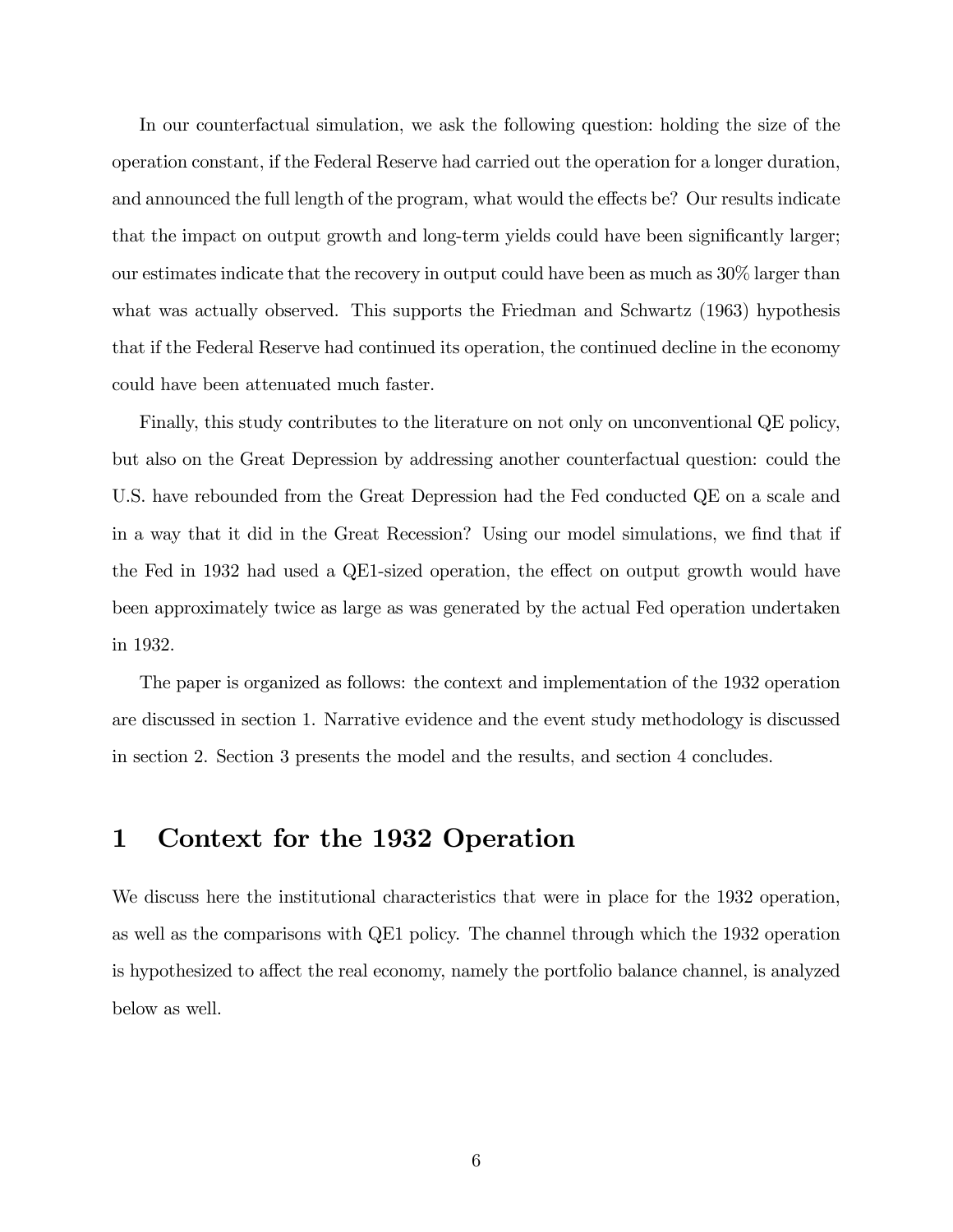In our counterfactual simulation, we ask the following question: holding the size of the operation constant, if the Federal Reserve had carried out the operation for a longer duration, and announced the full length of the program, what would the effects be? Our results indicate that the impact on output growth and long-term yields could have been significantly larger; our estimates indicate that the recovery in output could have been as much as 30% larger than what was actually observed. This supports the Friedman and Schwartz (1963) hypothesis that if the Federal Reserve had continued its operation, the continued decline in the economy could have been attenuated much faster.

Finally, this study contributes to the literature on not only on unconventional QE policy, but also on the Great Depression by addressing another counterfactual question: could the U.S. have rebounded from the Great Depression had the Fed conducted QE on a scale and in a way that it did in the Great Recession? Using our model simulations, we find that if the Fed in 1932 had used a QE1-sized operation, the effect on output growth would have been approximately twice as large as was generated by the actual Fed operation undertaken in 1932.

The paper is organized as follows: the context and implementation of the 1932 operation are discussed in section 1. Narrative evidence and the event study methodology is discussed in section 2. Section 3 presents the model and the results, and section 4 concludes.

# 1 Context for the 1932 Operation

We discuss here the institutional characteristics that were in place for the 1932 operation, as well as the comparisons with QE1 policy. The channel through which the 1932 operation is hypothesized to affect the real economy, namely the portfolio balance channel, is analyzed below as well.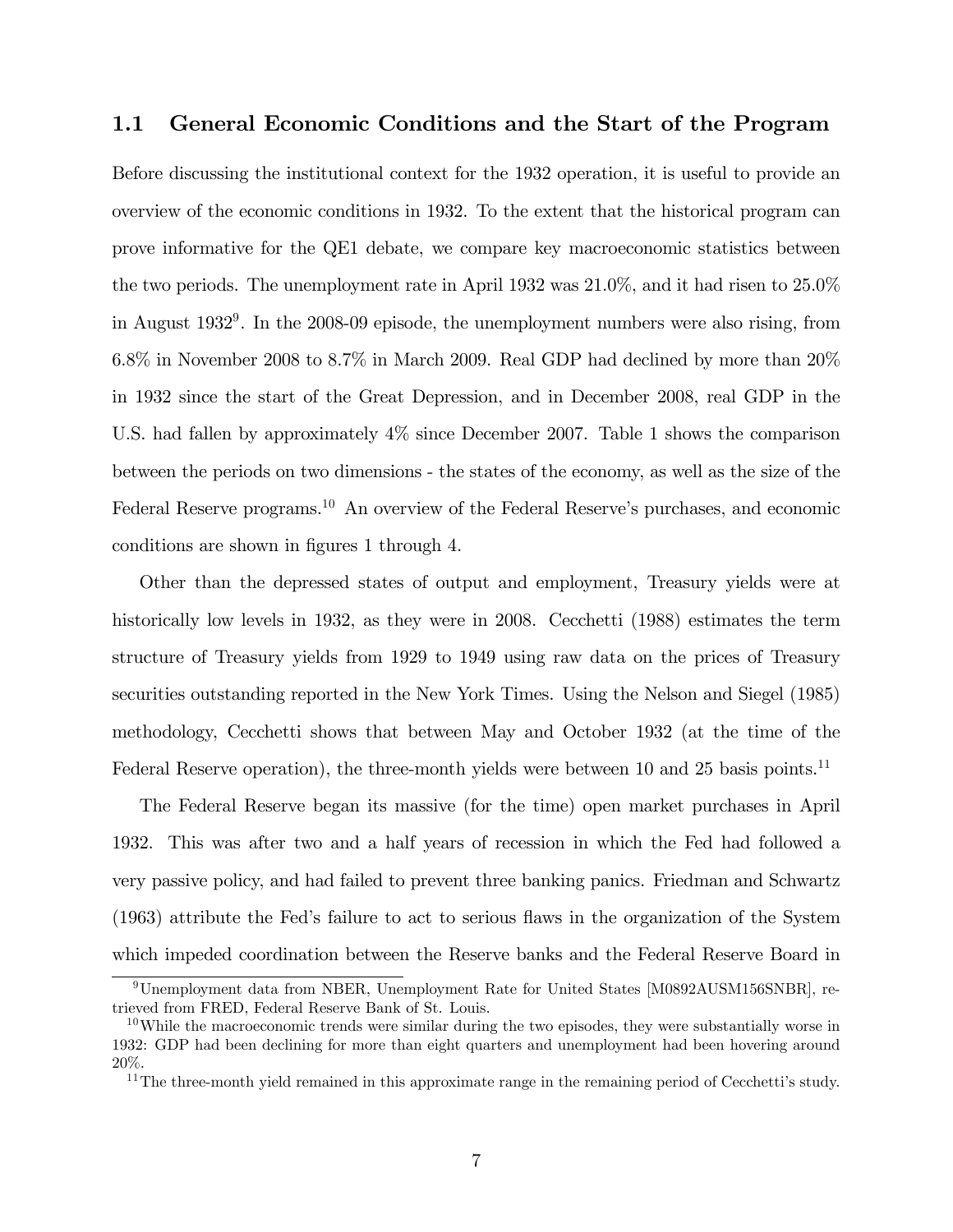### 1.1 General Economic Conditions and the Start of the Program

Before discussing the institutional context for the 1932 operation, it is useful to provide an overview of the economic conditions in 1932. To the extent that the historical program can prove informative for the QE1 debate, we compare key macroeconomic statistics between the two periods. The unemployment rate in April 1932 was 21.0%, and it had risen to 25.0% in August 1932<sup>9</sup> . In the 2008-09 episode, the unemployment numbers were also rising, from 6.8% in November 2008 to 8.7% in March 2009. Real GDP had declined by more than 20% in 1932 since the start of the Great Depression, and in December 2008, real GDP in the U.S. had fallen by approximately 4% since December 2007. Table 1 shows the comparison between the periods on two dimensions - the states of the economy, as well as the size of the Federal Reserve programs.<sup>10</sup> An overview of the Federal Reserve's purchases, and economic conditions are shown in figures 1 through 4.

Other than the depressed states of output and employment, Treasury yields were at historically low levels in 1932, as they were in 2008. Cecchetti (1988) estimates the term structure of Treasury yields from 1929 to 1949 using raw data on the prices of Treasury securities outstanding reported in the New York Times. Using the Nelson and Siegel (1985) methodology, Cecchetti shows that between May and October 1932 (at the time of the Federal Reserve operation), the three-month yields were between 10 and 25 basis points.<sup>11</sup>

The Federal Reserve began its massive (for the time) open market purchases in April 1932. This was after two and a half years of recession in which the Fed had followed a very passive policy, and had failed to prevent three banking panics. Friedman and Schwartz (1963) attribute the Fedís failure to act to serious áaws in the organization of the System which impeded coordination between the Reserve banks and the Federal Reserve Board in

<sup>9</sup>Unemployment data from NBER, Unemployment Rate for United States [M0892AUSM156SNBR], retrieved from FRED, Federal Reserve Bank of St. Louis.

 $10$ While the macroeconomic trends were similar during the two episodes, they were substantially worse in 1932: GDP had been declining for more than eight quarters and unemployment had been hovering around 20%.

 $11$ The three-month yield remained in this approximate range in the remaining period of Cecchetti's study.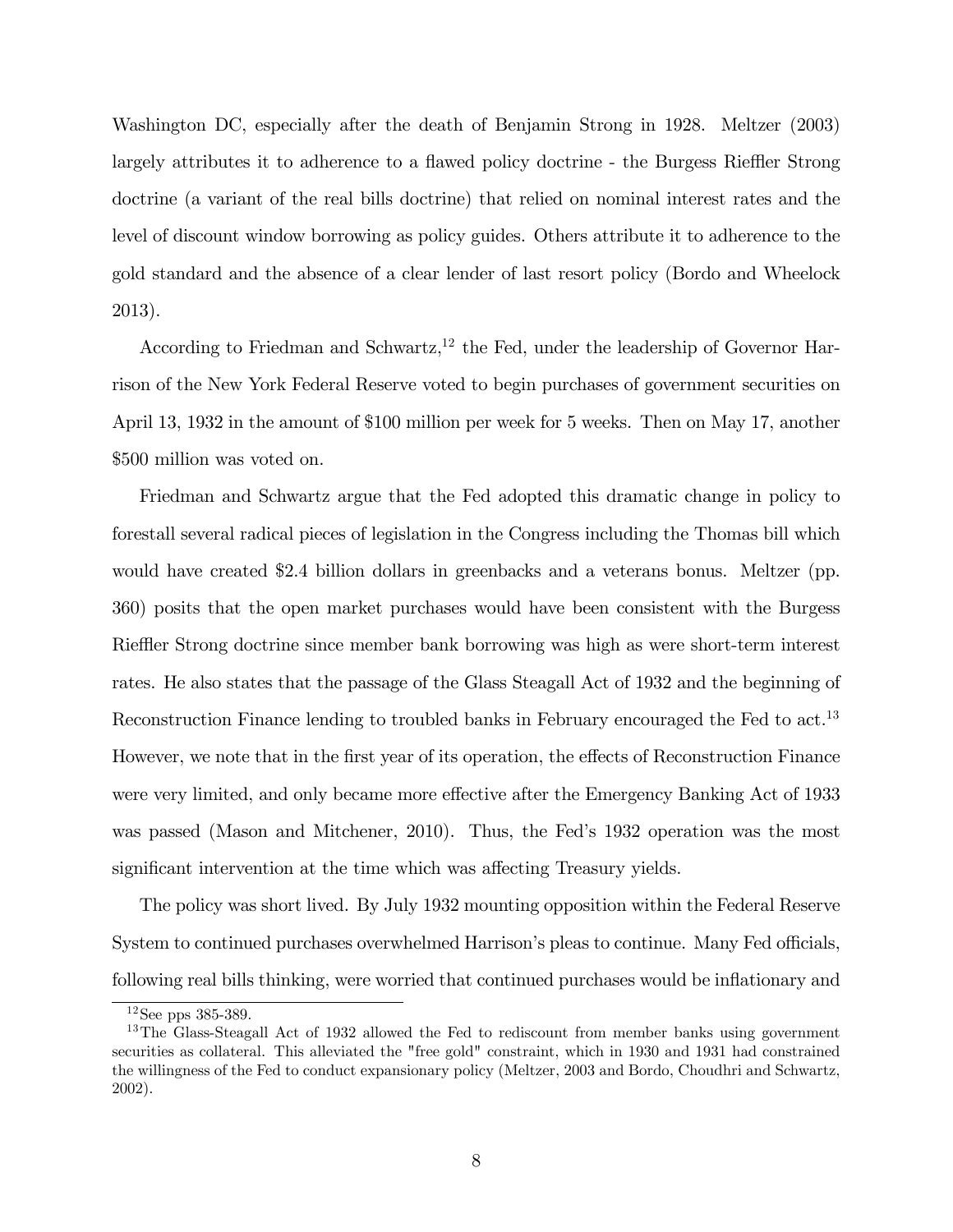Washington DC, especially after the death of Benjamin Strong in 1928. Meltzer (2003) largely attributes it to adherence to a flawed policy doctrine - the Burgess Rieffler Strong doctrine (a variant of the real bills doctrine) that relied on nominal interest rates and the level of discount window borrowing as policy guides. Others attribute it to adherence to the gold standard and the absence of a clear lender of last resort policy (Bordo and Wheelock 2013).

According to Friedman and Schwartz,<sup>12</sup> the Fed, under the leadership of Governor Harrison of the New York Federal Reserve voted to begin purchases of government securities on April 13, 1932 in the amount of \$100 million per week for 5 weeks. Then on May 17, another \$500 million was voted on.

Friedman and Schwartz argue that the Fed adopted this dramatic change in policy to forestall several radical pieces of legislation in the Congress including the Thomas bill which would have created \$2.4 billion dollars in greenbacks and a veterans bonus. Meltzer (pp. 360) posits that the open market purchases would have been consistent with the Burgess Rieffler Strong doctrine since member bank borrowing was high as were short-term interest rates. He also states that the passage of the Glass Steagall Act of 1932 and the beginning of Reconstruction Finance lending to troubled banks in February encouraged the Fed to act.<sup>13</sup> However, we note that in the first year of its operation, the effects of Reconstruction Finance were very limited, and only became more effective after the Emergency Banking Act of 1933 was passed (Mason and Mitchener, 2010). Thus, the Fed's 1932 operation was the most significant intervention at the time which was affecting Treasury yields.

The policy was short lived. By July 1932 mounting opposition within the Federal Reserve System to continued purchases overwhelmed Harrison's pleas to continue. Many Fed officials, following real bills thinking, were worried that continued purchases would be inflationary and

<sup>12</sup>See pps 385-389.

<sup>&</sup>lt;sup>13</sup>The Glass-Steagall Act of 1932 allowed the Fed to rediscount from member banks using government securities as collateral. This alleviated the "free gold" constraint, which in 1930 and 1931 had constrained the willingness of the Fed to conduct expansionary policy (Meltzer, 2003 and Bordo, Choudhri and Schwartz, 2002).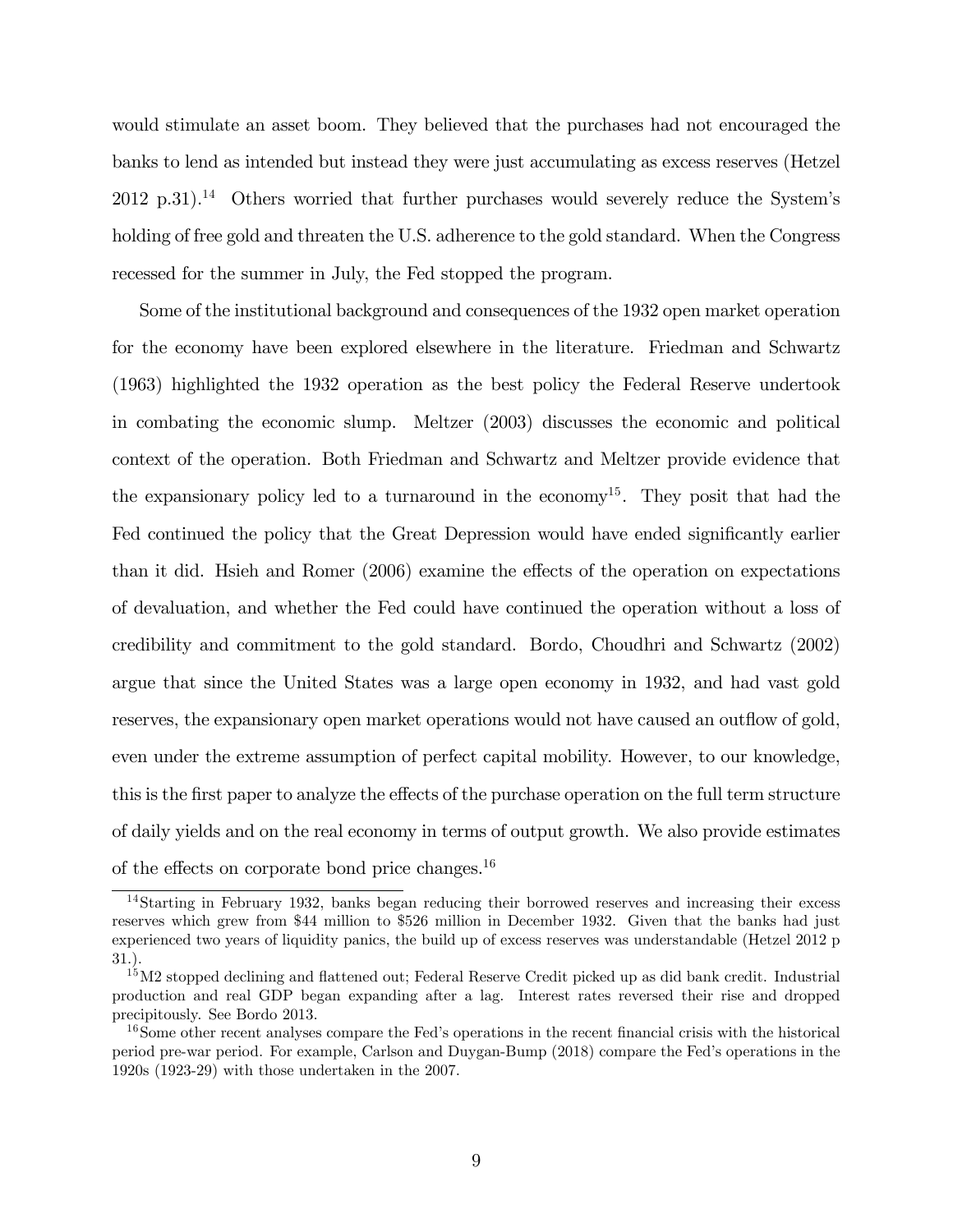would stimulate an asset boom. They believed that the purchases had not encouraged the banks to lend as intended but instead they were just accumulating as excess reserves (Hetzel  $2012$  p.31).<sup>14</sup> Others worried that further purchases would severely reduce the System's holding of free gold and threaten the U.S. adherence to the gold standard. When the Congress recessed for the summer in July, the Fed stopped the program.

Some of the institutional background and consequences of the 1932 open market operation for the economy have been explored elsewhere in the literature. Friedman and Schwartz (1963) highlighted the 1932 operation as the best policy the Federal Reserve undertook in combating the economic slump. Meltzer (2003) discusses the economic and political context of the operation. Both Friedman and Schwartz and Meltzer provide evidence that the expansionary policy led to a turnaround in the economy<sup>15</sup>. They posit that had the Fed continued the policy that the Great Depression would have ended significantly earlier than it did. Hsieh and Romer  $(2006)$  examine the effects of the operation on expectations of devaluation, and whether the Fed could have continued the operation without a loss of credibility and commitment to the gold standard. Bordo, Choudhri and Schwartz (2002) argue that since the United States was a large open economy in 1932, and had vast gold reserves, the expansionary open market operations would not have caused an outflow of gold, even under the extreme assumption of perfect capital mobility. However, to our knowledge, this is the first paper to analyze the effects of the purchase operation on the full term structure of daily yields and on the real economy in terms of output growth. We also provide estimates of the effects on corporate bond price changes.<sup>16</sup>

<sup>14</sup>Starting in February 1932, banks began reducing their borrowed reserves and increasing their excess reserves which grew from \$44 million to \$526 million in December 1932. Given that the banks had just experienced two years of liquidity panics, the build up of excess reserves was understandable (Hetzel 2012 p 31.).

<sup>&</sup>lt;sup>15</sup>M2 stopped declining and flattened out; Federal Reserve Credit picked up as did bank credit. Industrial production and real GDP began expanding after a lag. Interest rates reversed their rise and dropped precipitously. See Bordo 2013.

<sup>&</sup>lt;sup>16</sup>Some other recent analyses compare the Fed's operations in the recent financial crisis with the historical period pre-war period. For example, Carlson and Duygan-Bump (2018) compare the Fedís operations in the 1920s (1923-29) with those undertaken in the 2007.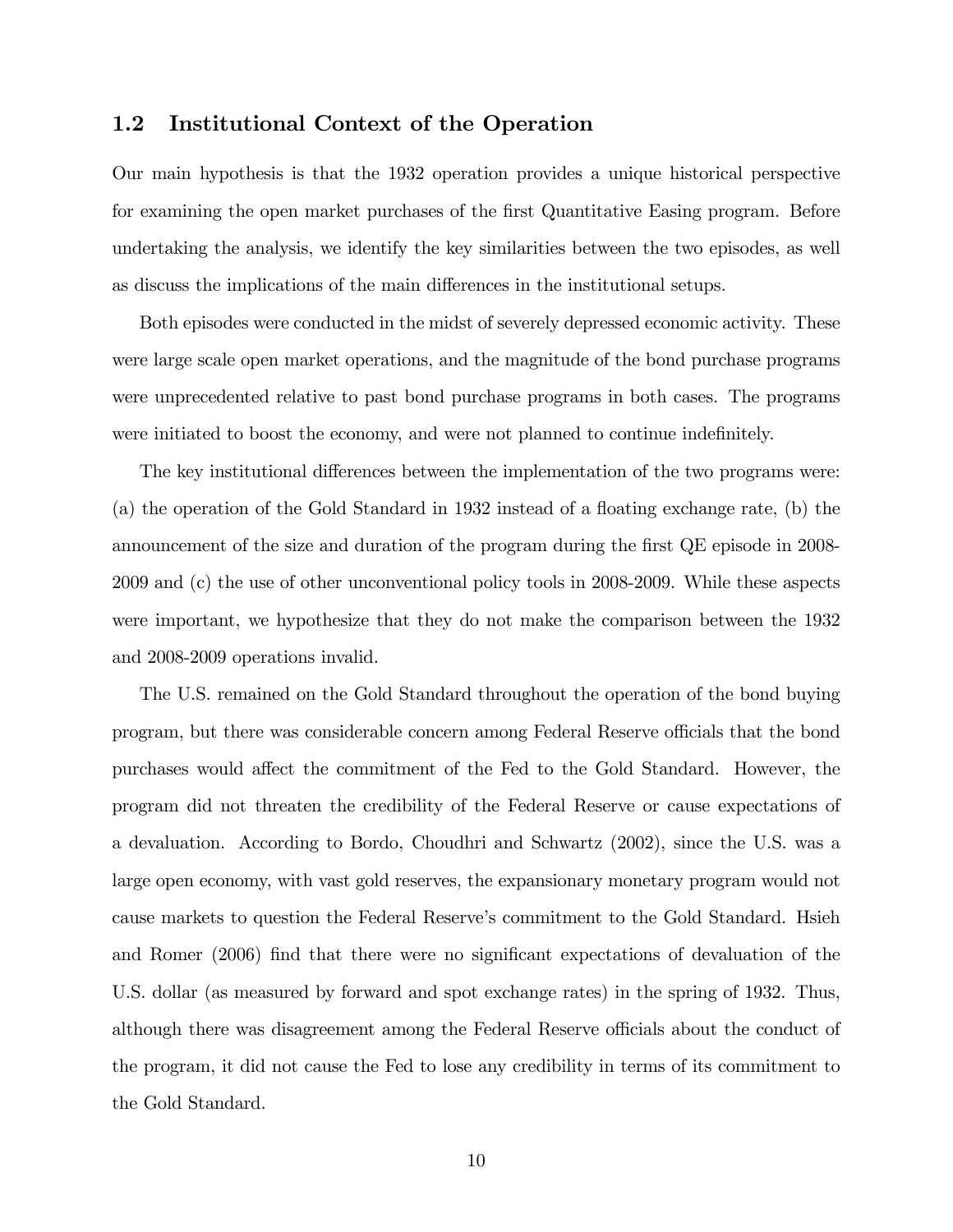### 1.2 Institutional Context of the Operation

Our main hypothesis is that the 1932 operation provides a unique historical perspective for examining the open market purchases of the first Quantitative Easing program. Before undertaking the analysis, we identify the key similarities between the two episodes, as well as discuss the implications of the main differences in the institutional setups.

Both episodes were conducted in the midst of severely depressed economic activity. These were large scale open market operations, and the magnitude of the bond purchase programs were unprecedented relative to past bond purchase programs in both cases. The programs were initiated to boost the economy, and were not planned to continue indefinitely.

The key institutional differences between the implementation of the two programs were: (a) the operation of the Gold Standard in  $1932$  instead of a floating exchange rate, (b) the announcement of the size and duration of the program during the first QE episode in 2008-2009 and (c) the use of other unconventional policy tools in 2008-2009. While these aspects were important, we hypothesize that they do not make the comparison between the 1932 and 2008-2009 operations invalid.

The U.S. remained on the Gold Standard throughout the operation of the bond buying program, but there was considerable concern among Federal Reserve officials that the bond purchases would affect the commitment of the Fed to the Gold Standard. However, the program did not threaten the credibility of the Federal Reserve or cause expectations of a devaluation. According to Bordo, Choudhri and Schwartz (2002), since the U.S. was a large open economy, with vast gold reserves, the expansionary monetary program would not cause markets to question the Federal Reserve's commitment to the Gold Standard. Hsieh and Romer (2006) find that there were no significant expectations of devaluation of the U.S. dollar (as measured by forward and spot exchange rates) in the spring of 1932. Thus, although there was disagreement among the Federal Reserve officials about the conduct of the program, it did not cause the Fed to lose any credibility in terms of its commitment to the Gold Standard.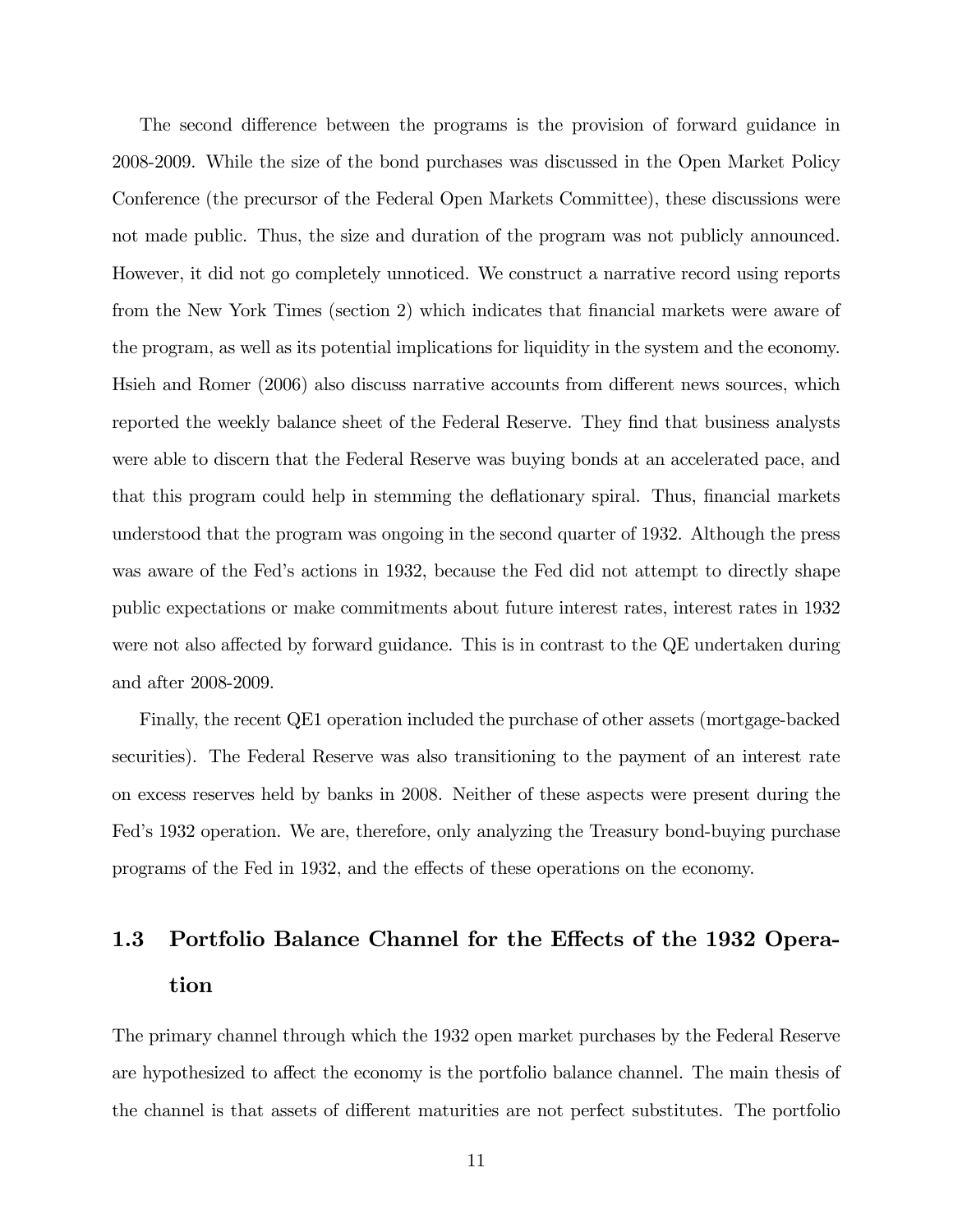The second difference between the programs is the provision of forward guidance in 2008-2009. While the size of the bond purchases was discussed in the Open Market Policy Conference (the precursor of the Federal Open Markets Committee), these discussions were not made public. Thus, the size and duration of the program was not publicly announced. However, it did not go completely unnoticed. We construct a narrative record using reports from the New York Times (section 2) which indicates that financial markets were aware of the program, as well as its potential implications for liquidity in the system and the economy. Hsieh and Romer (2006) also discuss narrative accounts from different news sources, which reported the weekly balance sheet of the Federal Reserve. They find that business analysts were able to discern that the Federal Reserve was buying bonds at an accelerated pace, and that this program could help in stemming the deflationary spiral. Thus, financial markets understood that the program was ongoing in the second quarter of 1932. Although the press was aware of the Fed's actions in 1932, because the Fed did not attempt to directly shape public expectations or make commitments about future interest rates, interest rates in 1932 were not also affected by forward guidance. This is in contrast to the QE undertaken during and after 2008-2009.

Finally, the recent QE1 operation included the purchase of other assets (mortgage-backed securities). The Federal Reserve was also transitioning to the payment of an interest rate on excess reserves held by banks in 2008. Neither of these aspects were present during the Fed's 1932 operation. We are, therefore, only analyzing the Treasury bond-buying purchase programs of the Fed in 1932, and the effects of these operations on the economy.

# 1.3 Portfolio Balance Channel for the Effects of the 1932 Operation

The primary channel through which the 1932 open market purchases by the Federal Reserve are hypothesized to affect the economy is the portfolio balance channel. The main thesis of the channel is that assets of different maturities are not perfect substitutes. The portfolio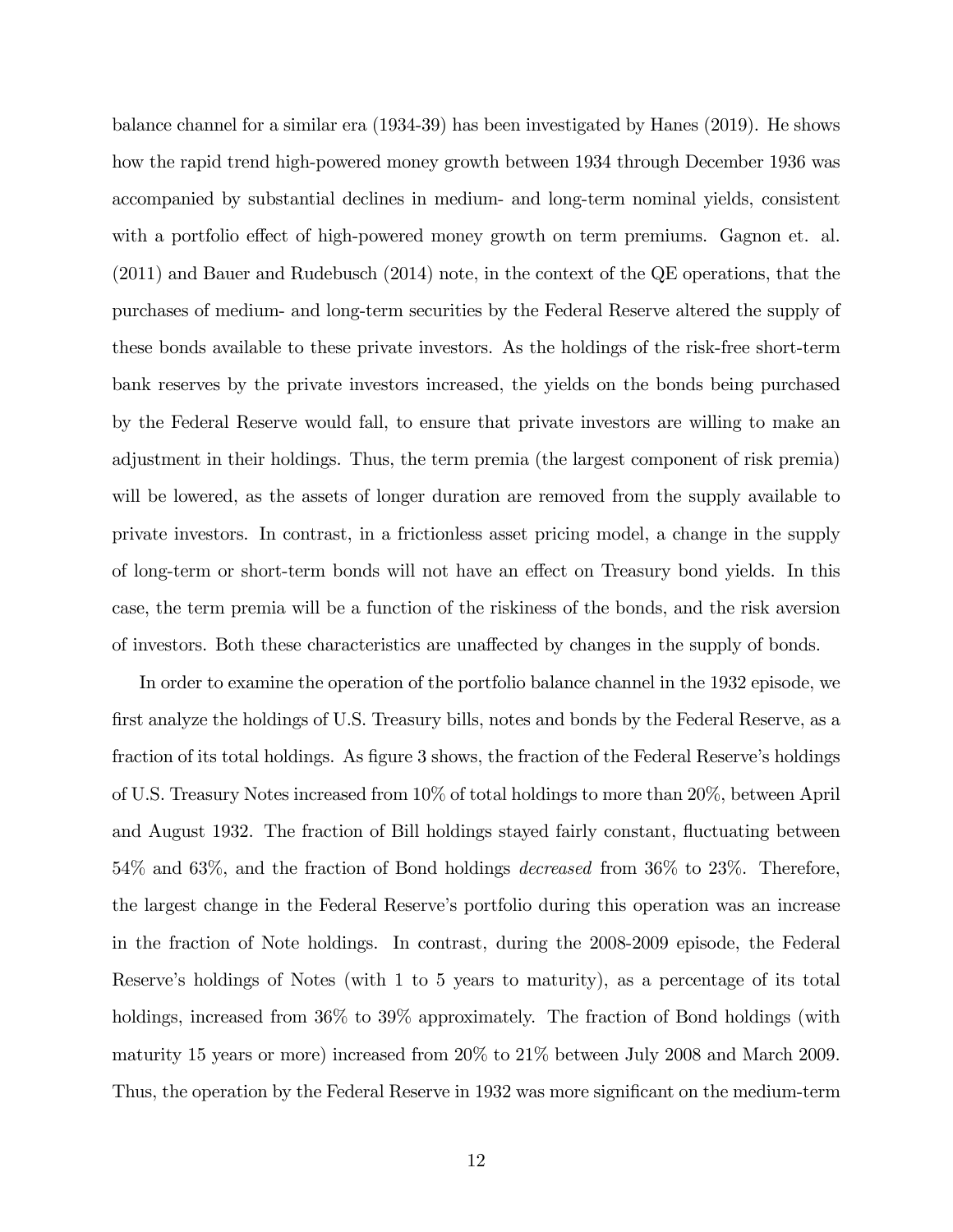balance channel for a similar era (1934-39) has been investigated by Hanes (2019). He shows how the rapid trend high-powered money growth between 1934 through December 1936 was accompanied by substantial declines in medium- and long-term nominal yields, consistent with a portfolio effect of high-powered money growth on term premiums. Gagnon et. al. (2011) and Bauer and Rudebusch (2014) note, in the context of the QE operations, that the purchases of medium- and long-term securities by the Federal Reserve altered the supply of these bonds available to these private investors. As the holdings of the risk-free short-term bank reserves by the private investors increased, the yields on the bonds being purchased by the Federal Reserve would fall, to ensure that private investors are willing to make an adjustment in their holdings. Thus, the term premia (the largest component of risk premia) will be lowered, as the assets of longer duration are removed from the supply available to private investors. In contrast, in a frictionless asset pricing model, a change in the supply of long-term or short-term bonds will not have an effect on Treasury bond yields. In this case, the term premia will be a function of the riskiness of the bonds, and the risk aversion of investors. Both these characteristics are unaffected by changes in the supply of bonds.

In order to examine the operation of the portfolio balance channel in the 1932 episode, we first analyze the holdings of U.S. Treasury bills, notes and bonds by the Federal Reserve, as a fraction of its total holdings. As figure 3 shows, the fraction of the Federal Reserve's holdings of U.S. Treasury Notes increased from 10% of total holdings to more than 20%, between April and August 1932. The fraction of Bill holdings stayed fairly constant, fluctuating between 54% and 63%, and the fraction of Bond holdings decreased from 36% to 23%. Therefore, the largest change in the Federal Reserveís portfolio during this operation was an increase in the fraction of Note holdings. In contrast, during the 2008-2009 episode, the Federal Reserve's holdings of Notes (with 1 to 5 years to maturity), as a percentage of its total holdings, increased from 36% to 39% approximately. The fraction of Bond holdings (with maturity 15 years or more) increased from 20% to 21% between July 2008 and March 2009. Thus, the operation by the Federal Reserve in 1932 was more significant on the medium-term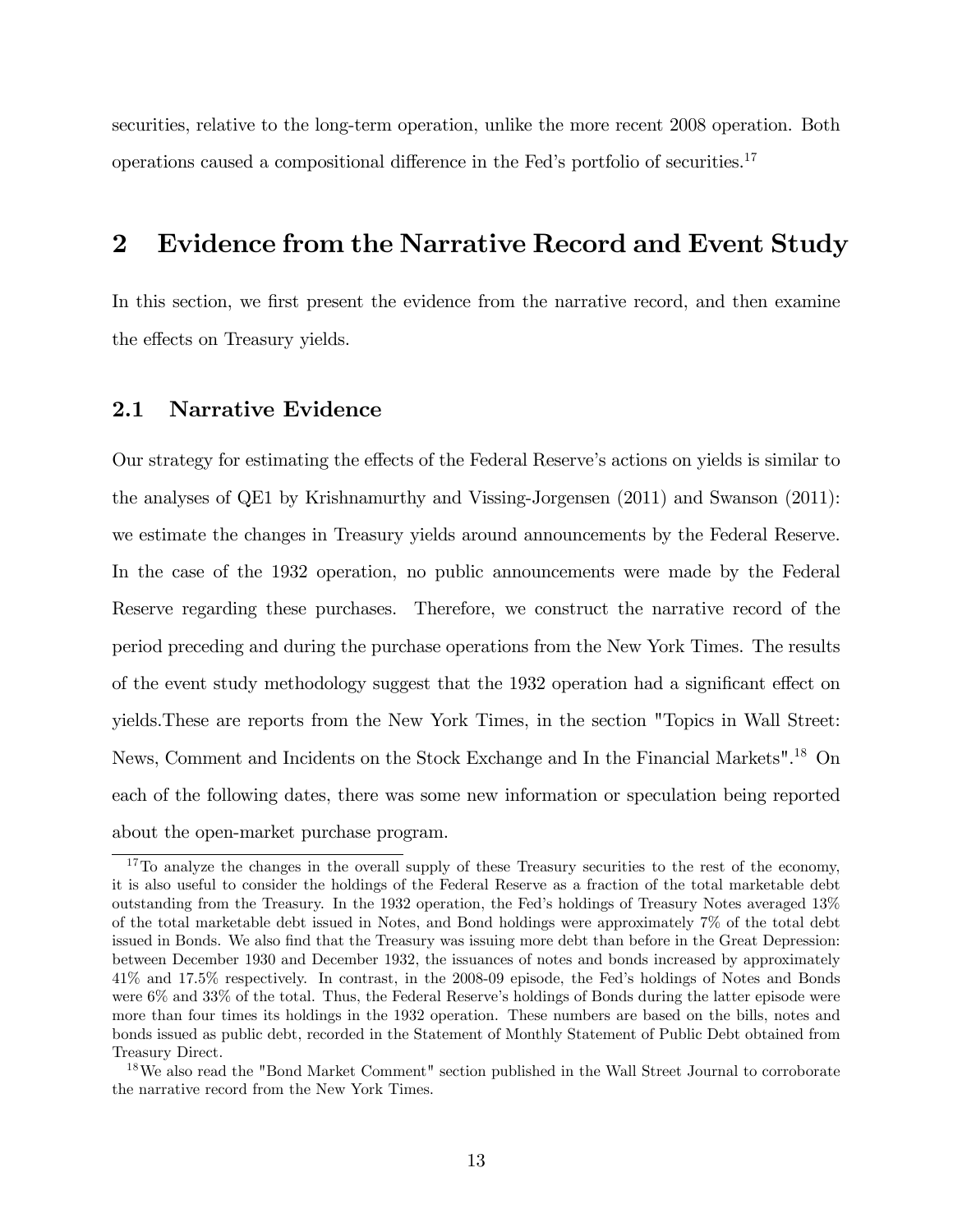securities, relative to the long-term operation, unlike the more recent 2008 operation. Both operations caused a compositional difference in the Fed's portfolio of securities.<sup>17</sup>

# 2 Evidence from the Narrative Record and Event Study

In this section, we first present the evidence from the narrative record, and then examine the effects on Treasury yields.

### 2.1 Narrative Evidence

Our strategy for estimating the effects of the Federal Reserve's actions on yields is similar to the analyses of QE1 by Krishnamurthy and Vissing-Jorgensen (2011) and Swanson (2011): we estimate the changes in Treasury yields around announcements by the Federal Reserve. In the case of the 1932 operation, no public announcements were made by the Federal Reserve regarding these purchases. Therefore, we construct the narrative record of the period preceding and during the purchase operations from the New York Times. The results of the event study methodology suggest that the 1932 operation had a significant effect on yields.These are reports from the New York Times, in the section "Topics in Wall Street: News, Comment and Incidents on the Stock Exchange and In the Financial Markets".<sup>18</sup> On each of the following dates, there was some new information or speculation being reported about the open-market purchase program.

<sup>&</sup>lt;sup>17</sup>To analyze the changes in the overall supply of these Treasury securities to the rest of the economy, it is also useful to consider the holdings of the Federal Reserve as a fraction of the total marketable debt outstanding from the Treasury. In the 1932 operation, the Fedís holdings of Treasury Notes averaged 13% of the total marketable debt issued in Notes, and Bond holdings were approximately 7% of the total debt issued in Bonds. We also find that the Treasury was issuing more debt than before in the Great Depression: between December 1930 and December 1932, the issuances of notes and bonds increased by approximately 41% and 17.5% respectively. In contrast, in the 2008-09 episode, the Fedís holdings of Notes and Bonds were  $6\%$  and  $33\%$  of the total. Thus, the Federal Reserve's holdings of Bonds during the latter episode were more than four times its holdings in the 1932 operation. These numbers are based on the bills, notes and bonds issued as public debt, recorded in the Statement of Monthly Statement of Public Debt obtained from Treasury Direct.

<sup>&</sup>lt;sup>18</sup>We also read the "Bond Market Comment" section published in the Wall Street Journal to corroborate the narrative record from the New York Times.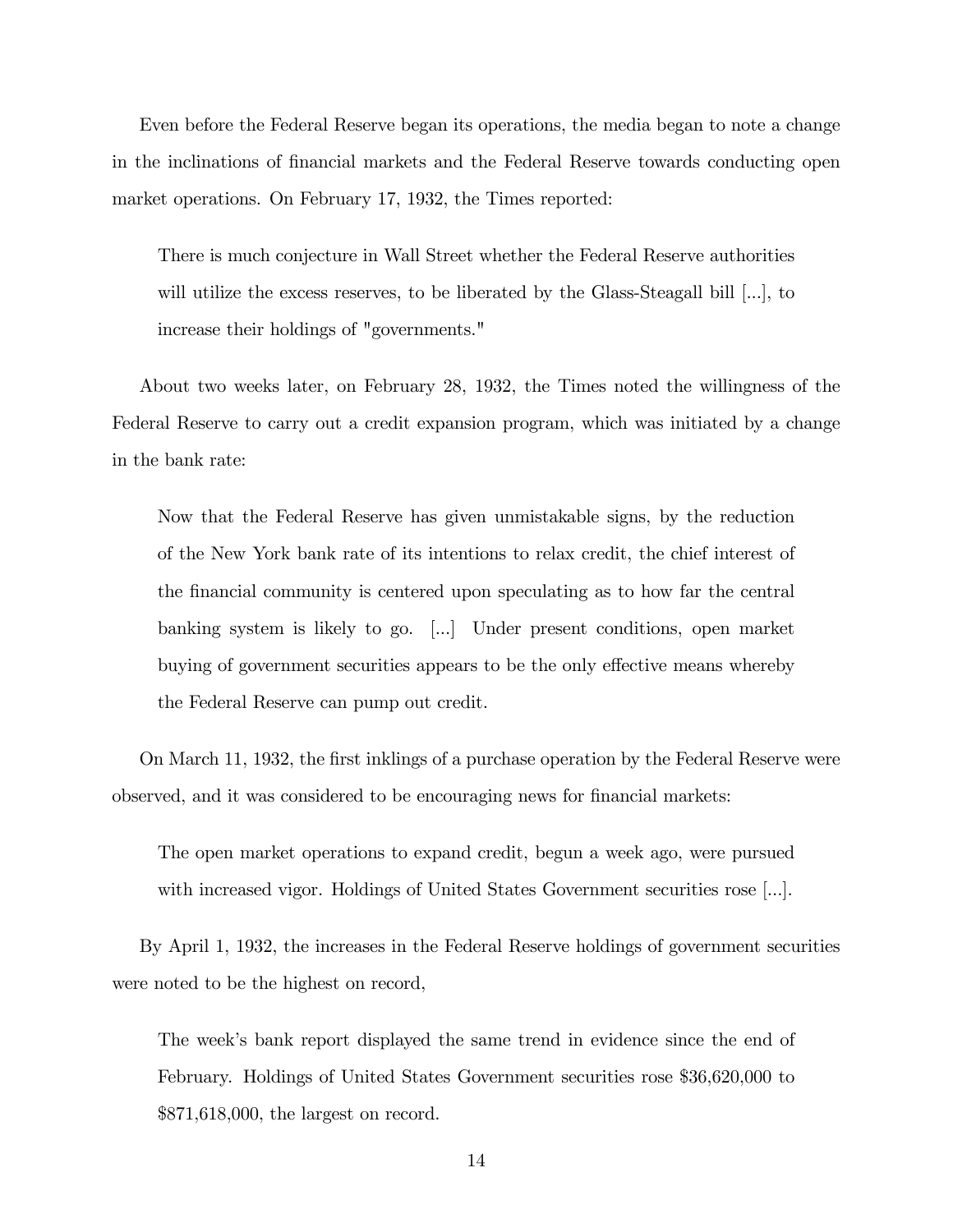Even before the Federal Reserve began its operations, the media began to note a change in the inclinations of financial markets and the Federal Reserve towards conducting open market operations. On February 17, 1932, the Times reported:

There is much conjecture in Wall Street whether the Federal Reserve authorities will utilize the excess reserves, to be liberated by the Glass-Steagall bill [...], to increase their holdings of "governments."

About two weeks later, on February 28, 1932, the Times noted the willingness of the Federal Reserve to carry out a credit expansion program, which was initiated by a change in the bank rate:

Now that the Federal Reserve has given unmistakable signs, by the reduction of the New York bank rate of its intentions to relax credit, the chief interest of the Önancial community is centered upon speculating as to how far the central banking system is likely to go. [...] Under present conditions, open market buying of government securities appears to be the only effective means whereby the Federal Reserve can pump out credit.

On March 11, 1932, the first inklings of a purchase operation by the Federal Reserve were observed, and it was considered to be encouraging news for Önancial markets:

The open market operations to expand credit, begun a week ago, were pursued with increased vigor. Holdings of United States Government securities rose [...].

By April 1, 1932, the increases in the Federal Reserve holdings of government securities were noted to be the highest on record,

The week's bank report displayed the same trend in evidence since the end of February. Holdings of United States Government securities rose \$36,620,000 to \$871,618,000, the largest on record.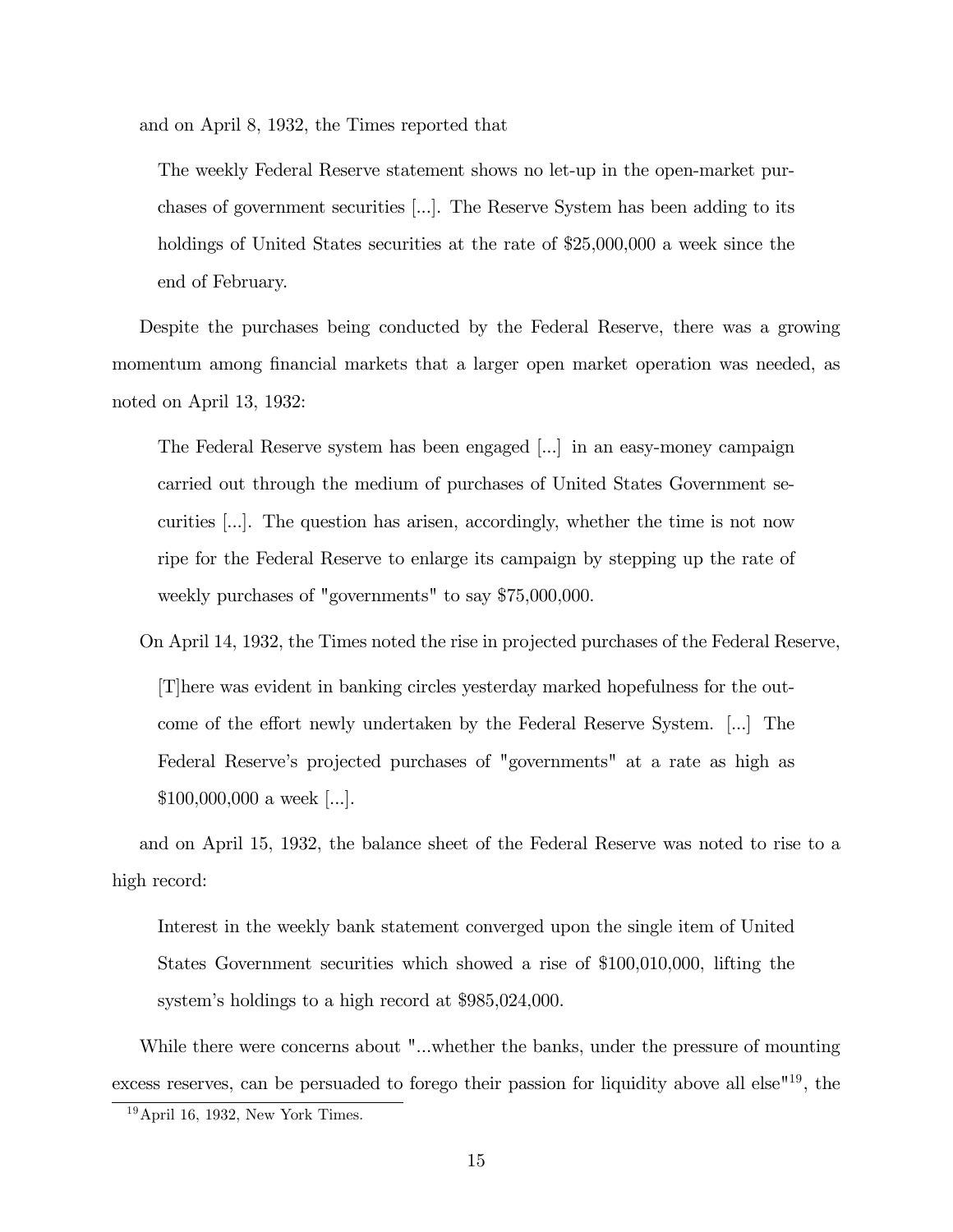and on April 8, 1932, the Times reported that

The weekly Federal Reserve statement shows no let-up in the open-market purchases of government securities [...]. The Reserve System has been adding to its holdings of United States securities at the rate of \$25,000,000 a week since the end of February.

Despite the purchases being conducted by the Federal Reserve, there was a growing momentum among financial markets that a larger open market operation was needed, as noted on April 13, 1932:

The Federal Reserve system has been engaged [...] in an easy-money campaign carried out through the medium of purchases of United States Government securities [...]. The question has arisen, accordingly, whether the time is not now ripe for the Federal Reserve to enlarge its campaign by stepping up the rate of weekly purchases of "governments" to say \$75,000,000.

On April 14, 1932, the Times noted the rise in projected purchases of the Federal Reserve,

[T]here was evident in banking circles yesterday marked hopefulness for the outcome of the effort newly undertaken by the Federal Reserve System.  $\left| \ldots \right|$  The Federal Reserve's projected purchases of "governments" at a rate as high as \$100,000,000 a week [...].

and on April 15, 1932, the balance sheet of the Federal Reserve was noted to rise to a high record:

Interest in the weekly bank statement converged upon the single item of United States Government securities which showed a rise of \$100,010,000, lifting the system's holdings to a high record at \$985,024,000.

While there were concerns about "...whether the banks, under the pressure of mounting excess reserves, can be persuaded to forego their passion for liquidity above all else $19$ , the

 $19$ April 16, 1932, New York Times.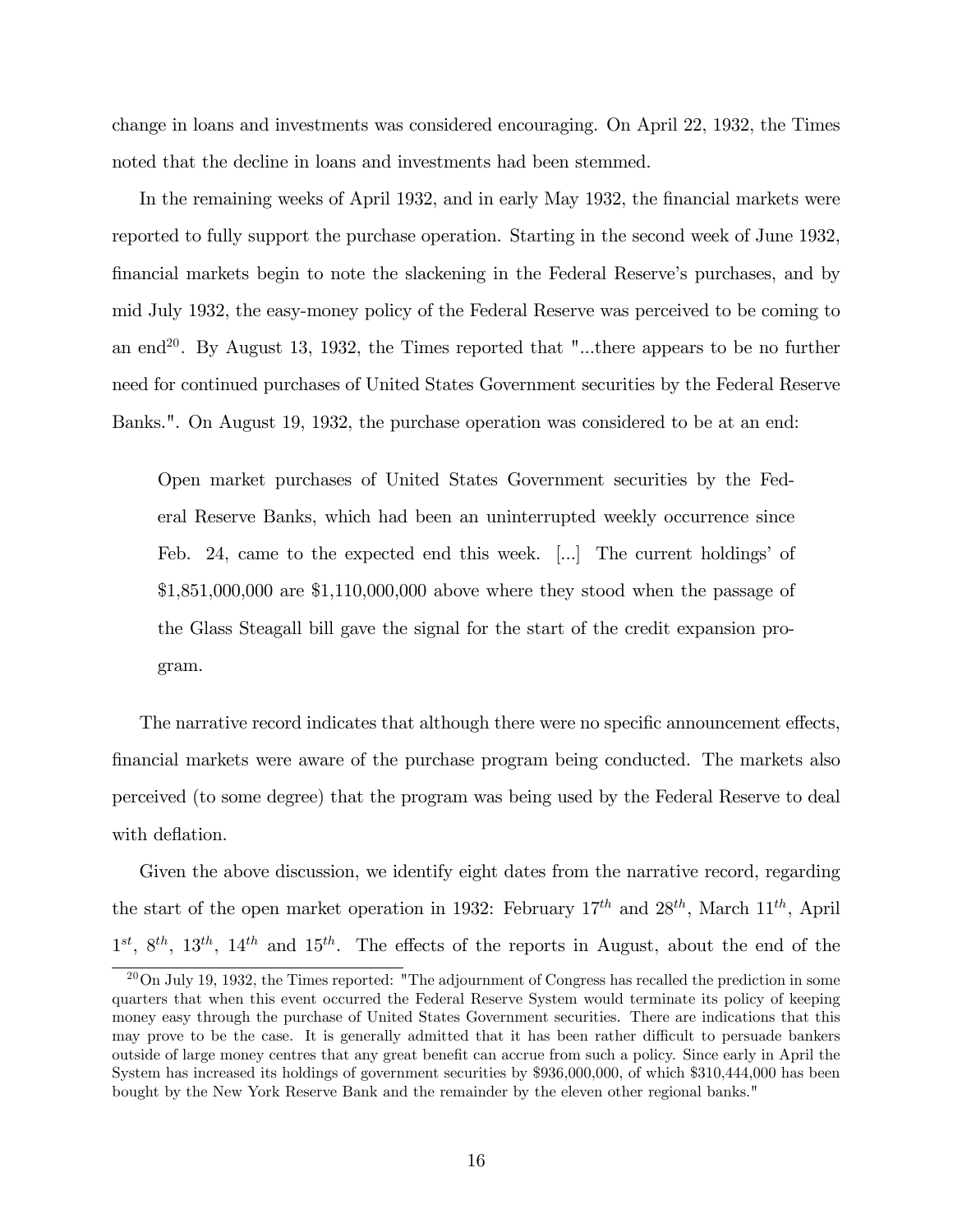change in loans and investments was considered encouraging. On April 22, 1932, the Times noted that the decline in loans and investments had been stemmed.

In the remaining weeks of April 1932, and in early May 1932, the financial markets were reported to fully support the purchase operation. Starting in the second week of June 1932, financial markets begin to note the slackening in the Federal Reserve's purchases, and by mid July 1932, the easy-money policy of the Federal Reserve was perceived to be coming to an end<sup>20</sup>. By August 13, 1932, the Times reported that "...there appears to be no further need for continued purchases of United States Government securities by the Federal Reserve Banks.". On August 19, 1932, the purchase operation was considered to be at an end:

Open market purchases of United States Government securities by the Federal Reserve Banks, which had been an uninterrupted weekly occurrence since Feb. 24, came to the expected end this week.  $[\dots]$  The current holdings' of \$1,851,000,000 are \$1,110,000,000 above where they stood when the passage of the Glass Steagall bill gave the signal for the start of the credit expansion program.

The narrative record indicates that although there were no specific announcement effects, Önancial markets were aware of the purchase program being conducted. The markets also perceived (to some degree) that the program was being used by the Federal Reserve to deal with deflation.

Given the above discussion, we identify eight dates from the narrative record, regarding the start of the open market operation in 1932: February  $17^{th}$  and  $28^{th}$ , March  $11^{th}$ , April  $1^{st}$ ,  $8^{th}$ ,  $13^{th}$ ,  $14^{th}$  and  $15^{th}$ . The effects of the reports in August, about the end of the

 $^{20}$ On July 19, 1932, the Times reported: "The adjournment of Congress has recalled the prediction in some quarters that when this event occurred the Federal Reserve System would terminate its policy of keeping money easy through the purchase of United States Government securities. There are indications that this may prove to be the case. It is generally admitted that it has been rather difficult to persuade bankers outside of large money centres that any great benefit can accrue from such a policy. Since early in April the System has increased its holdings of government securities by \$936,000,000, of which \$310,444,000 has been bought by the New York Reserve Bank and the remainder by the eleven other regional banks."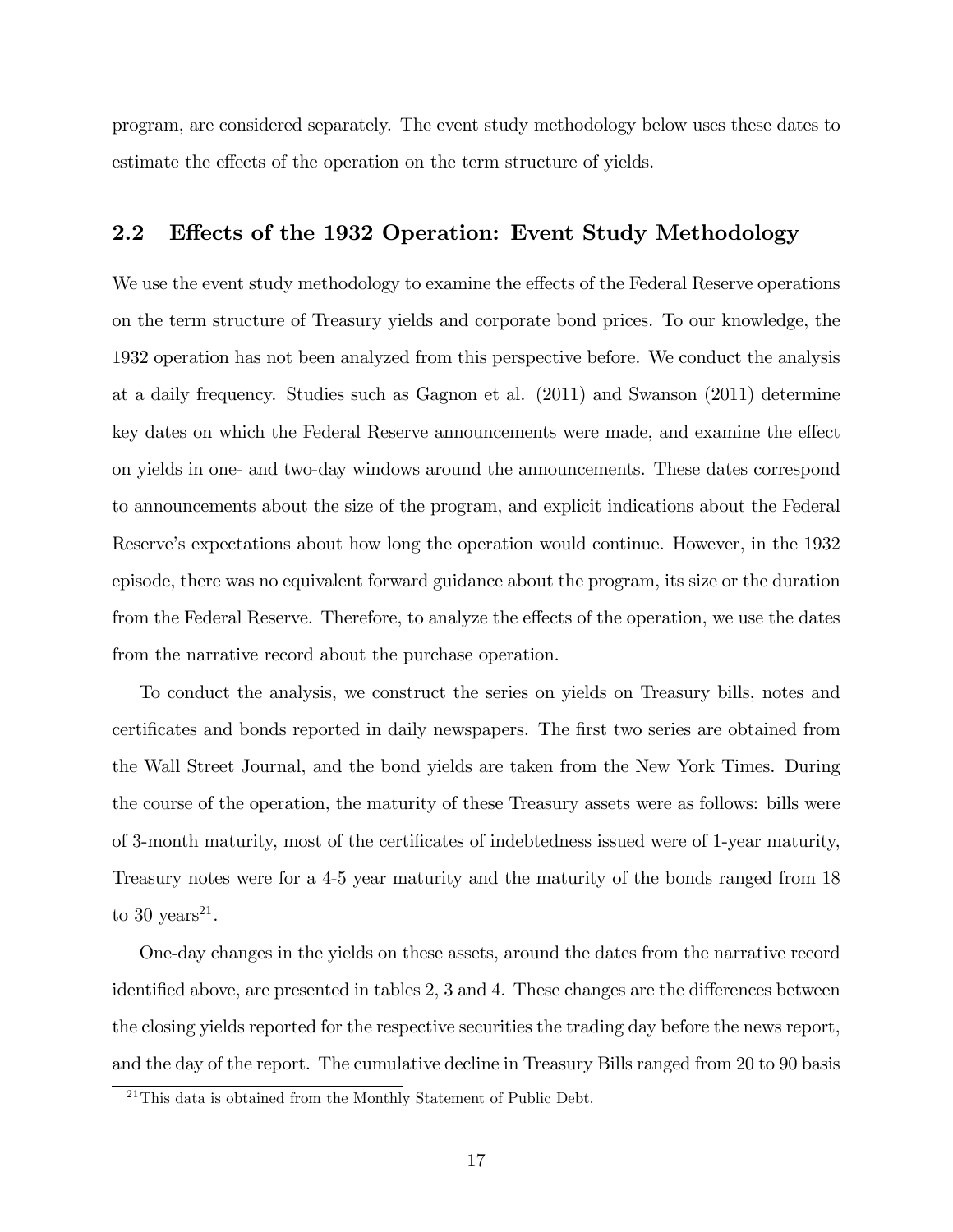program, are considered separately. The event study methodology below uses these dates to estimate the effects of the operation on the term structure of yields.

### 2.2 Effects of the 1932 Operation: Event Study Methodology

We use the event study methodology to examine the effects of the Federal Reserve operations on the term structure of Treasury yields and corporate bond prices. To our knowledge, the 1932 operation has not been analyzed from this perspective before. We conduct the analysis at a daily frequency. Studies such as Gagnon et al. (2011) and Swanson (2011) determine key dates on which the Federal Reserve announcements were made, and examine the effect on yields in one- and two-day windows around the announcements. These dates correspond to announcements about the size of the program, and explicit indications about the Federal Reserve's expectations about how long the operation would continue. However, in the 1932 episode, there was no equivalent forward guidance about the program, its size or the duration from the Federal Reserve. Therefore, to analyze the effects of the operation, we use the dates from the narrative record about the purchase operation.

To conduct the analysis, we construct the series on yields on Treasury bills, notes and certificates and bonds reported in daily newspapers. The first two series are obtained from the Wall Street Journal, and the bond yields are taken from the New York Times. During the course of the operation, the maturity of these Treasury assets were as follows: bills were of 3-month maturity, most of the certificates of indebtedness issued were of 1-year maturity, Treasury notes were for a 4-5 year maturity and the maturity of the bonds ranged from 18 to 30 years<sup>21</sup>.

One-day changes in the yields on these assets, around the dates from the narrative record identified above, are presented in tables  $2, 3$  and  $4$ . These changes are the differences between the closing yields reported for the respective securities the trading day before the news report, and the day of the report. The cumulative decline in Treasury Bills ranged from 20 to 90 basis

<sup>&</sup>lt;sup>21</sup>This data is obtained from the Monthly Statement of Public Debt.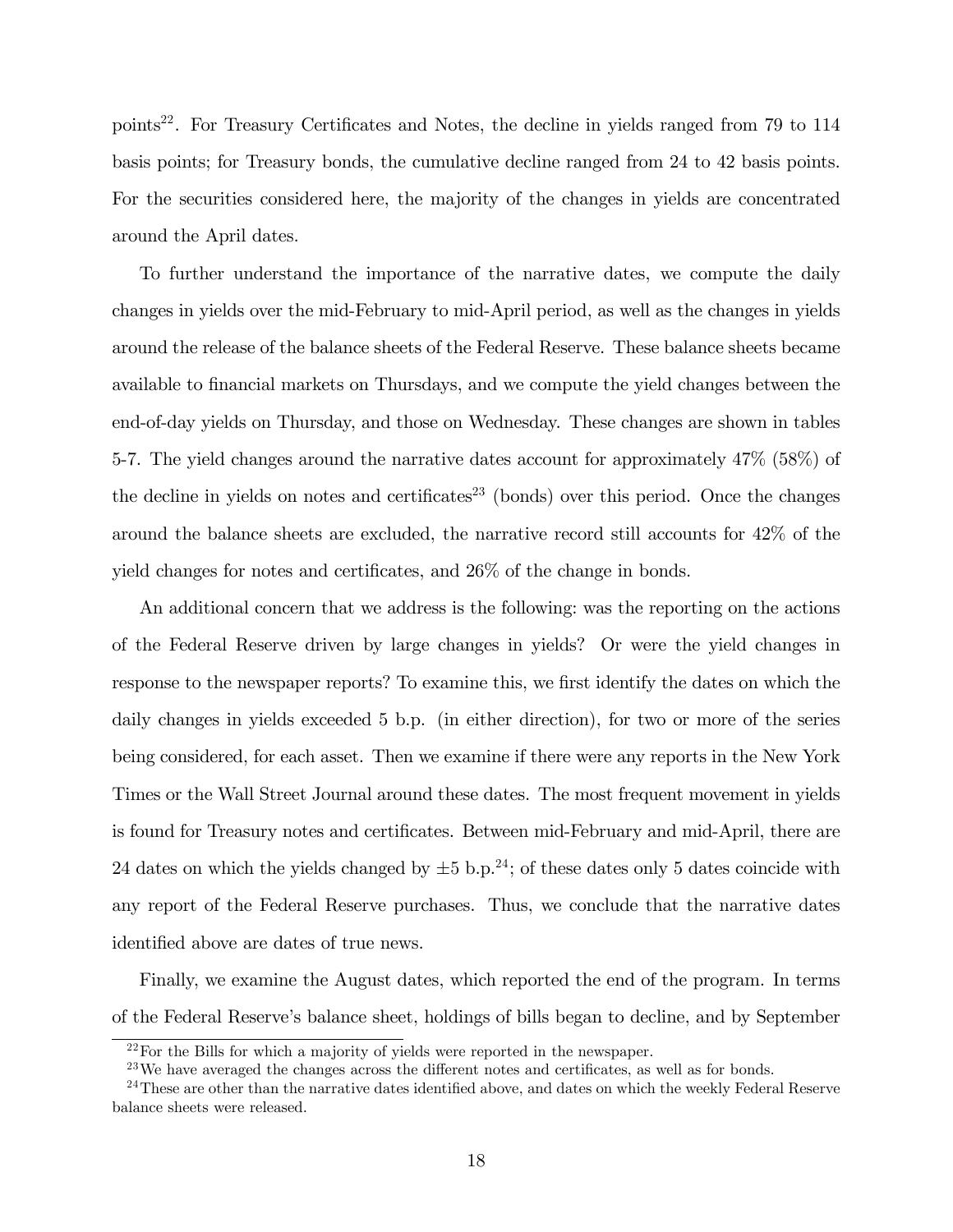points<sup>22</sup>. For Treasury Certificates and Notes, the decline in yields ranged from 79 to 114 basis points; for Treasury bonds, the cumulative decline ranged from 24 to 42 basis points. For the securities considered here, the majority of the changes in yields are concentrated around the April dates.

To further understand the importance of the narrative dates, we compute the daily changes in yields over the mid-February to mid-April period, as well as the changes in yields around the release of the balance sheets of the Federal Reserve. These balance sheets became available to financial markets on Thursdays, and we compute the yield changes between the end-of-day yields on Thursday, and those on Wednesday. These changes are shown in tables 5-7. The yield changes around the narrative dates account for approximately 47% (58%) of the decline in yields on notes and certificates<sup>23</sup> (bonds) over this period. Once the changes around the balance sheets are excluded, the narrative record still accounts for 42% of the yield changes for notes and certificates, and  $26\%$  of the change in bonds.

An additional concern that we address is the following: was the reporting on the actions of the Federal Reserve driven by large changes in yields? Or were the yield changes in response to the newspaper reports? To examine this, we first identify the dates on which the daily changes in yields exceeded 5 b.p. (in either direction), for two or more of the series being considered, for each asset. Then we examine if there were any reports in the New York Times or the Wall Street Journal around these dates. The most frequent movement in yields is found for Treasury notes and certificates. Between mid-February and mid-April, there are 24 dates on which the yields changed by  $\pm 5$  b.p.<sup>24</sup>; of these dates only 5 dates coincide with any report of the Federal Reserve purchases. Thus, we conclude that the narrative dates identified above are dates of true news.

Finally, we examine the August dates, which reported the end of the program. In terms of the Federal Reserveís balance sheet, holdings of bills began to decline, and by September

<sup>22</sup>For the Bills for which a majority of yields were reported in the newspaper.

 $^{23}$ We have averaged the changes across the different notes and certificates, as well as for bonds.

 $^{24}$ These are other than the narrative dates identified above, and dates on which the weekly Federal Reserve balance sheets were released.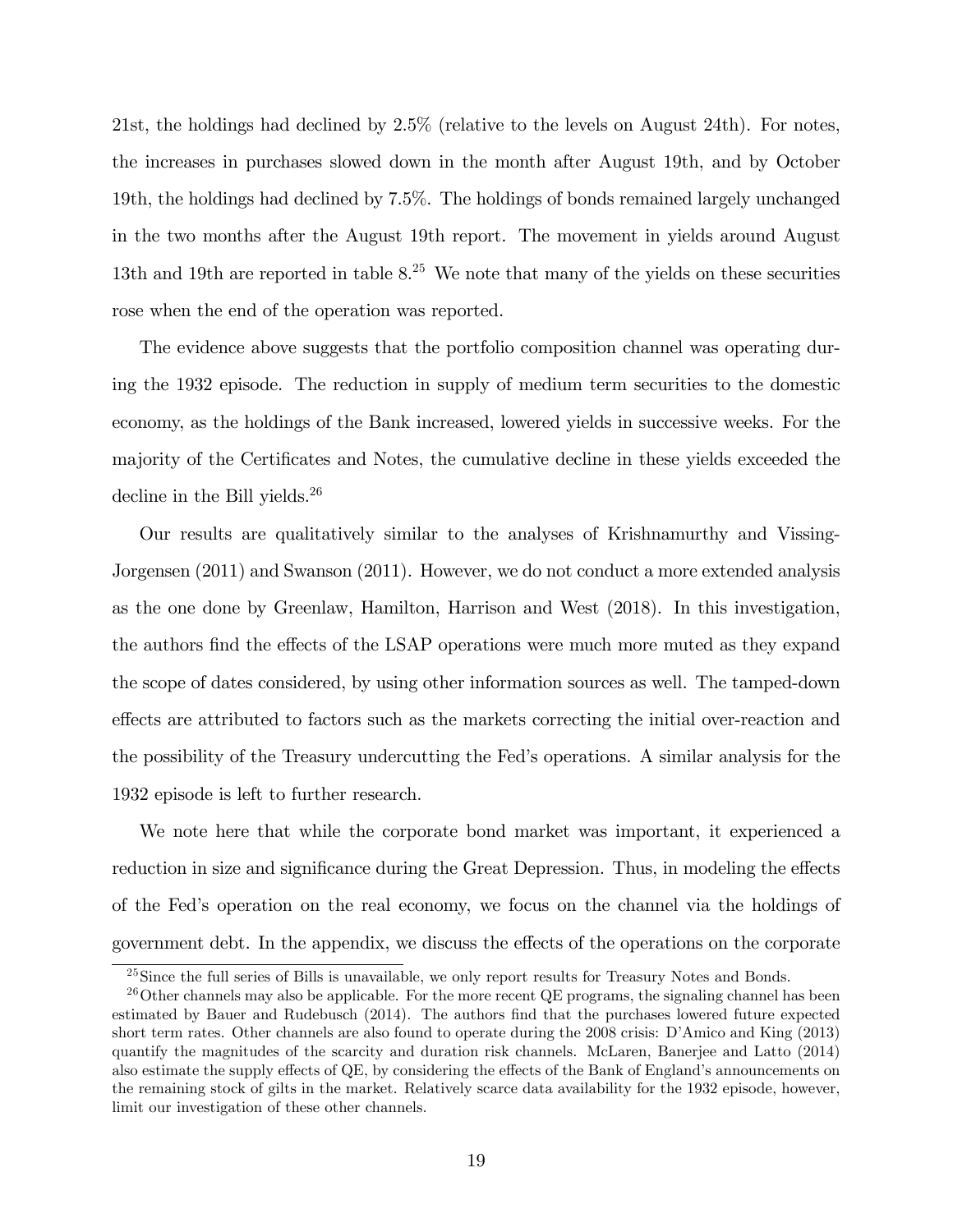21st, the holdings had declined by 2.5% (relative to the levels on August 24th). For notes, the increases in purchases slowed down in the month after August 19th, and by October 19th, the holdings had declined by 7.5%. The holdings of bonds remained largely unchanged in the two months after the August 19th report. The movement in yields around August 13th and 19th are reported in table  $8^{25}$ . We note that many of the yields on these securities rose when the end of the operation was reported.

The evidence above suggests that the portfolio composition channel was operating during the 1932 episode. The reduction in supply of medium term securities to the domestic economy, as the holdings of the Bank increased, lowered yields in successive weeks. For the majority of the Certificates and Notes, the cumulative decline in these yields exceeded the decline in the Bill yields.<sup>26</sup>

Our results are qualitatively similar to the analyses of Krishnamurthy and Vissing-Jorgensen (2011) and Swanson (2011). However, we do not conduct a more extended analysis as the one done by Greenlaw, Hamilton, Harrison and West (2018). In this investigation, the authors find the effects of the LSAP operations were much more muted as they expand the scope of dates considered, by using other information sources as well. The tamped-down effects are attributed to factors such as the markets correcting the initial over-reaction and the possibility of the Treasury undercutting the Fedís operations. A similar analysis for the 1932 episode is left to further research.

We note here that while the corporate bond market was important, it experienced a reduction in size and significance during the Great Depression. Thus, in modeling the effects of the Fedís operation on the real economy, we focus on the channel via the holdings of government debt. In the appendix, we discuss the effects of the operations on the corporate

<sup>&</sup>lt;sup>25</sup>Since the full series of Bills is unavailable, we only report results for Treasury Notes and Bonds.

 $^{26}$ Other channels may also be applicable. For the more recent QE programs, the signaling channel has been estimated by Bauer and Rudebusch (2014). The authors Önd that the purchases lowered future expected short term rates. Other channels are also found to operate during the 2008 crisis: D'Amico and King (2013) quantify the magnitudes of the scarcity and duration risk channels. McLaren, Banerjee and Latto (2014) also estimate the supply effects of QE, by considering the effects of the Bank of England's announcements on the remaining stock of gilts in the market. Relatively scarce data availability for the 1932 episode, however, limit our investigation of these other channels.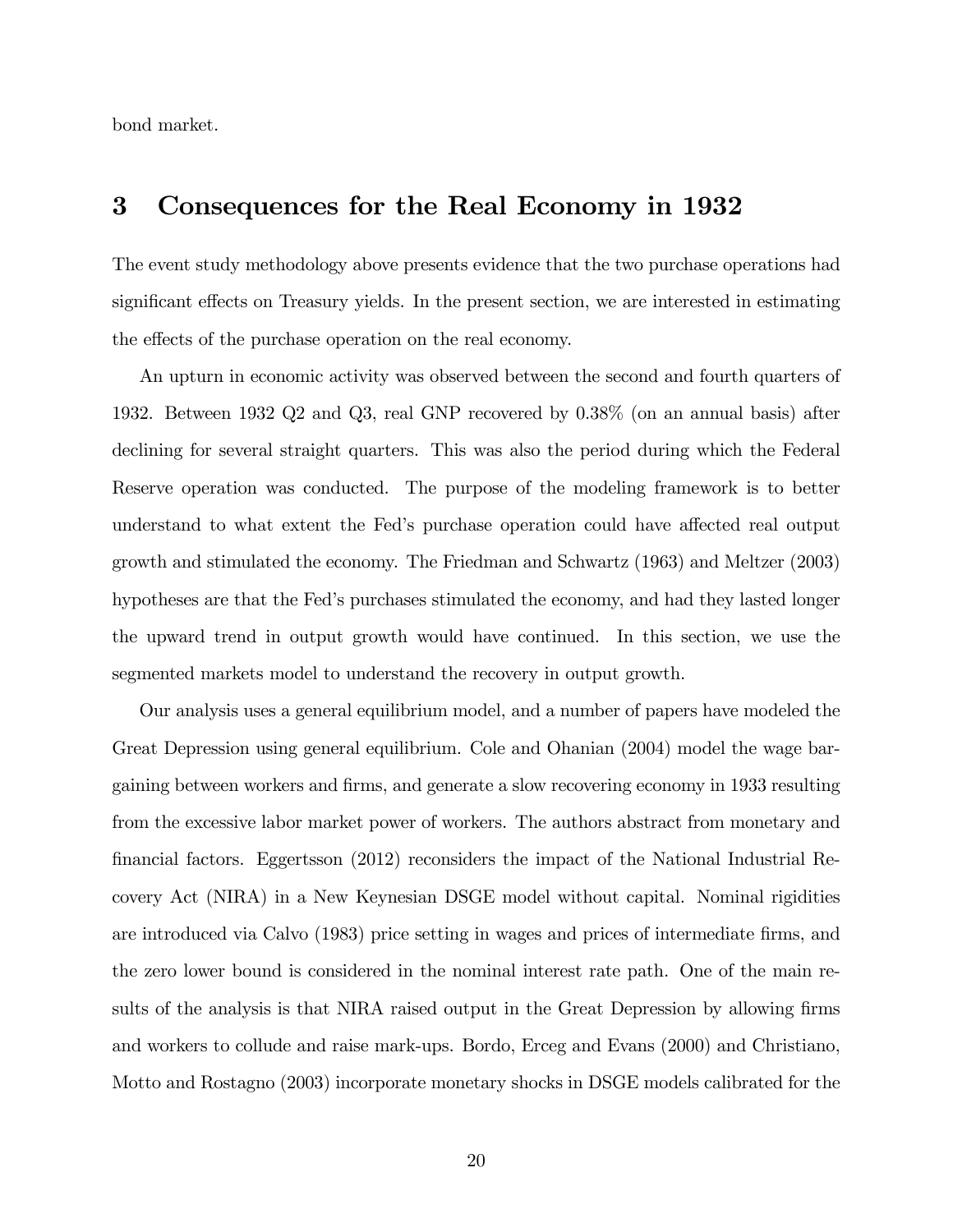bond market.

## 3 Consequences for the Real Economy in 1932

The event study methodology above presents evidence that the two purchase operations had significant effects on Treasury yields. In the present section, we are interested in estimating the effects of the purchase operation on the real economy.

An upturn in economic activity was observed between the second and fourth quarters of 1932. Between 1932 Q2 and Q3, real GNP recovered by 0.38% (on an annual basis) after declining for several straight quarters. This was also the period during which the Federal Reserve operation was conducted. The purpose of the modeling framework is to better understand to what extent the Fed's purchase operation could have affected real output growth and stimulated the economy. The Friedman and Schwartz (1963) and Meltzer (2003) hypotheses are that the Fedís purchases stimulated the economy, and had they lasted longer the upward trend in output growth would have continued. In this section, we use the segmented markets model to understand the recovery in output growth.

Our analysis uses a general equilibrium model, and a number of papers have modeled the Great Depression using general equilibrium. Cole and Ohanian (2004) model the wage bargaining between workers and Örms, and generate a slow recovering economy in 1933 resulting from the excessive labor market power of workers. The authors abstract from monetary and Önancial factors. Eggertsson (2012) reconsiders the impact of the National Industrial Recovery Act (NIRA) in a New Keynesian DSGE model without capital. Nominal rigidities are introduced via Calvo (1983) price setting in wages and prices of intermediate firms, and the zero lower bound is considered in the nominal interest rate path. One of the main results of the analysis is that NIRA raised output in the Great Depression by allowing firms and workers to collude and raise mark-ups. Bordo, Erceg and Evans (2000) and Christiano, Motto and Rostagno (2003) incorporate monetary shocks in DSGE models calibrated for the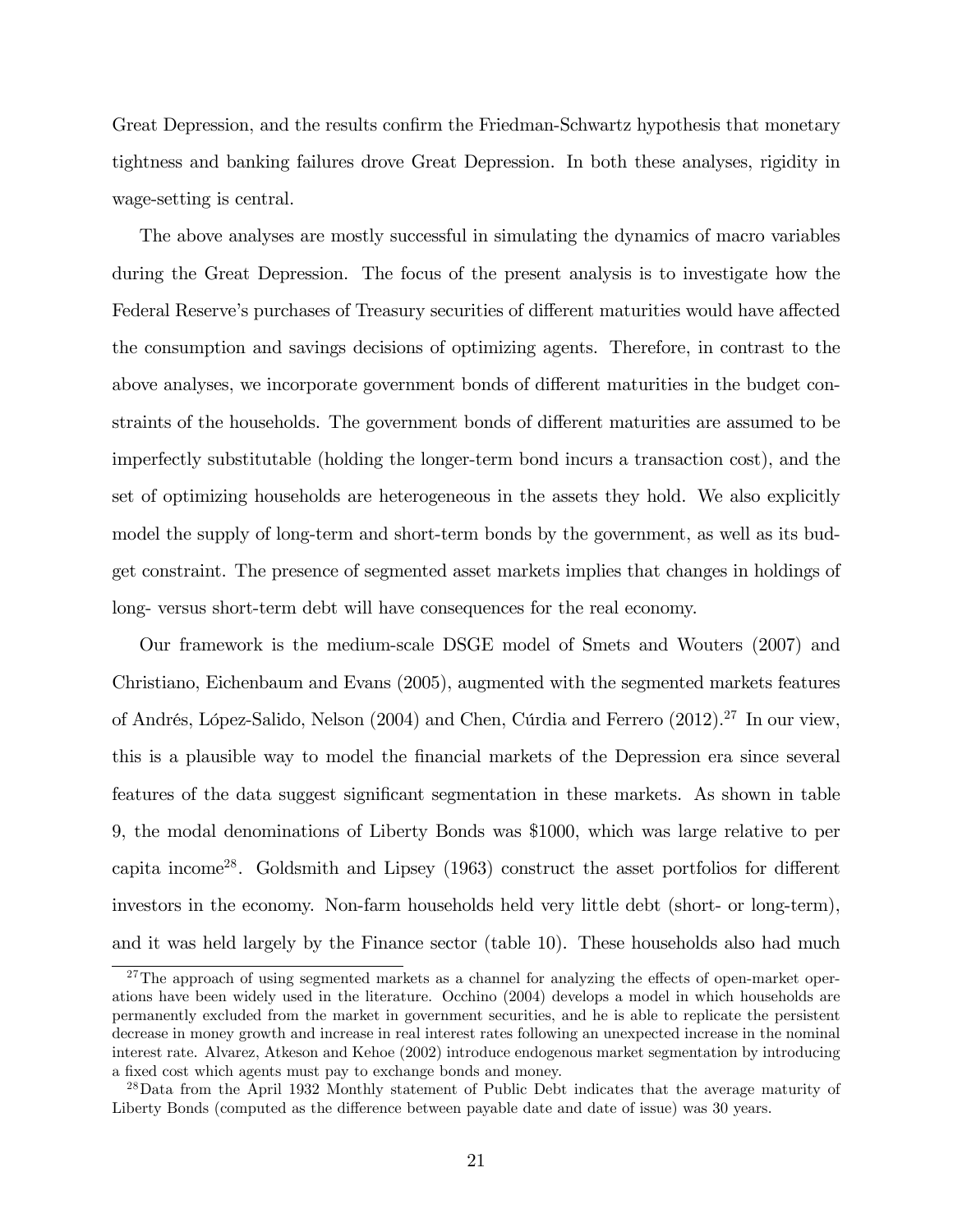Great Depression, and the results confirm the Friedman-Schwartz hypothesis that monetary tightness and banking failures drove Great Depression. In both these analyses, rigidity in wage-setting is central.

The above analyses are mostly successful in simulating the dynamics of macro variables during the Great Depression. The focus of the present analysis is to investigate how the Federal Reserve's purchases of Treasury securities of different maturities would have affected the consumption and savings decisions of optimizing agents. Therefore, in contrast to the above analyses, we incorporate government bonds of different maturities in the budget constraints of the households. The government bonds of different maturities are assumed to be imperfectly substitutable (holding the longer-term bond incurs a transaction cost), and the set of optimizing households are heterogeneous in the assets they hold. We also explicitly model the supply of long-term and short-term bonds by the government, as well as its budget constraint. The presence of segmented asset markets implies that changes in holdings of long- versus short-term debt will have consequences for the real economy.

Our framework is the medium-scale DSGE model of Smets and Wouters (2007) and Christiano, Eichenbaum and Evans (2005), augmented with the segmented markets features of Andrés, López-Salido, Nelson (2004) and Chen, Cúrdia and Ferrero (2012).<sup>27</sup> In our view, this is a plausible way to model the Önancial markets of the Depression era since several features of the data suggest significant segmentation in these markets. As shown in table 9, the modal denominations of Liberty Bonds was \$1000, which was large relative to per capita income<sup>28</sup>. Goldsmith and Lipsey  $(1963)$  construct the asset portfolios for different investors in the economy. Non-farm households held very little debt (short- or long-term), and it was held largely by the Finance sector (table 10). These households also had much

 $27$ The approach of using segmented markets as a channel for analyzing the effects of open-market operations have been widely used in the literature. Occhino (2004) develops a model in which households are permanently excluded from the market in government securities, and he is able to replicate the persistent decrease in money growth and increase in real interest rates following an unexpected increase in the nominal interest rate. Alvarez, Atkeson and Kehoe (2002) introduce endogenous market segmentation by introducing a fixed cost which agents must pay to exchange bonds and money.

<sup>&</sup>lt;sup>28</sup>Data from the April 1932 Monthly statement of Public Debt indicates that the average maturity of Liberty Bonds (computed as the difference between payable date and date of issue) was 30 years.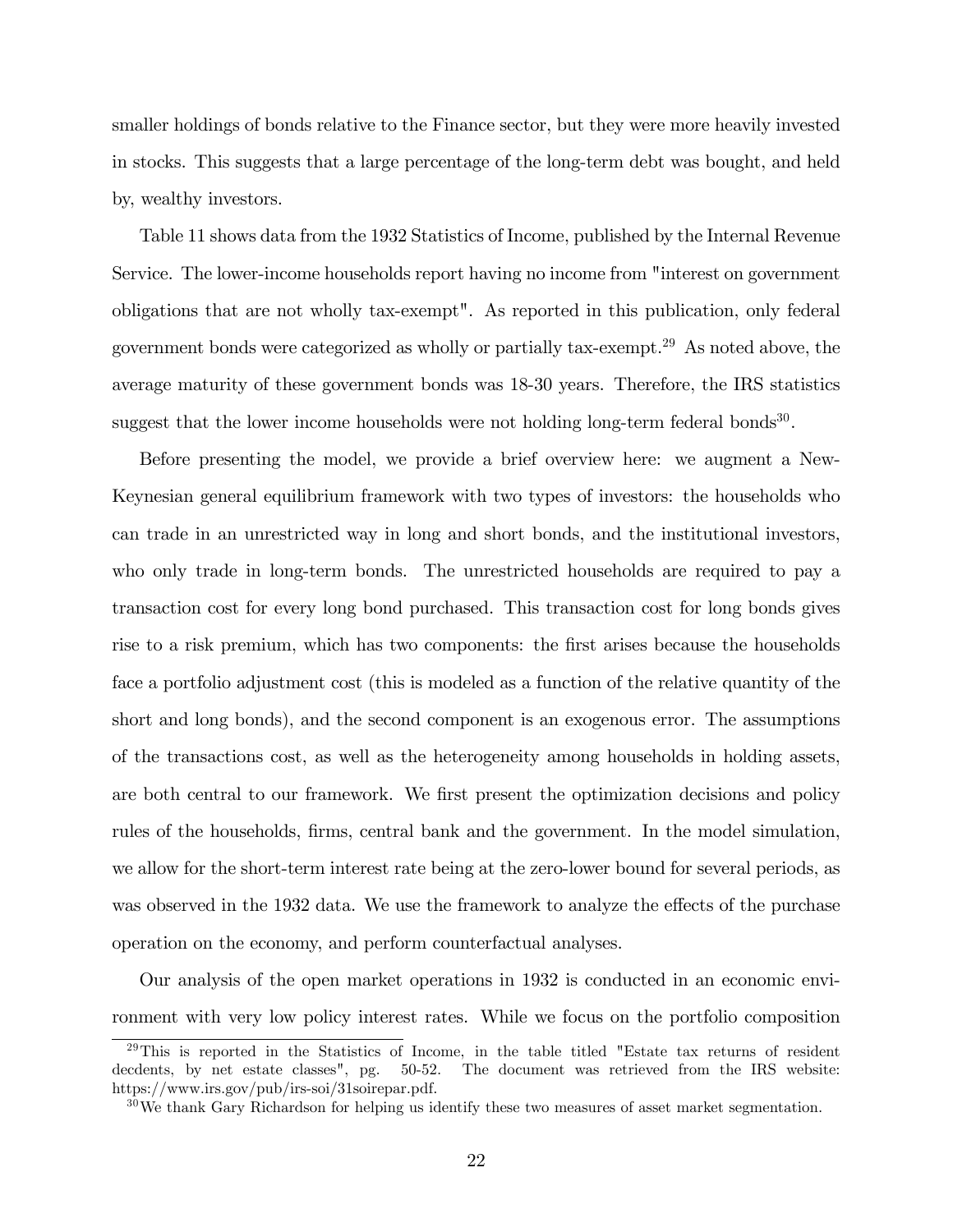smaller holdings of bonds relative to the Finance sector, but they were more heavily invested in stocks. This suggests that a large percentage of the long-term debt was bought, and held by, wealthy investors.

Table 11 shows data from the 1932 Statistics of Income, published by the Internal Revenue Service. The lower-income households report having no income from "interest on government obligations that are not wholly tax-exempt". As reported in this publication, only federal government bonds were categorized as wholly or partially tax-exempt.<sup>29</sup> As noted above, the average maturity of these government bonds was 18-30 years. Therefore, the IRS statistics suggest that the lower income households were not holding long-term federal bonds<sup>30</sup>.

Before presenting the model, we provide a brief overview here: we augment a New-Keynesian general equilibrium framework with two types of investors: the households who can trade in an unrestricted way in long and short bonds, and the institutional investors, who only trade in long-term bonds. The unrestricted households are required to pay a transaction cost for every long bond purchased. This transaction cost for long bonds gives rise to a risk premium, which has two components: the first arises because the households face a portfolio adjustment cost (this is modeled as a function of the relative quantity of the short and long bonds), and the second component is an exogenous error. The assumptions of the transactions cost, as well as the heterogeneity among households in holding assets, are both central to our framework. We first present the optimization decisions and policy rules of the households, firms, central bank and the government. In the model simulation, we allow for the short-term interest rate being at the zero-lower bound for several periods, as was observed in the 1932 data. We use the framework to analyze the effects of the purchase operation on the economy, and perform counterfactual analyses.

Our analysis of the open market operations in 1932 is conducted in an economic environment with very low policy interest rates. While we focus on the portfolio composition

<sup>&</sup>lt;sup>29</sup>This is reported in the Statistics of Income, in the table titled "Estate tax returns of resident decdents, by net estate classes", pg. 50-52. The document was retrieved from the IRS website: https://www.irs.gov/pub/irs-soi/31soirepar.pdf.

 $30\,\text{We thank Gary Richardson for helping us identify these two measures of asset market segmentation.}$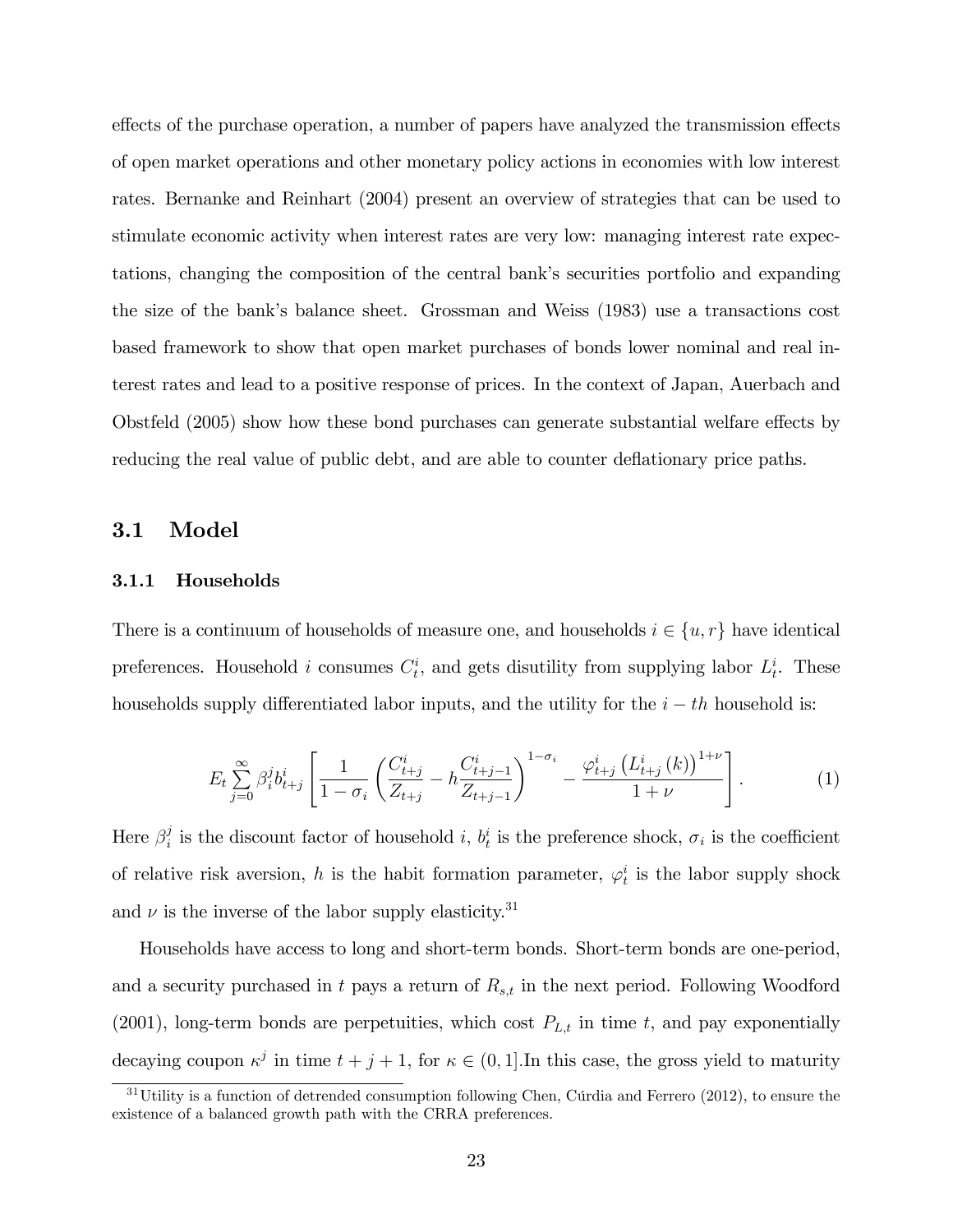effects of the purchase operation, a number of papers have analyzed the transmission effects of open market operations and other monetary policy actions in economies with low interest rates. Bernanke and Reinhart (2004) present an overview of strategies that can be used to stimulate economic activity when interest rates are very low: managing interest rate expectations, changing the composition of the central bank's securities portfolio and expanding the size of the bankís balance sheet. Grossman and Weiss (1983) use a transactions cost based framework to show that open market purchases of bonds lower nominal and real interest rates and lead to a positive response of prices. In the context of Japan, Auerbach and Obstfeld (2005) show how these bond purchases can generate substantial welfare effects by reducing the real value of public debt, and are able to counter deflationary price paths.

#### 3.1 Model

#### 3.1.1 Households

There is a continuum of households of measure one, and households  $i \in \{u, r\}$  have identical preferences. Household *i* consumes  $C_t^i$ , and gets disutility from supplying labor  $L_t^i$ . These households supply differentiated labor inputs, and the utility for the  $i - th$  household is:

$$
E_t \sum_{j=0}^{\infty} \beta_i^j b_{t+j}^i \left[ \frac{1}{1 - \sigma_i} \left( \frac{C_{t+j}^i}{Z_{t+j}} - h \frac{C_{t+j-1}^i}{Z_{t+j-1}} \right)^{1 - \sigma_i} - \frac{\varphi_{t+j}^i \left( L_{t+j}^i \left( k \right) \right)^{1+\nu}}{1+\nu} \right]. \tag{1}
$$

Here  $\beta_i^j$  $i_i$  is the discount factor of household i,  $b_i^i$  is the preference shock,  $\sigma_i$  is the coefficient of relative risk aversion, h is the habit formation parameter,  $\varphi_t^i$  is the labor supply shock and  $\nu$  is the inverse of the labor supply elasticity.<sup>31</sup>

Households have access to long and short-term bonds. Short-term bonds are one-period, and a security purchased in t pays a return of  $R_{s,t}$  in the next period. Following Woodford (2001), long-term bonds are perpetuities, which cost  $P_{L,t}$  in time t, and pay exponentially decaying coupon  $\kappa^j$  in time  $t + j + 1$ , for  $\kappa \in (0, 1]$ . In this case, the gross yield to maturity

 $31$ Utility is a function of detrended consumption following Chen, Cúrdia and Ferrero (2012), to ensure the existence of a balanced growth path with the CRRA preferences.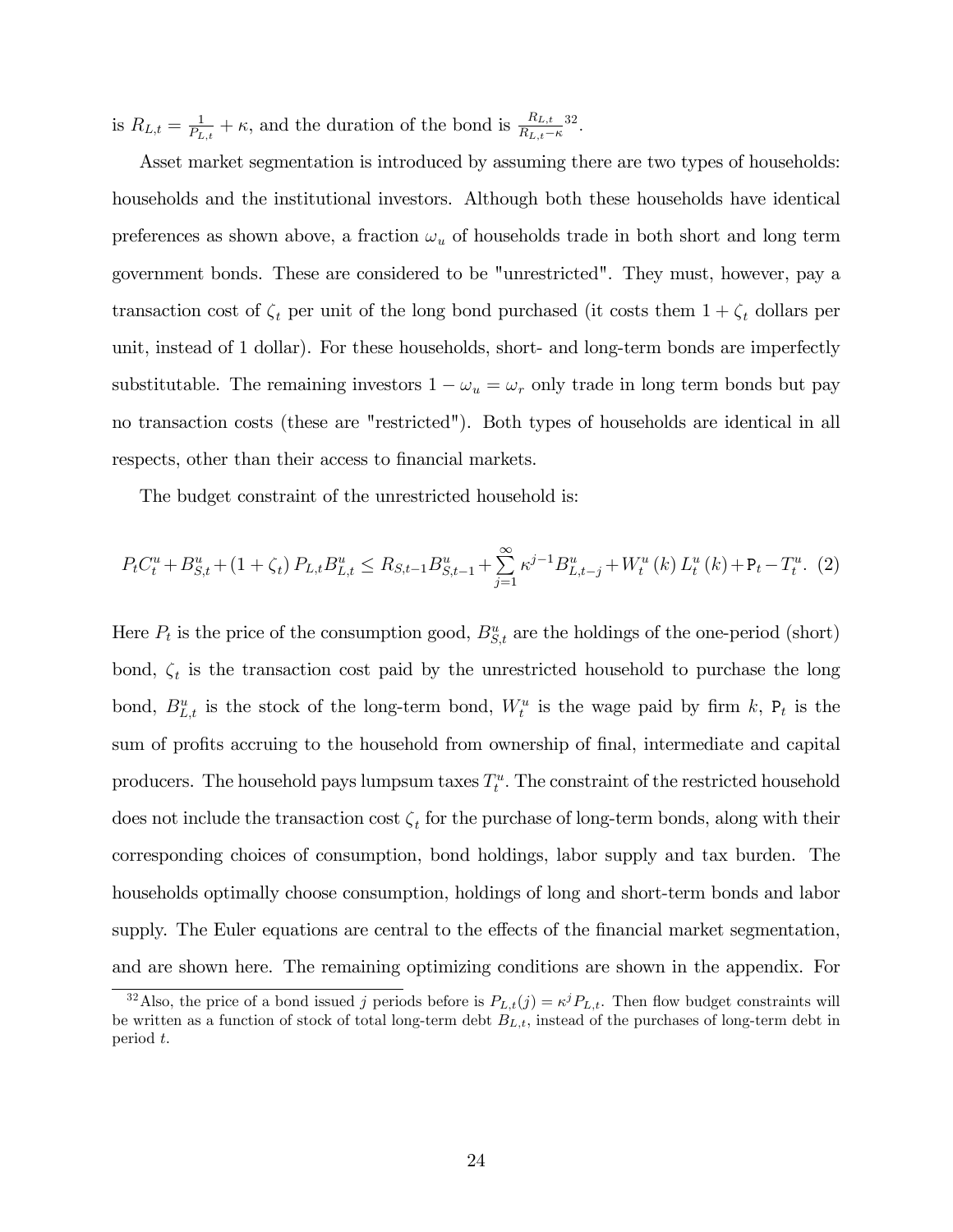is  $R_{L,t} = \frac{1}{P_t}$  $\frac{1}{P_{L,t}} + \kappa$ , and the duration of the bond is  $\frac{R_{L,t}}{R_{L,t} - \kappa}$ 32 :

Asset market segmentation is introduced by assuming there are two types of households: households and the institutional investors. Although both these households have identical preferences as shown above, a fraction  $\omega_u$  of households trade in both short and long term government bonds. These are considered to be "unrestricted". They must, however, pay a transaction cost of  $\zeta_t$  per unit of the long bond purchased (it costs them  $1 + \zeta_t$  dollars per unit, instead of 1 dollar). For these households, short- and long-term bonds are imperfectly substitutable. The remaining investors  $1 - \omega_u = \omega_r$  only trade in long term bonds but pay no transaction costs (these are "restricted"). Both types of households are identical in all respects, other than their access to financial markets.

The budget constraint of the unrestricted household is:

$$
P_{t}C_{t}^{u} + B_{S,t}^{u} + (1 + \zeta_{t}) P_{L,t}B_{L,t}^{u} \leq R_{S,t-1}B_{S,t-1}^{u} + \sum_{j=1}^{\infty} \kappa^{j-1} B_{L,t-j}^{u} + W_{t}^{u}(k) L_{t}^{u}(k) + \mathbf{P}_{t} - T_{t}^{u}.
$$
 (2)

Here  $P_t$  is the price of the consumption good,  $B_{S,t}^u$  are the holdings of the one-period (short) bond,  $\zeta_t$  is the transaction cost paid by the unrestricted household to purchase the long bond,  $B_{L,t}^u$  is the stock of the long-term bond,  $W_t^u$  is the wage paid by firm k,  $P_t$  is the sum of profits accruing to the household from ownership of final, intermediate and capital producers. The household pays lumpsum taxes  $T_t^u$ . The constraint of the restricted household does not include the transaction cost  $\zeta_t$  for the purchase of long-term bonds, along with their corresponding choices of consumption, bond holdings, labor supply and tax burden. The households optimally choose consumption, holdings of long and short-term bonds and labor supply. The Euler equations are central to the effects of the financial market segmentation, and are shown here. The remaining optimizing conditions are shown in the appendix. For

<sup>&</sup>lt;sup>32</sup>Also, the price of a bond issued j periods before is  $P_{L,t}(j) = \kappa^j P_{L,t}$ . Then flow budget constraints will be written as a function of stock of total long-term debt  $B_{L,t}$ , instead of the purchases of long-term debt in period t.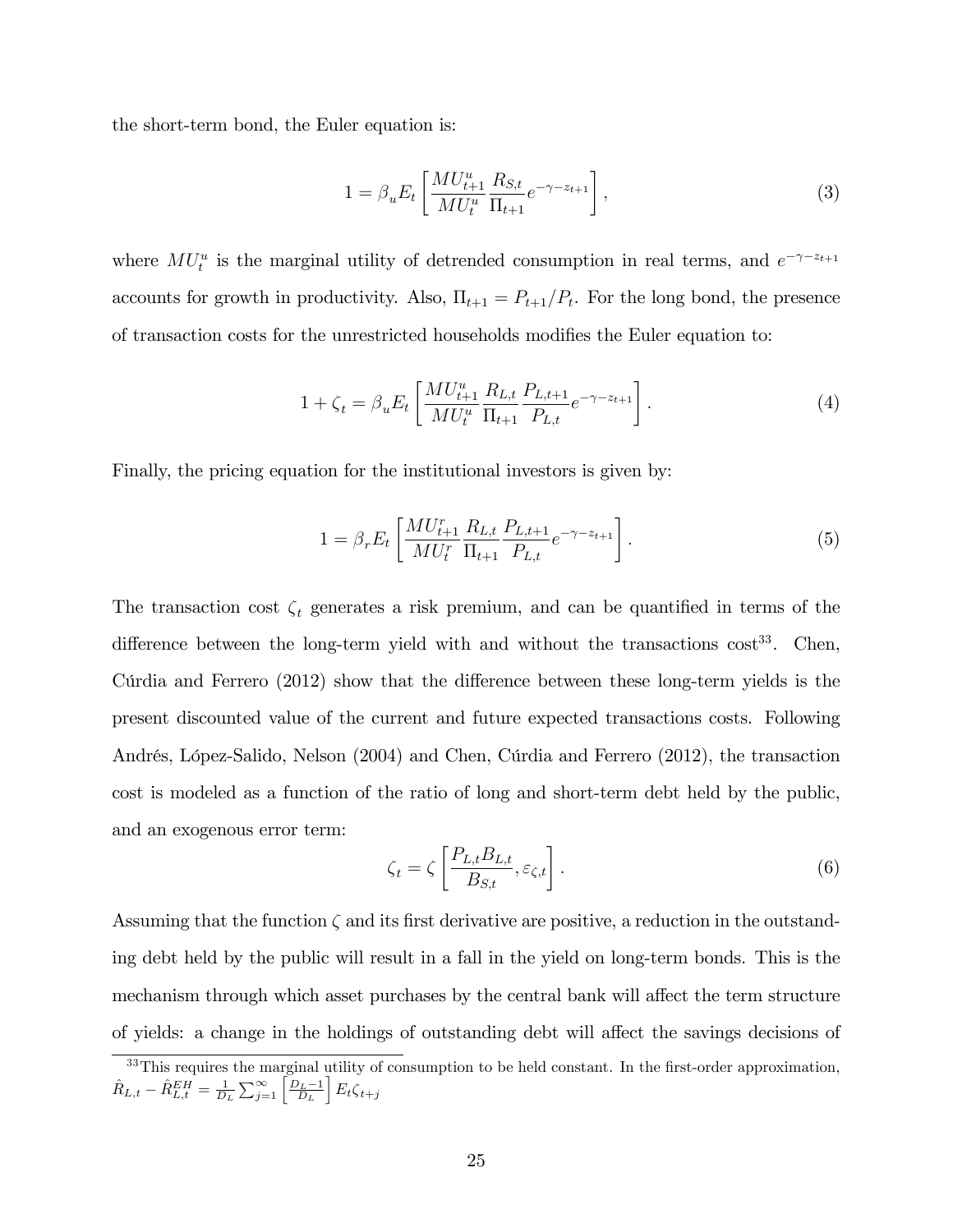the short-term bond, the Euler equation is:

$$
1 = \beta_u E_t \left[ \frac{M U_{t+1}^u}{M U_t^u} \frac{R_{S,t}}{\Pi_{t+1}} e^{-\gamma - z_{t+1}} \right],
$$
\n(3)

where  $MU_t^u$  is the marginal utility of detrended consumption in real terms, and  $e^{-\gamma - z_{t+1}}$ accounts for growth in productivity. Also,  $\Pi_{t+1} = P_{t+1}/P_t$ . For the long bond, the presence of transaction costs for the unrestricted households modifies the Euler equation to:

$$
1 + \zeta_t = \beta_u E_t \left[ \frac{M U_{t+1}^u}{M U_t^u} \frac{R_{L,t}}{\Pi_{t+1}} \frac{P_{L,t+1}}{P_{L,t}} e^{-\gamma - z_{t+1}} \right]. \tag{4}
$$

Finally, the pricing equation for the institutional investors is given by:

$$
1 = \beta_r E_t \left[ \frac{M U_{t+1}^r}{M U_t^r} \frac{R_{L,t}}{\Pi_{t+1}} \frac{P_{L,t+1}}{P_{L,t}} e^{-\gamma - z_{t+1}} \right]. \tag{5}
$$

The transaction cost  $\zeta_t$  generates a risk premium, and can be quantified in terms of the difference between the long-term yield with and without the transactions  $\cos t^{33}$ . Chen, Cutria and Ferrero  $(2012)$  show that the difference between these long-term yields is the present discounted value of the current and future expected transactions costs. Following Andrés, López-Salido, Nelson (2004) and Chen, Cúrdia and Ferrero (2012), the transaction cost is modeled as a function of the ratio of long and short-term debt held by the public, and an exogenous error term:

$$
\zeta_t = \zeta \left[ \frac{P_{L,t} B_{L,t}}{B_{S,t}}, \varepsilon_{\zeta,t} \right]. \tag{6}
$$

Assuming that the function  $\zeta$  and its first derivative are positive, a reduction in the outstanding debt held by the public will result in a fall in the yield on long-term bonds. This is the mechanism through which asset purchases by the central bank will affect the term structure of yields: a change in the holdings of outstanding debt will affect the savings decisions of

 $33$ This requires the marginal utility of consumption to be held constant. In the first-order approximation,  $\hat{R}_{L,t} - \hat{R}^{EH}_{L,t} = \frac{1}{D_L} \sum_{j=1}^{\infty} \left[ \frac{D_L - 1}{D_L} \right]$  $E_t \zeta_{t+j}$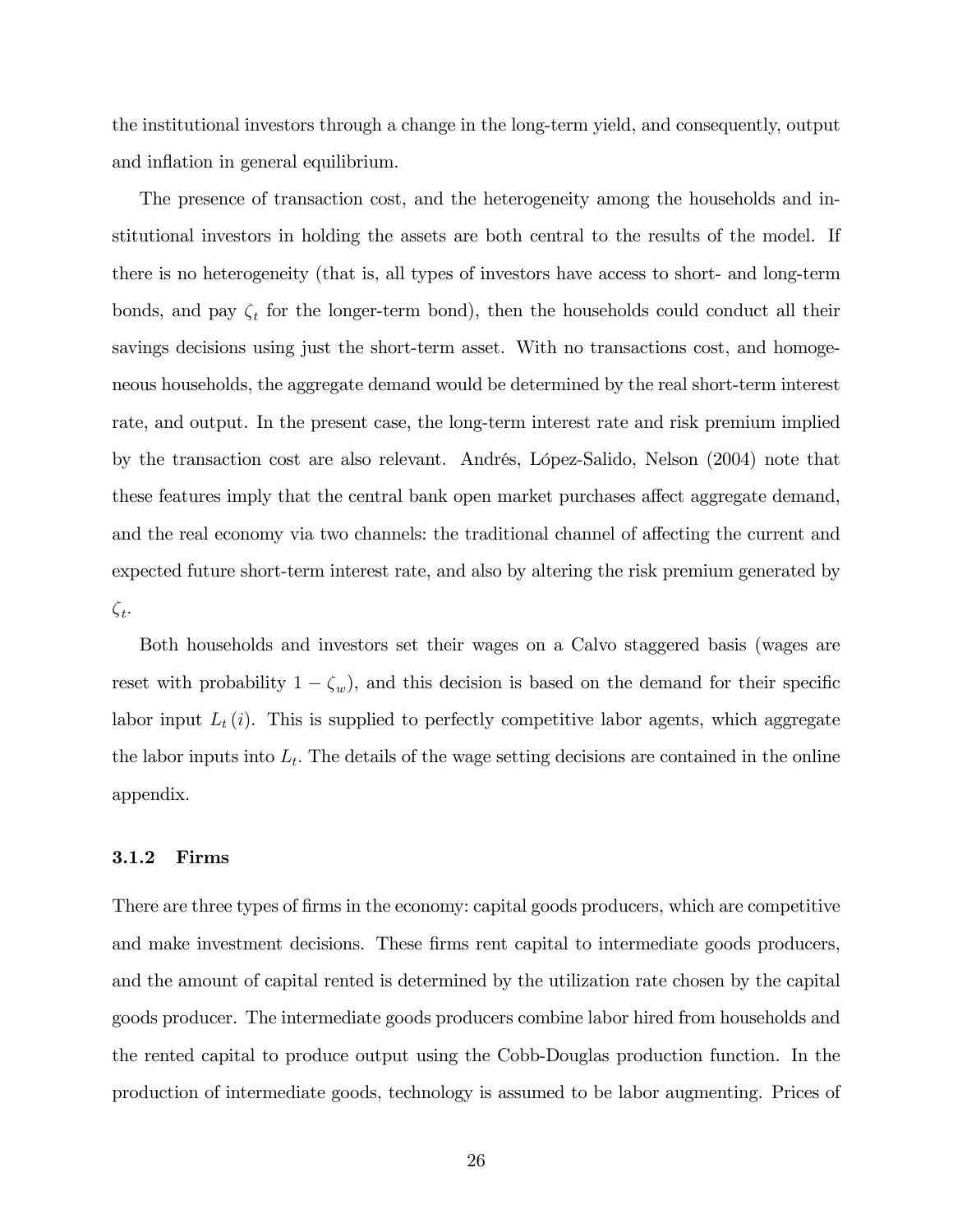the institutional investors through a change in the long-term yield, and consequently, output and inflation in general equilibrium.

The presence of transaction cost, and the heterogeneity among the households and institutional investors in holding the assets are both central to the results of the model. If there is no heterogeneity (that is, all types of investors have access to short- and long-term bonds, and pay  $\zeta_t$  for the longer-term bond), then the households could conduct all their savings decisions using just the short-term asset. With no transactions cost, and homogeneous households, the aggregate demand would be determined by the real short-term interest rate, and output. In the present case, the long-term interest rate and risk premium implied by the transaction cost are also relevant. Andrés, López-Salido, Nelson (2004) note that these features imply that the central bank open market purchases affect aggregate demand, and the real economy via two channels: the traditional channel of affecting the current and expected future short-term interest rate, and also by altering the risk premium generated by  $\zeta_t$ .

Both households and investors set their wages on a Calvo staggered basis (wages are reset with probability  $1 - \zeta_w$ , and this decision is based on the demand for their specific labor input  $L_t(i)$ . This is supplied to perfectly competitive labor agents, which aggregate the labor inputs into  $L_t$ . The details of the wage setting decisions are contained in the online appendix.

#### 3.1.2 Firms

There are three types of firms in the economy: capital goods producers, which are competitive and make investment decisions. These firms rent capital to intermediate goods producers, and the amount of capital rented is determined by the utilization rate chosen by the capital goods producer. The intermediate goods producers combine labor hired from households and the rented capital to produce output using the Cobb-Douglas production function. In the production of intermediate goods, technology is assumed to be labor augmenting. Prices of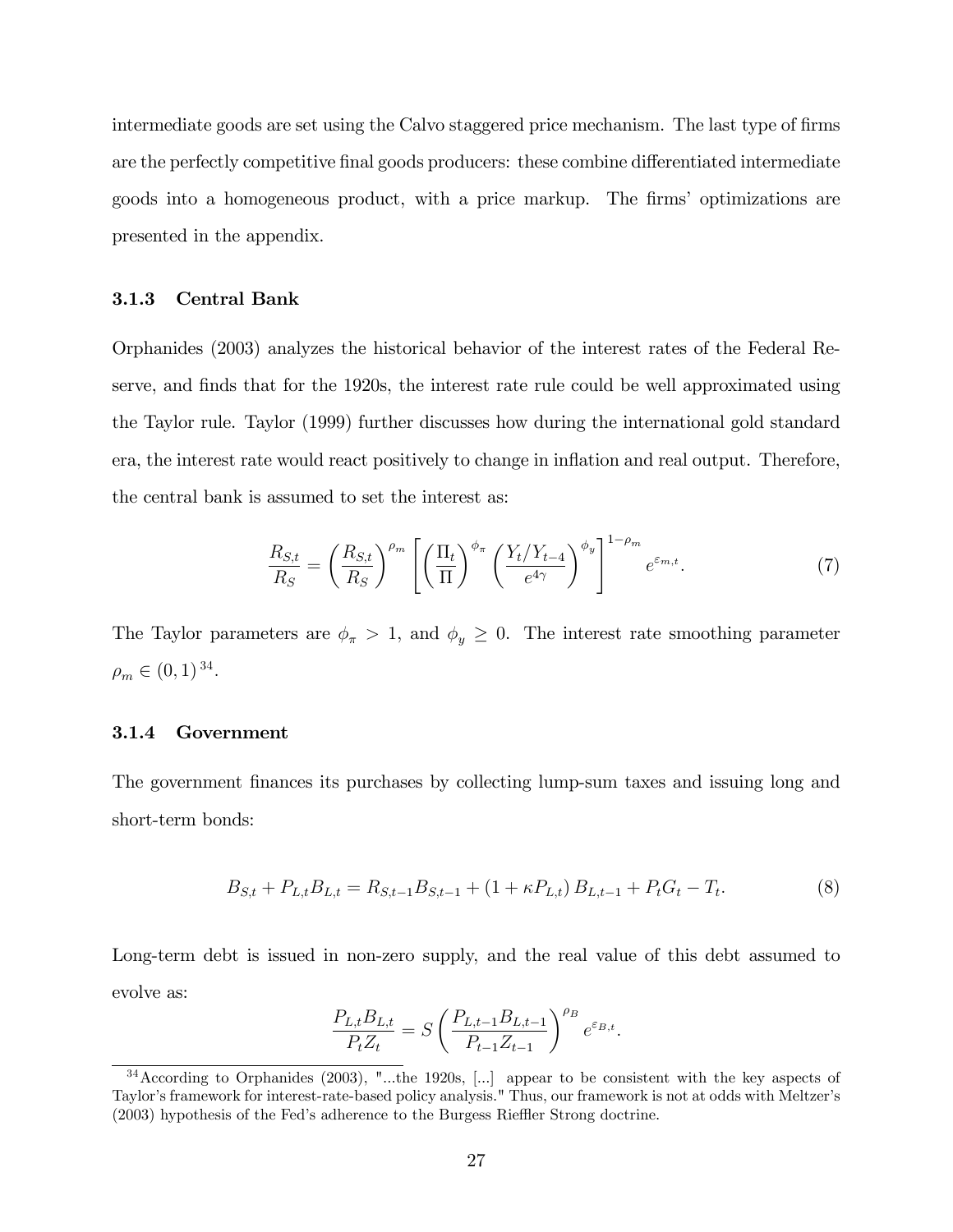intermediate goods are set using the Calvo staggered price mechanism. The last type of firms are the perfectly competitive final goods producers: these combine differentiated intermediate goods into a homogeneous product, with a price markup. The firms' optimizations are presented in the appendix.

#### 3.1.3 Central Bank

Orphanides (2003) analyzes the historical behavior of the interest rates of the Federal Reserve, and finds that for the 1920s, the interest rate rule could be well approximated using the Taylor rule. Taylor (1999) further discusses how during the international gold standard era, the interest rate would react positively to change in ináation and real output. Therefore, the central bank is assumed to set the interest as:

$$
\frac{R_{S,t}}{R_S} = \left(\frac{R_{S,t}}{R_S}\right)^{\rho_m} \left[ \left(\frac{\Pi_t}{\Pi}\right)^{\phi_\pi} \left(\frac{Y_t/Y_{t-4}}{e^{4\gamma}}\right)^{\phi_y} \right]^{1-\rho_m} e^{\varepsilon_{m,t}}.
$$
\n(7)

The Taylor parameters are  $\phi_{\pi} > 1$ , and  $\phi_{y} \geq 0$ . The interest rate smoothing parameter  $\rho_m \in (0, 1)^{34}.$ 

#### 3.1.4 Government

The government finances its purchases by collecting lump-sum taxes and issuing long and short-term bonds:

$$
B_{S,t} + P_{L,t}B_{L,t} = R_{S,t-1}B_{S,t-1} + (1 + \kappa P_{L,t})B_{L,t-1} + P_tG_t - T_t.
$$
\n
$$
(8)
$$

Long-term debt is issued in non-zero supply, and the real value of this debt assumed to evolve as:

$$
\frac{P_{L,t}B_{L,t}}{P_tZ_t} = S \left( \frac{P_{L,t-1}B_{L,t-1}}{P_{t-1}Z_{t-1}} \right)^{\rho_B} e^{\varepsilon_{B,t}}.
$$

<sup>34</sup>According to Orphanides (2003), "...the 1920s, [...] appear to be consistent with the key aspects of Taylor's framework for interest-rate-based policy analysis." Thus, our framework is not at odds with Meltzer's  $(2003)$  hypothesis of the Fed's adherence to the Burgess Rieffler Strong doctrine.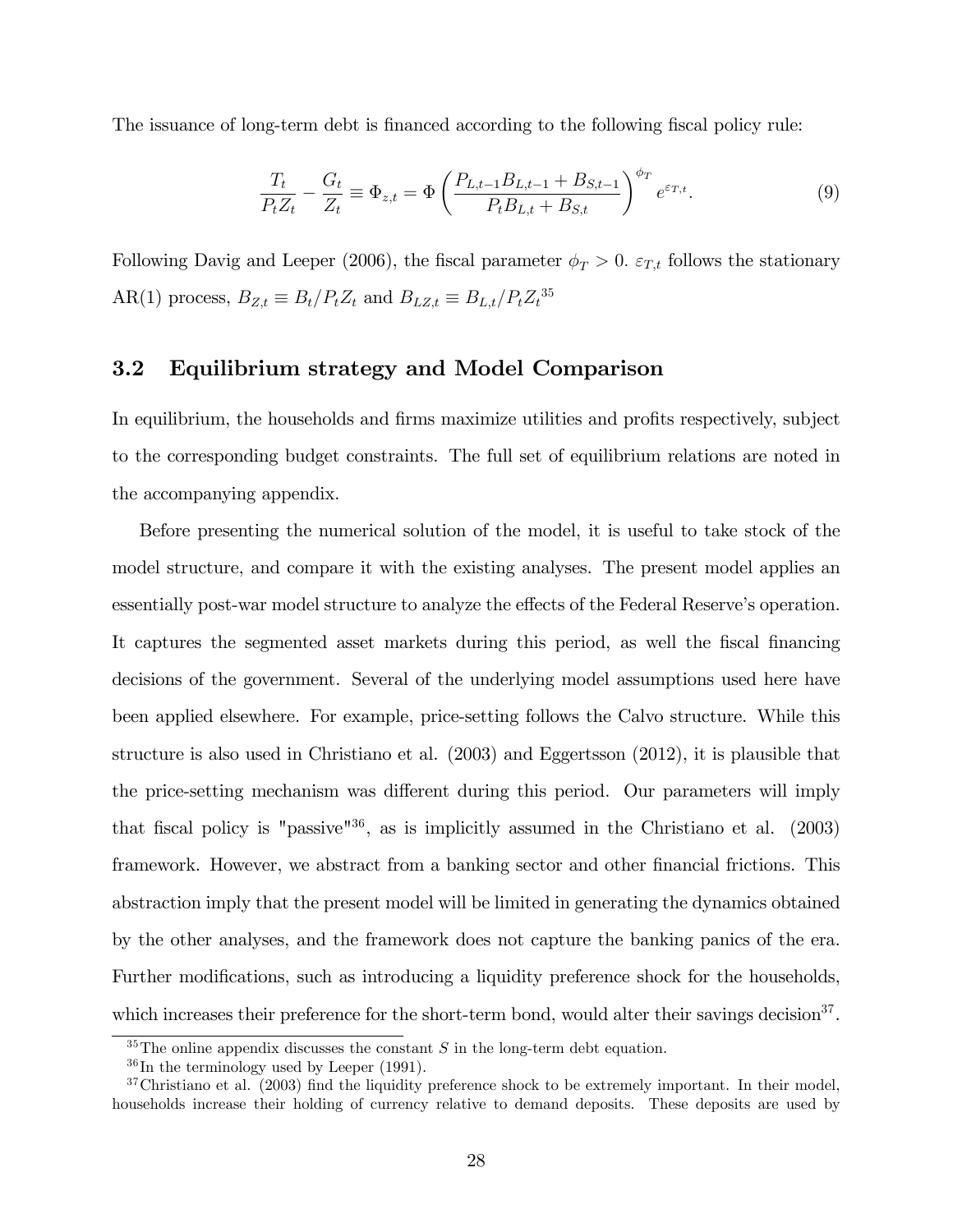The issuance of long-term debt is financed according to the following fiscal policy rule:

$$
\frac{T_t}{P_t Z_t} - \frac{G_t}{Z_t} \equiv \Phi_{z,t} = \Phi \left( \frac{P_{L,t-1} B_{L,t-1} + B_{S,t-1}}{P_t B_{L,t} + B_{S,t}} \right)^{\phi_T} e^{\varepsilon_{T,t}}.
$$
\n(9)

Following Davig and Leeper (2006), the fiscal parameter  $\phi_T > 0$ .  $\varepsilon_{T,t}$  follows the stationary AR(1) process,  $B_{Z,t} \equiv B_t/P_tZ_t$  and  $B_{LZ,t} \equiv B_{L,t}/P_tZ_t^{35}$ 

### 3.2 Equilibrium strategy and Model Comparison

In equilibrium, the households and firms maximize utilities and profits respectively, subject to the corresponding budget constraints. The full set of equilibrium relations are noted in the accompanying appendix.

Before presenting the numerical solution of the model, it is useful to take stock of the model structure, and compare it with the existing analyses. The present model applies an essentially post-war model structure to analyze the effects of the Federal Reserve's operation. It captures the segmented asset markets during this period, as well the fiscal financing decisions of the government. Several of the underlying model assumptions used here have been applied elsewhere. For example, price-setting follows the Calvo structure. While this structure is also used in Christiano et al. (2003) and Eggertsson (2012), it is plausible that the price-setting mechanism was different during this period. Our parameters will imply that fiscal policy is "passive" $36$ , as is implicitly assumed in the Christiano et al. (2003) framework. However, we abstract from a banking sector and other financial frictions. This abstraction imply that the present model will be limited in generating the dynamics obtained by the other analyses, and the framework does not capture the banking panics of the era. Further modifications, such as introducing a liquidity preference shock for the households, which increases their preference for the short-term bond, would alter their savings decision<sup>37</sup>.

<sup>&</sup>lt;sup>35</sup>The online appendix discusses the constant S in the long-term debt equation.

 $36$ In the terminology used by Leeper (1991).

 $37$ Christiano et al. (2003) find the liquidity preference shock to be extremely important. In their model, households increase their holding of currency relative to demand deposits. These deposits are used by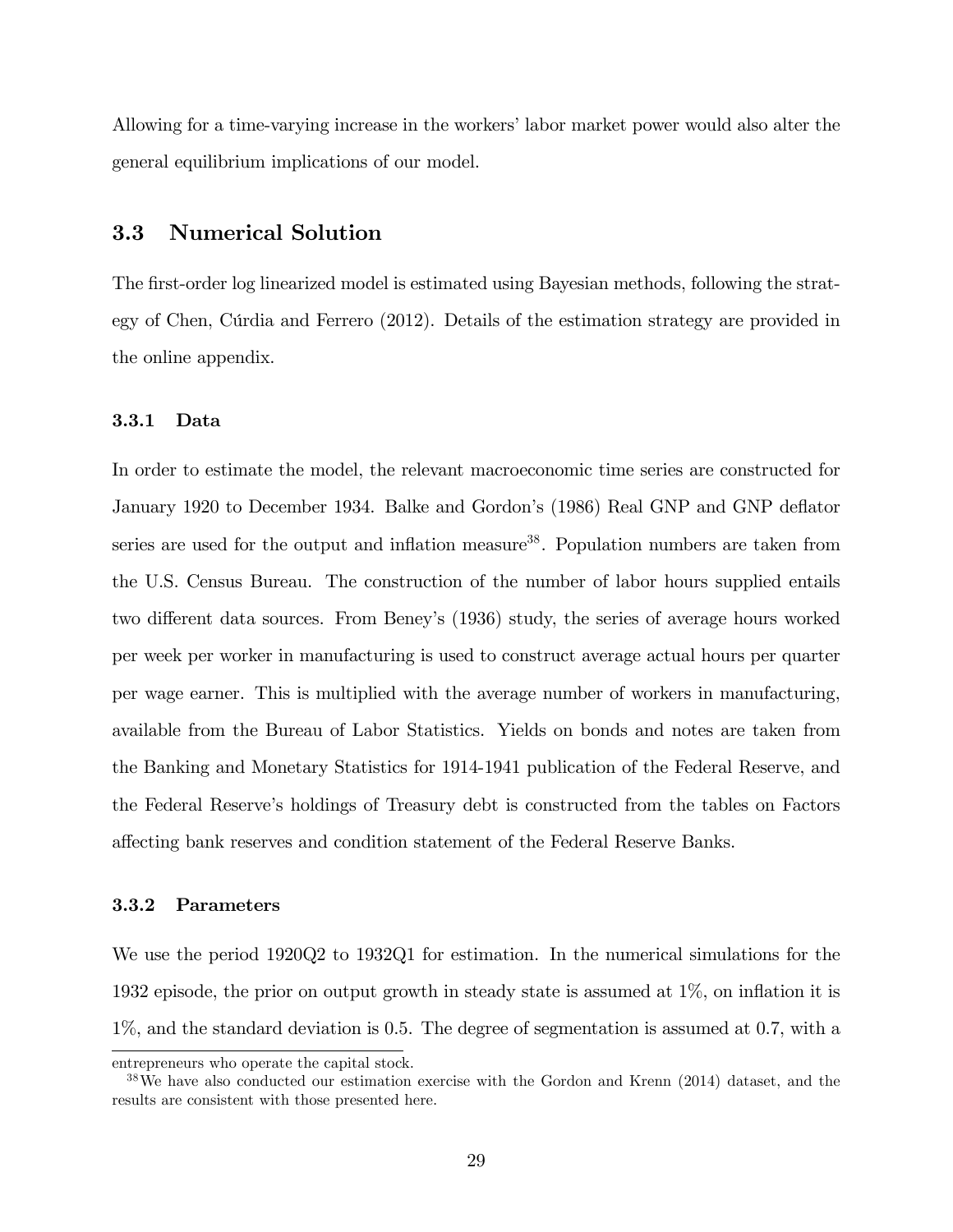Allowing for a time-varying increase in the workers' labor market power would also alter the general equilibrium implications of our model.

### 3.3 Numerical Solution

The first-order log linearized model is estimated using Bayesian methods, following the strategy of Chen, Cúrdia and Ferrero (2012). Details of the estimation strategy are provided in the online appendix.

#### 3.3.1 Data

In order to estimate the model, the relevant macroeconomic time series are constructed for January 1920 to December 1934. Balke and Gordon's (1986) Real GNP and GNP deflator series are used for the output and inflation measure<sup>38</sup>. Population numbers are taken from the U.S. Census Bureau. The construction of the number of labor hours supplied entails two different data sources. From Beney's (1936) study, the series of average hours worked per week per worker in manufacturing is used to construct average actual hours per quarter per wage earner. This is multiplied with the average number of workers in manufacturing, available from the Bureau of Labor Statistics. Yields on bonds and notes are taken from the Banking and Monetary Statistics for 1914-1941 publication of the Federal Reserve, and the Federal Reserveís holdings of Treasury debt is constructed from the tables on Factors a§ecting bank reserves and condition statement of the Federal Reserve Banks.

#### 3.3.2 Parameters

We use the period 1920Q2 to 1932Q1 for estimation. In the numerical simulations for the 1932 episode, the prior on output growth in steady state is assumed at  $1\%$ , on inflation it is 1%, and the standard deviation is 0.5. The degree of segmentation is assumed at 0.7, with a

entrepreneurs who operate the capital stock.

<sup>38</sup>We have also conducted our estimation exercise with the Gordon and Krenn (2014) dataset, and the results are consistent with those presented here.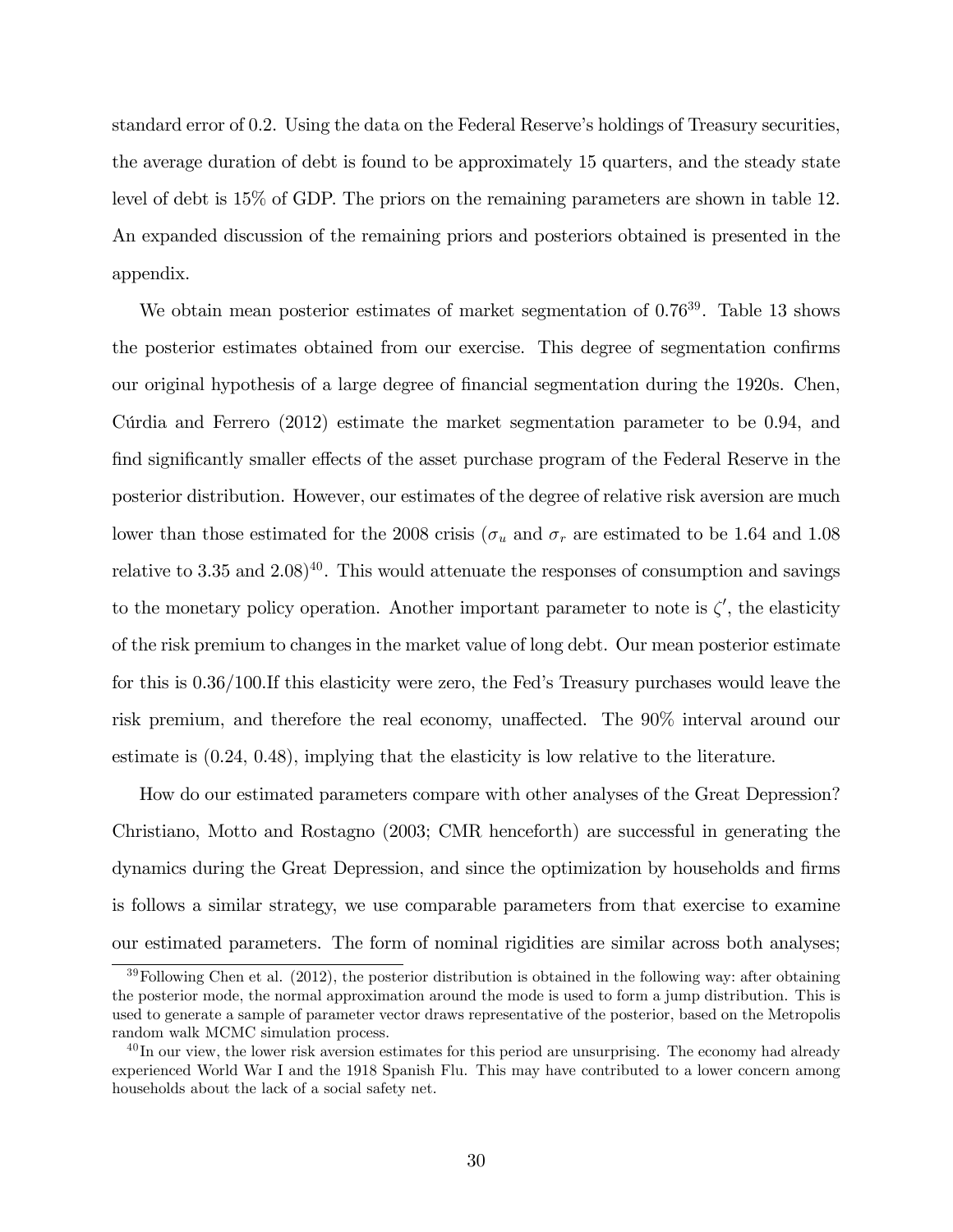standard error of 0.2. Using the data on the Federal Reserve's holdings of Treasury securities, the average duration of debt is found to be approximately 15 quarters, and the steady state level of debt is 15% of GDP. The priors on the remaining parameters are shown in table 12. An expanded discussion of the remaining priors and posteriors obtained is presented in the appendix.

We obtain mean posterior estimates of market segmentation of  $0.76^{39}$ . Table 13 shows the posterior estimates obtained from our exercise. This degree of segmentation confirms our original hypothesis of a large degree of financial segmentation during the 1920s. Chen, Curdia and Ferrero  $(2012)$  estimate the market segmentation parameter to be 0.94, and find significantly smaller effects of the asset purchase program of the Federal Reserve in the posterior distribution. However, our estimates of the degree of relative risk aversion are much lower than those estimated for the 2008 crisis ( $\sigma_u$  and  $\sigma_r$  are estimated to be 1.64 and 1.08 relative to 3.35 and  $2.08$ <sup>40</sup>. This would attenuate the responses of consumption and savings to the monetary policy operation. Another important parameter to note is  $\zeta'$ , the elasticity of the risk premium to changes in the market value of long debt. Our mean posterior estimate for this is  $0.36/100$ . If this elasticity were zero, the Fed's Treasury purchases would leave the risk premium, and therefore the real economy, unaffected. The 90% interval around our estimate is (0.24, 0.48), implying that the elasticity is low relative to the literature.

How do our estimated parameters compare with other analyses of the Great Depression? Christiano, Motto and Rostagno (2003; CMR henceforth) are successful in generating the dynamics during the Great Depression, and since the optimization by households and firms is follows a similar strategy, we use comparable parameters from that exercise to examine our estimated parameters. The form of nominal rigidities are similar across both analyses;

 $39$ Following Chen et al. (2012), the posterior distribution is obtained in the following way: after obtaining the posterior mode, the normal approximation around the mode is used to form a jump distribution. This is used to generate a sample of parameter vector draws representative of the posterior, based on the Metropolis random walk MCMC simulation process.

 $40$  In our view, the lower risk aversion estimates for this period are unsurprising. The economy had already experienced World War I and the 1918 Spanish Flu. This may have contributed to a lower concern among households about the lack of a social safety net.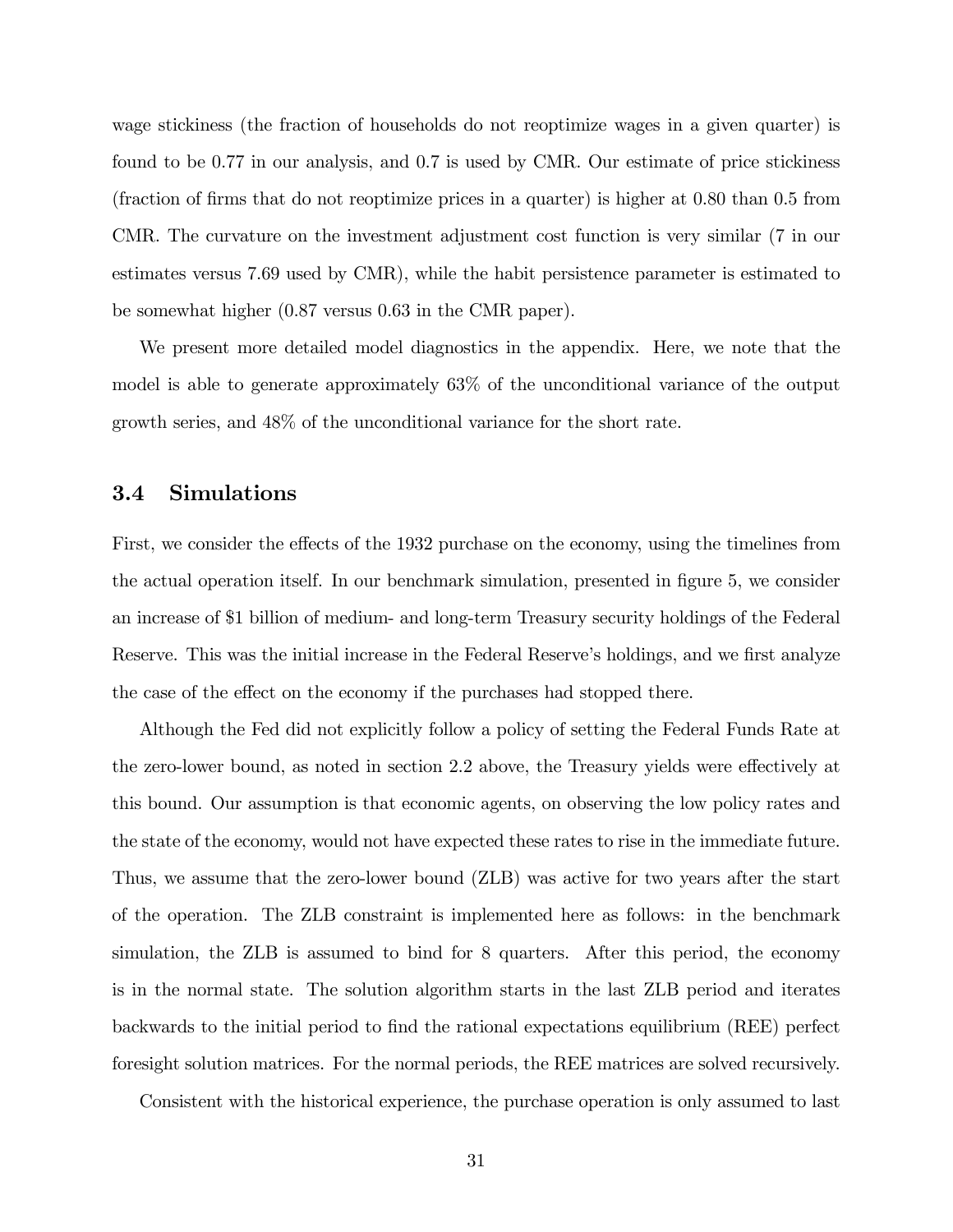wage stickiness (the fraction of households do not reoptimize wages in a given quarter) is found to be 0.77 in our analysis, and 0.7 is used by CMR. Our estimate of price stickiness (fraction of firms that do not reoptimize prices in a quarter) is higher at  $0.80$  than  $0.5$  from CMR. The curvature on the investment adjustment cost function is very similar (7 in our estimates versus 7.69 used by CMR), while the habit persistence parameter is estimated to be somewhat higher (0.87 versus 0.63 in the CMR paper).

We present more detailed model diagnostics in the appendix. Here, we note that the model is able to generate approximately 63% of the unconditional variance of the output growth series, and 48% of the unconditional variance for the short rate.

#### 3.4 Simulations

First, we consider the effects of the 1932 purchase on the economy, using the timelines from the actual operation itself. In our benchmark simulation, presented in figure 5, we consider an increase of \$1 billion of medium- and long-term Treasury security holdings of the Federal Reserve. This was the initial increase in the Federal Reserve's holdings, and we first analyze the case of the effect on the economy if the purchases had stopped there.

Although the Fed did not explicitly follow a policy of setting the Federal Funds Rate at the zero-lower bound, as noted in section 2.2 above, the Treasury yields were effectively at this bound. Our assumption is that economic agents, on observing the low policy rates and the state of the economy, would not have expected these rates to rise in the immediate future. Thus, we assume that the zero-lower bound (ZLB) was active for two years after the start of the operation. The ZLB constraint is implemented here as follows: in the benchmark simulation, the ZLB is assumed to bind for 8 quarters. After this period, the economy is in the normal state. The solution algorithm starts in the last ZLB period and iterates backwards to the initial period to find the rational expectations equilibrium (REE) perfect foresight solution matrices. For the normal periods, the REE matrices are solved recursively.

Consistent with the historical experience, the purchase operation is only assumed to last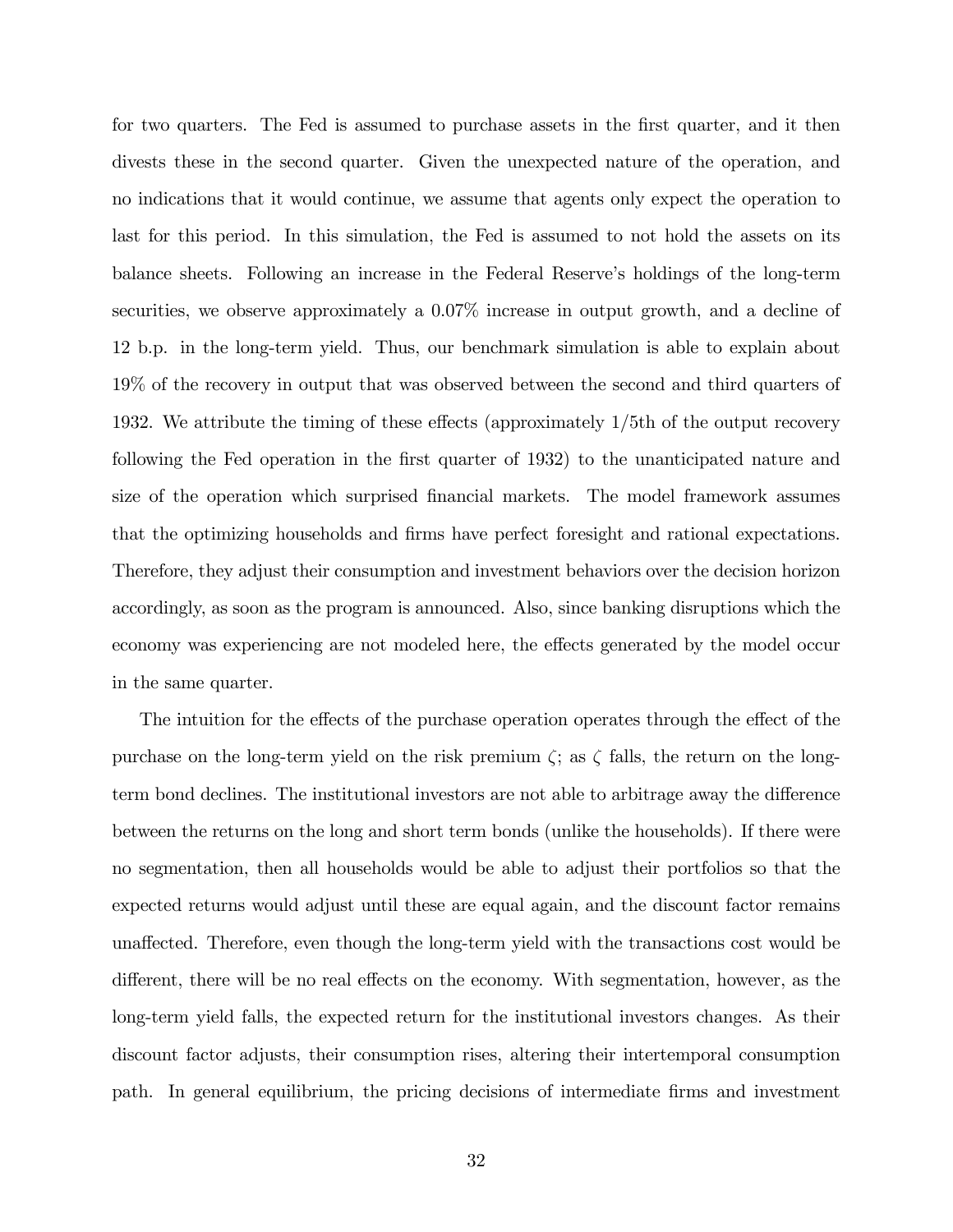for two quarters. The Fed is assumed to purchase assets in the first quarter, and it then divests these in the second quarter. Given the unexpected nature of the operation, and no indications that it would continue, we assume that agents only expect the operation to last for this period. In this simulation, the Fed is assumed to not hold the assets on its balance sheets. Following an increase in the Federal Reserve's holdings of the long-term securities, we observe approximately a 0.07% increase in output growth, and a decline of 12 b.p. in the long-term yield. Thus, our benchmark simulation is able to explain about 19% of the recovery in output that was observed between the second and third quarters of 1932. We attribute the timing of these effects (approximately  $1/5$ th of the output recovery following the Fed operation in the first quarter of 1932) to the unanticipated nature and size of the operation which surprised Önancial markets. The model framework assumes that the optimizing households and Örms have perfect foresight and rational expectations. Therefore, they adjust their consumption and investment behaviors over the decision horizon accordingly, as soon as the program is announced. Also, since banking disruptions which the economy was experiencing are not modeled here, the effects generated by the model occur in the same quarter.

The intuition for the effects of the purchase operation operates through the effect of the purchase on the long-term yield on the risk premium  $\zeta$ ; as  $\zeta$  falls, the return on the longterm bond declines. The institutional investors are not able to arbitrage away the difference between the returns on the long and short term bonds (unlike the households). If there were no segmentation, then all households would be able to adjust their portfolios so that the expected returns would adjust until these are equal again, and the discount factor remains unaffected. Therefore, even though the long-term yield with the transactions cost would be different, there will be no real effects on the economy. With segmentation, however, as the long-term yield falls, the expected return for the institutional investors changes. As their discount factor adjusts, their consumption rises, altering their intertemporal consumption path. In general equilibrium, the pricing decisions of intermediate firms and investment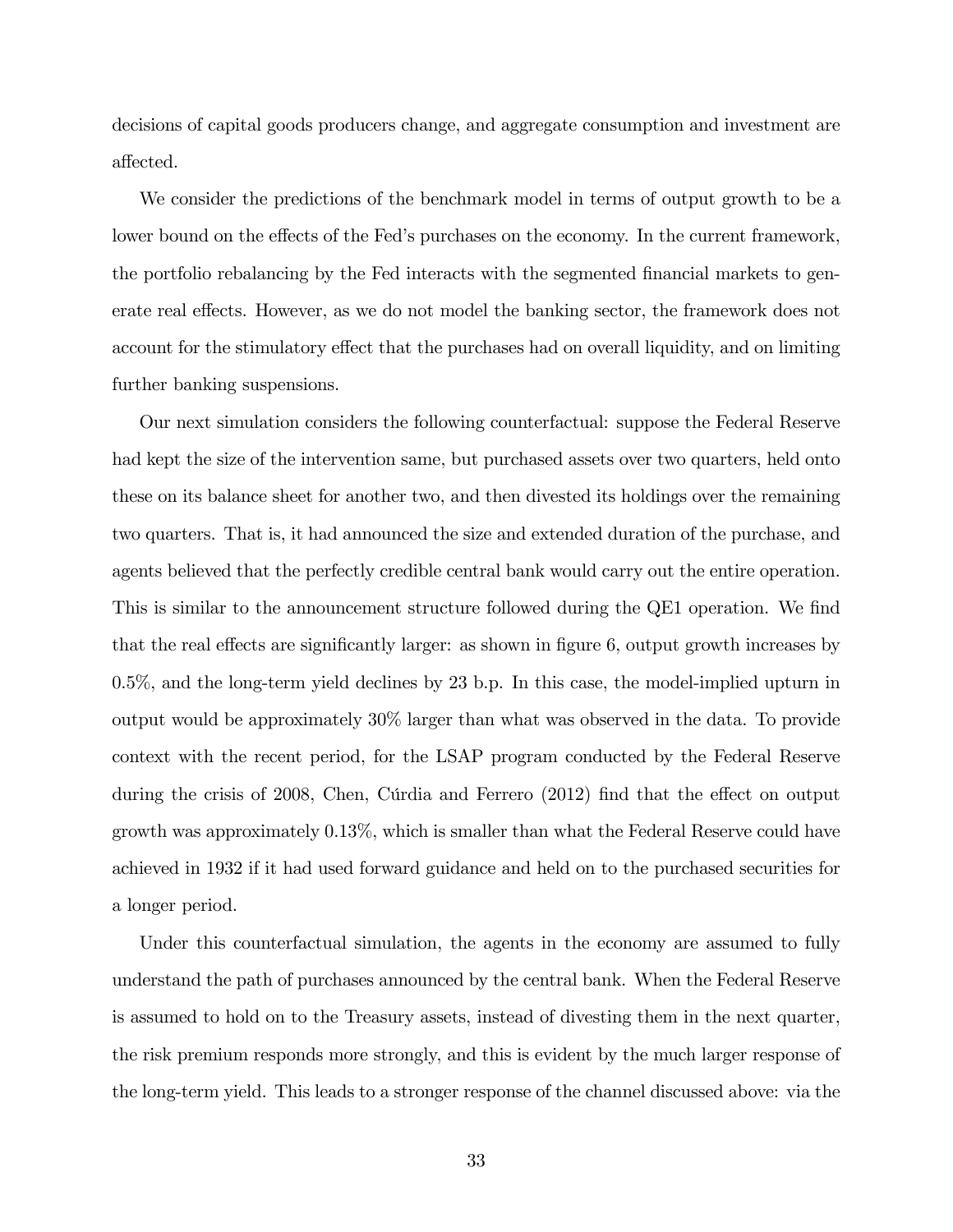decisions of capital goods producers change, and aggregate consumption and investment are affected.

We consider the predictions of the benchmark model in terms of output growth to be a lower bound on the effects of the Fed's purchases on the economy. In the current framework, the portfolio rebalancing by the Fed interacts with the segmented financial markets to generate real effects. However, as we do not model the banking sector, the framework does not account for the stimulatory effect that the purchases had on overall liquidity, and on limiting further banking suspensions.

Our next simulation considers the following counterfactual: suppose the Federal Reserve had kept the size of the intervention same, but purchased assets over two quarters, held onto these on its balance sheet for another two, and then divested its holdings over the remaining two quarters. That is, it had announced the size and extended duration of the purchase, and agents believed that the perfectly credible central bank would carry out the entire operation. This is similar to the announcement structure followed during the QE1 operation. We find that the real effects are significantly larger: as shown in figure 6, output growth increases by 0.5%, and the long-term yield declines by 23 b.p. In this case, the model-implied upturn in output would be approximately 30% larger than what was observed in the data. To provide context with the recent period, for the LSAP program conducted by the Federal Reserve during the crisis of  $2008$ , Chen, Cúrdia and Ferrero  $(2012)$  find that the effect on output growth was approximately 0.13%, which is smaller than what the Federal Reserve could have achieved in 1932 if it had used forward guidance and held on to the purchased securities for a longer period.

Under this counterfactual simulation, the agents in the economy are assumed to fully understand the path of purchases announced by the central bank. When the Federal Reserve is assumed to hold on to the Treasury assets, instead of divesting them in the next quarter, the risk premium responds more strongly, and this is evident by the much larger response of the long-term yield. This leads to a stronger response of the channel discussed above: via the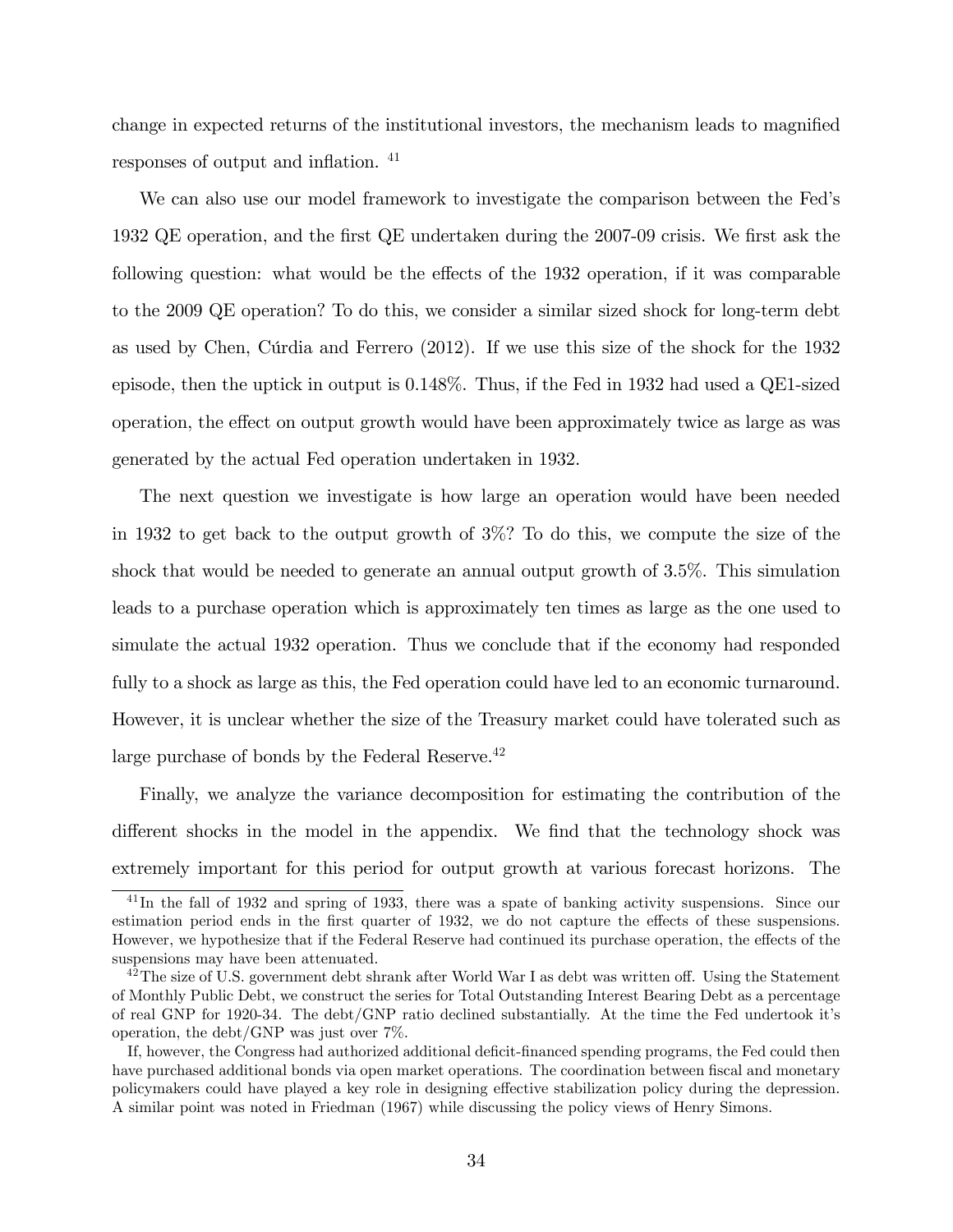change in expected returns of the institutional investors, the mechanism leads to magnified responses of output and inflation. <sup>41</sup>

We can also use our model framework to investigate the comparison between the Fedís 1932 QE operation, and the Örst QE undertaken during the 2007-09 crisis. We Örst ask the following question: what would be the effects of the 1932 operation, if it was comparable to the 2009 QE operation? To do this, we consider a similar sized shock for long-term debt as used by Chen, C˙rdia and Ferrero (2012). If we use this size of the shock for the 1932 episode, then the uptick in output is 0.148%. Thus, if the Fed in 1932 had used a QE1-sized operation, the effect on output growth would have been approximately twice as large as was generated by the actual Fed operation undertaken in 1932.

The next question we investigate is how large an operation would have been needed in 1932 to get back to the output growth of 3%? To do this, we compute the size of the shock that would be needed to generate an annual output growth of 3.5%. This simulation leads to a purchase operation which is approximately ten times as large as the one used to simulate the actual 1932 operation. Thus we conclude that if the economy had responded fully to a shock as large as this, the Fed operation could have led to an economic turnaround. However, it is unclear whether the size of the Treasury market could have tolerated such as large purchase of bonds by the Federal Reserve.<sup>42</sup>

Finally, we analyze the variance decomposition for estimating the contribution of the different shocks in the model in the appendix. We find that the technology shock was extremely important for this period for output growth at various forecast horizons. The

<sup>&</sup>lt;sup>41</sup>In the fall of 1932 and spring of 1933, there was a spate of banking activity suspensions. Since our estimation period ends in the first quarter of 1932, we do not capture the effects of these suspensions. However, we hypothesize that if the Federal Reserve had continued its purchase operation, the effects of the suspensions may have been attenuated.

 $^{42}$ The size of U.S. government debt shrank after World War I as debt was written off. Using the Statement of Monthly Public Debt, we construct the series for Total Outstanding Interest Bearing Debt as a percentage of real GNP for 1920-34. The debt/GNP ratio declined substantially. At the time the Fed undertook itís operation, the debt/GNP was just over 7%.

If, however, the Congress had authorized additional deficit-financed spending programs, the Fed could then have purchased additional bonds via open market operations. The coordination between fiscal and monetary policymakers could have played a key role in designing effective stabilization policy during the depression. A similar point was noted in Friedman (1967) while discussing the policy views of Henry Simons.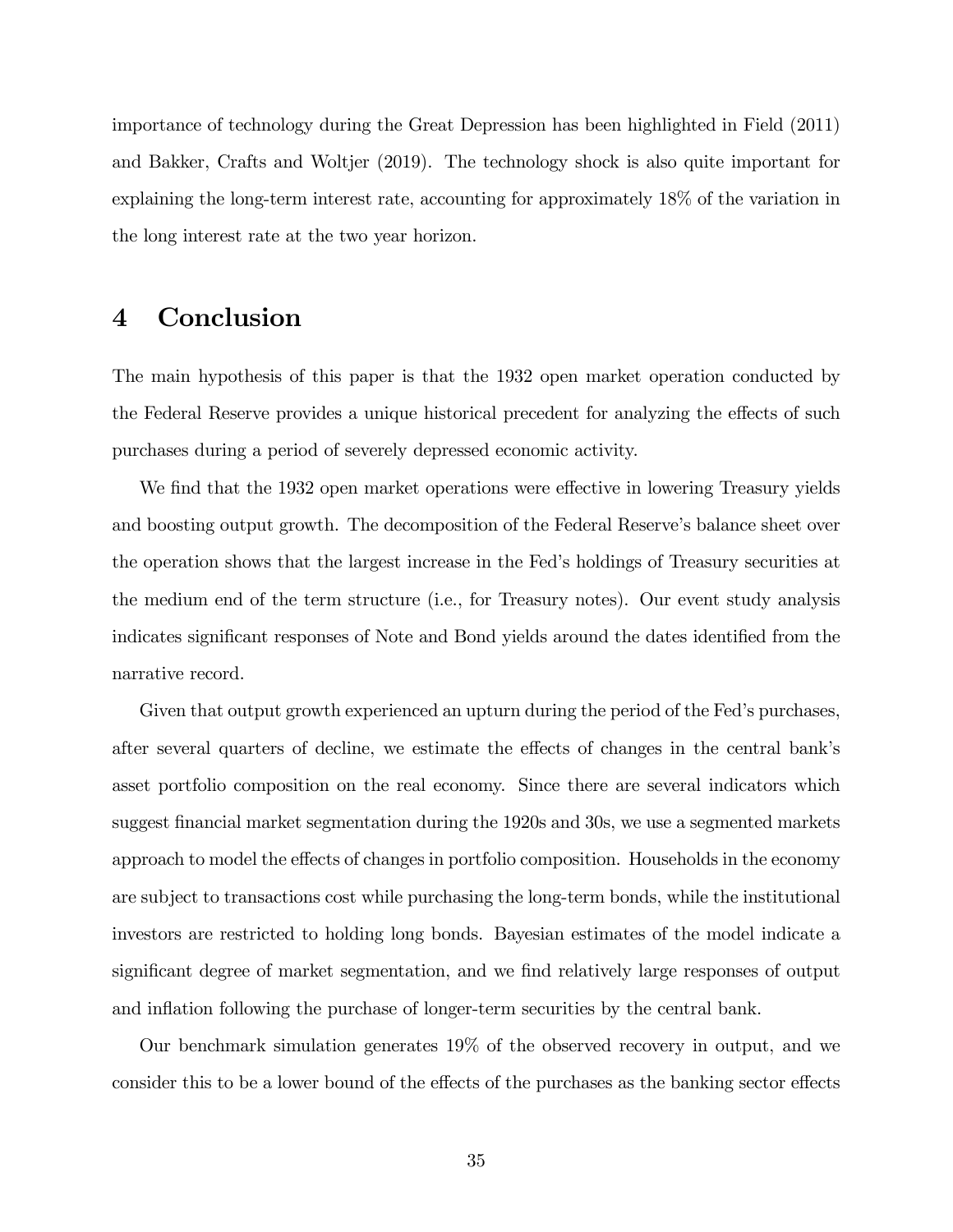importance of technology during the Great Depression has been highlighted in Field (2011) and Bakker, Crafts and Woltjer (2019). The technology shock is also quite important for explaining the long-term interest rate, accounting for approximately 18% of the variation in the long interest rate at the two year horizon.

# 4 Conclusion

The main hypothesis of this paper is that the 1932 open market operation conducted by the Federal Reserve provides a unique historical precedent for analyzing the effects of such purchases during a period of severely depressed economic activity.

We find that the 1932 open market operations were effective in lowering Treasury yields and boosting output growth. The decomposition of the Federal Reserve's balance sheet over the operation shows that the largest increase in the Fedís holdings of Treasury securities at the medium end of the term structure (i.e., for Treasury notes). Our event study analysis indicates significant responses of Note and Bond yields around the dates identified from the narrative record.

Given that output growth experienced an upturn during the period of the Fed's purchases, after several quarters of decline, we estimate the effects of changes in the central bank's asset portfolio composition on the real economy. Since there are several indicators which suggest financial market segmentation during the 1920s and 30s, we use a segmented markets approach to model the effects of changes in portfolio composition. Households in the economy are subject to transactions cost while purchasing the long-term bonds, while the institutional investors are restricted to holding long bonds. Bayesian estimates of the model indicate a significant degree of market segmentation, and we find relatively large responses of output and inflation following the purchase of longer-term securities by the central bank.

Our benchmark simulation generates 19% of the observed recovery in output, and we consider this to be a lower bound of the effects of the purchases as the banking sector effects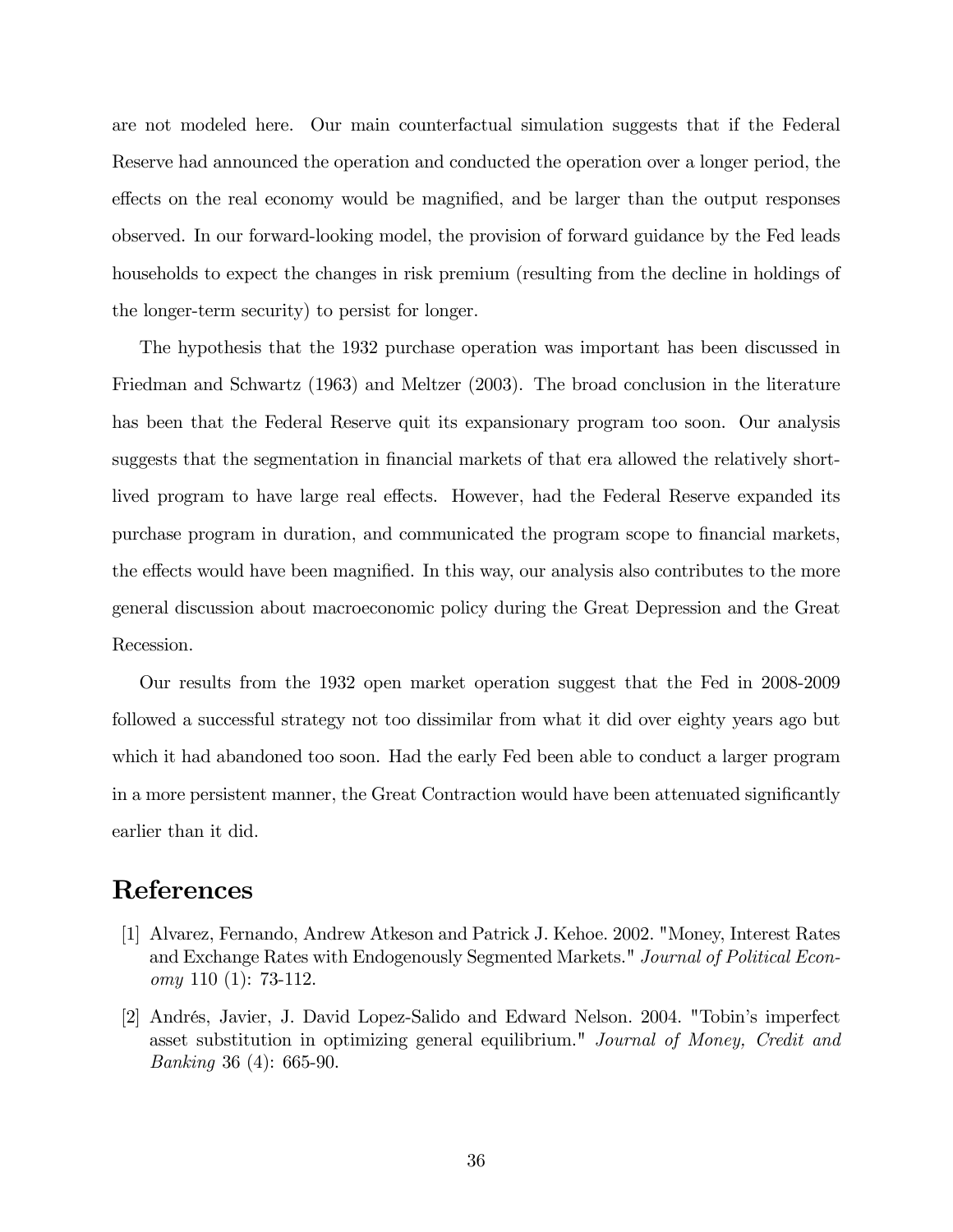are not modeled here. Our main counterfactual simulation suggests that if the Federal Reserve had announced the operation and conducted the operation over a longer period, the effects on the real economy would be magnified, and be larger than the output responses observed. In our forward-looking model, the provision of forward guidance by the Fed leads households to expect the changes in risk premium (resulting from the decline in holdings of the longer-term security) to persist for longer.

The hypothesis that the 1932 purchase operation was important has been discussed in Friedman and Schwartz (1963) and Meltzer (2003). The broad conclusion in the literature has been that the Federal Reserve quit its expansionary program too soon. Our analysis suggests that the segmentation in financial markets of that era allowed the relatively shortlived program to have large real effects. However, had the Federal Reserve expanded its purchase program in duration, and communicated the program scope to financial markets, the effects would have been magnified. In this way, our analysis also contributes to the more general discussion about macroeconomic policy during the Great Depression and the Great Recession.

Our results from the 1932 open market operation suggest that the Fed in 2008-2009 followed a successful strategy not too dissimilar from what it did over eighty years ago but which it had abandoned too soon. Had the early Fed been able to conduct a larger program in a more persistent manner, the Great Contraction would have been attenuated significantly earlier than it did.

# References

- [1] Alvarez, Fernando, Andrew Atkeson and Patrick J. Kehoe. 2002. "Money, Interest Rates and Exchange Rates with Endogenously Segmented Markets." Journal of Political Economy 110 (1): 73-112.
- [2] Andrés, Javier, J. David Lopez-Salido and Edward Nelson. 2004. "Tobin's imperfect asset substitution in optimizing general equilibrium." Journal of Money, Credit and Banking 36 (4): 665-90.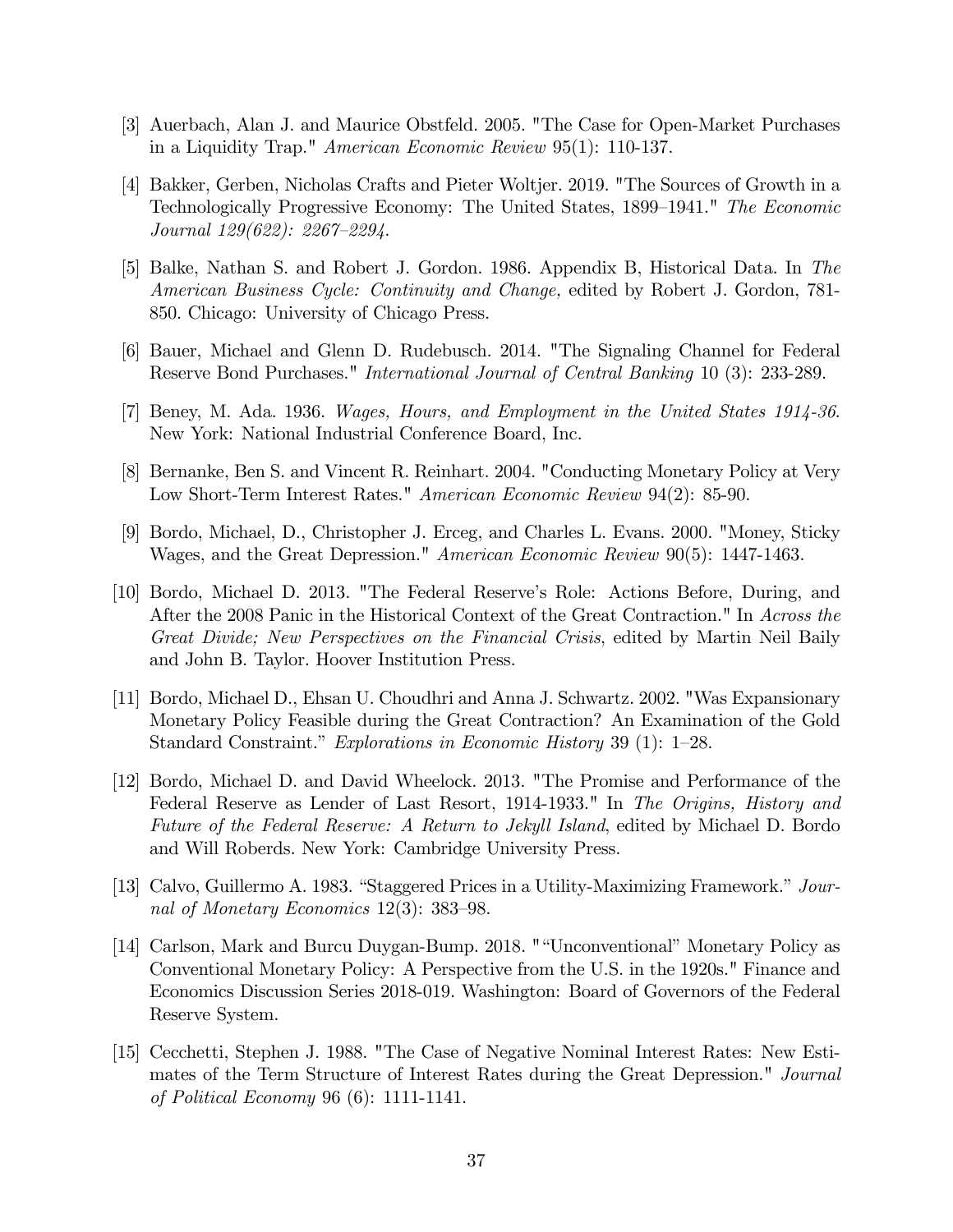- [3] Auerbach, Alan J. and Maurice Obstfeld. 2005. "The Case for Open-Market Purchases in a Liquidity Trap." American Economic Review 95(1): 110-137.
- [4] Bakker, Gerben, Nicholas Crafts and Pieter Woltjer. 2019. "The Sources of Growth in a Technologically Progressive Economy: The United States, 1899–1941." The Economic Journal  $129(622)$ :  $2267-2294$ .
- [5] Balke, Nathan S. and Robert J. Gordon. 1986. Appendix B, Historical Data. In The American Business Cycle: Continuity and Change, edited by Robert J. Gordon, 781- 850. Chicago: University of Chicago Press.
- [6] Bauer, Michael and Glenn D. Rudebusch. 2014. "The Signaling Channel for Federal Reserve Bond Purchases." International Journal of Central Banking 10 (3): 233-289.
- [7] Beney, M. Ada. 1936. Wages, Hours, and Employment in the United States 1914-36. New York: National Industrial Conference Board, Inc.
- [8] Bernanke, Ben S. and Vincent R. Reinhart. 2004. "Conducting Monetary Policy at Very Low Short-Term Interest Rates." American Economic Review 94(2): 85-90.
- [9] Bordo, Michael, D., Christopher J. Erceg, and Charles L. Evans. 2000. "Money, Sticky Wages, and the Great Depression." American Economic Review 90(5): 1447-1463.
- [10] Bordo, Michael D. 2013. "The Federal Reserve's Role: Actions Before, During, and After the 2008 Panic in the Historical Context of the Great Contraction." In Across the Great Divide; New Perspectives on the Financial Crisis, edited by Martin Neil Baily and John B. Taylor. Hoover Institution Press.
- [11] Bordo, Michael D., Ehsan U. Choudhri and Anna J. Schwartz. 2002. "Was Expansionary Monetary Policy Feasible during the Great Contraction? An Examination of the Gold Standard Constraint." Explorations in Economic History 39 (1):  $1-28$ .
- [12] Bordo, Michael D. and David Wheelock. 2013. "The Promise and Performance of the Federal Reserve as Lender of Last Resort, 1914-1933." In The Origins, History and Future of the Federal Reserve: A Return to Jekyll Island, edited by Michael D. Bordo and Will Roberds. New York: Cambridge University Press.
- [13] Calvo, Guillermo A. 1983. "Staggered Prices in a Utility-Maximizing Framework."  $Jour$ nal of Monetary Economics  $12(3)$ : 383–98.
- [14] Carlson, Mark and Burcu Duygan-Bump. 2018. ""Unconventional" Monetary Policy as Conventional Monetary Policy: A Perspective from the U.S. in the 1920s." Finance and Economics Discussion Series 2018-019. Washington: Board of Governors of the Federal Reserve System.
- [15] Cecchetti, Stephen J. 1988. "The Case of Negative Nominal Interest Rates: New Estimates of the Term Structure of Interest Rates during the Great Depression." Journal of Political Economy 96 (6): 1111-1141.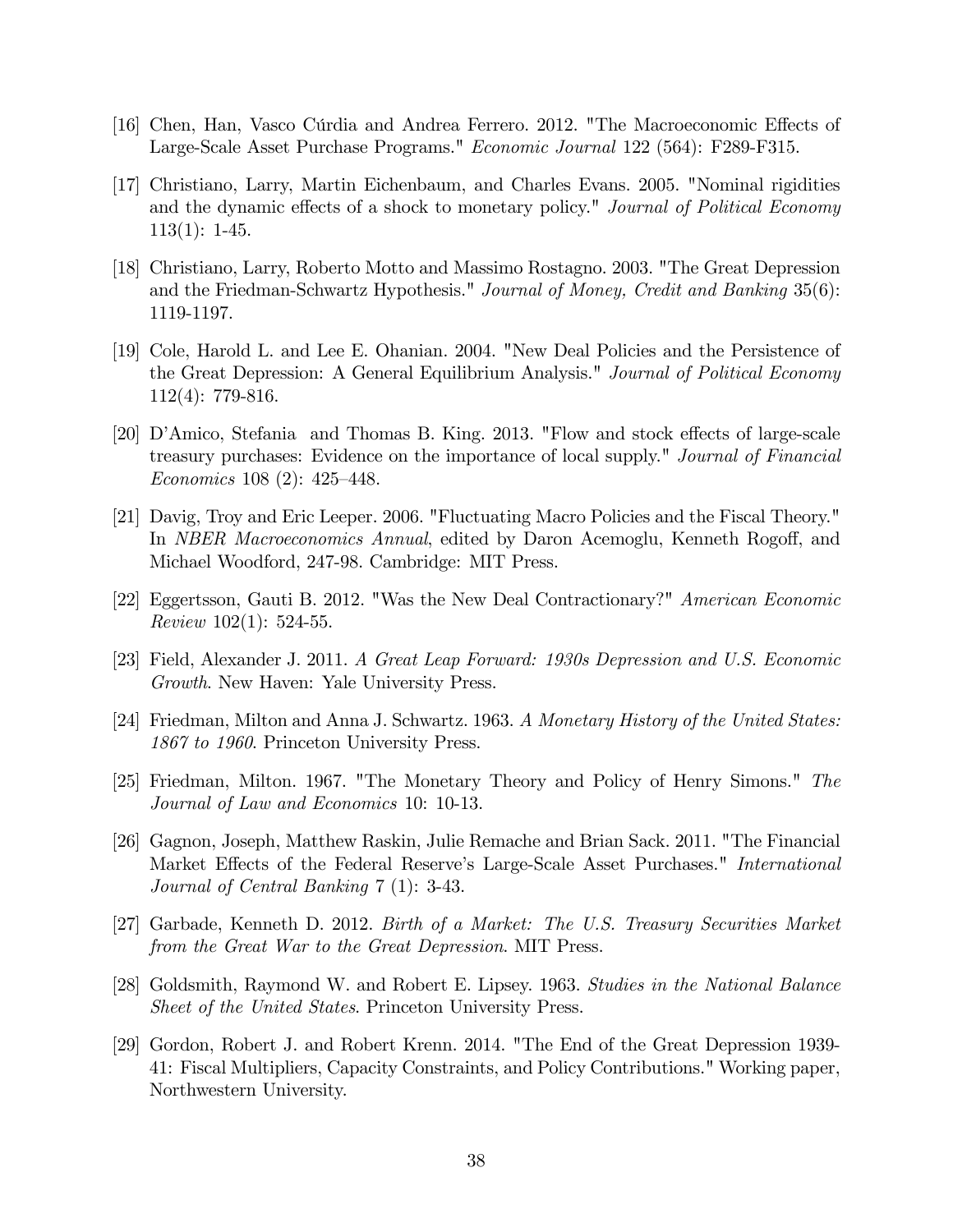- [16] Chen, Han, Vasco Cúrdia and Andrea Ferrero. 2012. "The Macroeconomic Effects of Large-Scale Asset Purchase Programs." Economic Journal 122 (564): F289-F315.
- [17] Christiano, Larry, Martin Eichenbaum, and Charles Evans. 2005. "Nominal rigidities and the dynamic effects of a shock to monetary policy." Journal of Political Economy 113(1): 1-45.
- [18] Christiano, Larry, Roberto Motto and Massimo Rostagno. 2003. "The Great Depression and the Friedman-Schwartz Hypothesis." Journal of Money, Credit and Banking 35(6): 1119-1197.
- [19] Cole, Harold L. and Lee E. Ohanian. 2004. "New Deal Policies and the Persistence of the Great Depression: A General Equilibrium Analysis." Journal of Political Economy 112(4): 779-816.
- [20] D'Amico, Stefania and Thomas B. King. 2013. "Flow and stock effects of large-scale treasury purchases: Evidence on the importance of local supply." Journal of Financial Economics 108 (2):  $425-448$ .
- [21] Davig, Troy and Eric Leeper. 2006. "Fluctuating Macro Policies and the Fiscal Theory." In *NBER Macroeconomics Annual*, edited by Daron Acemoglu, Kenneth Rogoff, and Michael Woodford, 247-98. Cambridge: MIT Press.
- [22] Eggertsson, Gauti B. 2012. "Was the New Deal Contractionary?" American Economic Review 102(1): 524-55.
- [23] Field, Alexander J. 2011. A Great Leap Forward: 1930s Depression and U.S. Economic Growth. New Haven: Yale University Press.
- [24] Friedman, Milton and Anna J. Schwartz. 1963. A Monetary History of the United States: 1867 to 1960. Princeton University Press.
- [25] Friedman, Milton. 1967. "The Monetary Theory and Policy of Henry Simons." The Journal of Law and Economics 10: 10-13.
- [26] Gagnon, Joseph, Matthew Raskin, Julie Remache and Brian Sack. 2011. "The Financial Market Effects of the Federal Reserve's Large-Scale Asset Purchases." International Journal of Central Banking 7 (1): 3-43.
- [27] Garbade, Kenneth D. 2012. Birth of a Market: The U.S. Treasury Securities Market from the Great War to the Great Depression. MIT Press.
- [28] Goldsmith, Raymond W. and Robert E. Lipsey. 1963. Studies in the National Balance Sheet of the United States. Princeton University Press.
- [29] Gordon, Robert J. and Robert Krenn. 2014. "The End of the Great Depression 1939- 41: Fiscal Multipliers, Capacity Constraints, and Policy Contributions." Working paper, Northwestern University.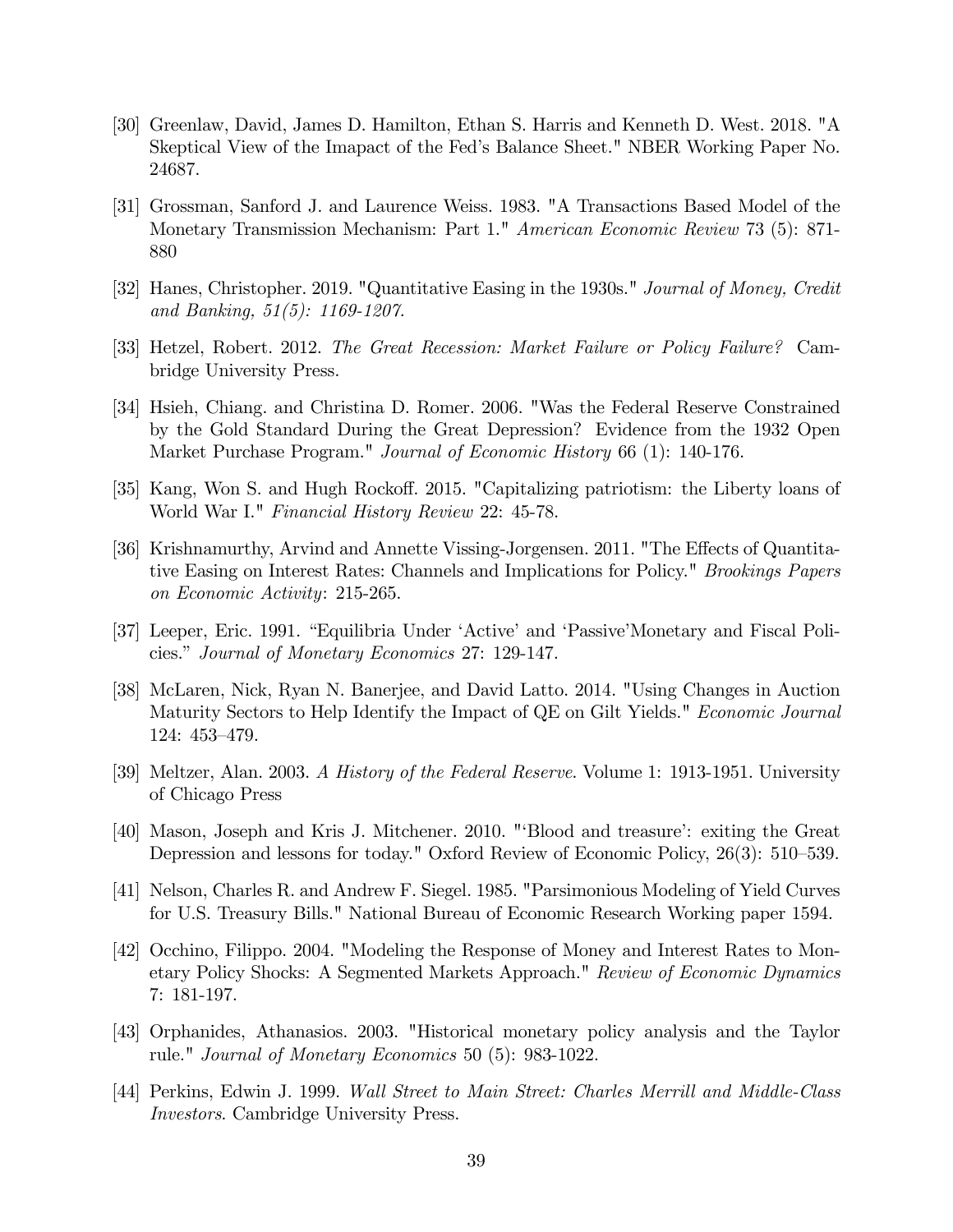- [30] Greenlaw, David, James D. Hamilton, Ethan S. Harris and Kenneth D. West. 2018. "A Skeptical View of the Imapact of the Fedís Balance Sheet." NBER Working Paper No. 24687.
- [31] Grossman, Sanford J. and Laurence Weiss. 1983. "A Transactions Based Model of the Monetary Transmission Mechanism: Part 1." American Economic Review 73 (5): 871- 880
- [32] Hanes, Christopher. 2019. "Quantitative Easing in the 1930s." Journal of Money, Credit and Banking, 51(5): 1169-1207.
- [33] Hetzel, Robert. 2012. The Great Recession: Market Failure or Policy Failure? Cambridge University Press.
- [34] Hsieh, Chiang. and Christina D. Romer. 2006. "Was the Federal Reserve Constrained by the Gold Standard During the Great Depression? Evidence from the 1932 Open Market Purchase Program." Journal of Economic History 66 (1): 140-176.
- [35] Kang, Won S. and Hugh Rockoff. 2015. "Capitalizing patriotism: the Liberty loans of World War I." Financial History Review 22: 45-78.
- [36] Krishnamurthy, Arvind and Annette Vissing-Jorgensen. 2011. "The Effects of Quantitative Easing on Interest Rates: Channels and Implications for Policy." Brookings Papers on Economic Activity: 215-265.
- [37] Leeper, Eric. 1991. "Equilibria Under 'Active' and 'Passive'Monetary and Fiscal Policies." Journal of Monetary Economics 27: 129-147.
- [38] McLaren, Nick, Ryan N. Banerjee, and David Latto. 2014. "Using Changes in Auction Maturity Sectors to Help Identify the Impact of QE on Gilt Yields." Economic Journal 124: 453-479.
- [39] Meltzer, Alan. 2003. A History of the Federal Reserve. Volume 1: 1913-1951. University of Chicago Press
- [40] Mason, Joseph and Kris J. Mitchener. 2010. "ëBlood and treasureí: exiting the Great Depression and lessons for today." Oxford Review of Economic Policy,  $26(3)$ : 510–539.
- [41] Nelson, Charles R. and Andrew F. Siegel. 1985. "Parsimonious Modeling of Yield Curves for U.S. Treasury Bills." National Bureau of Economic Research Working paper 1594.
- [42] Occhino, Filippo. 2004. "Modeling the Response of Money and Interest Rates to Monetary Policy Shocks: A Segmented Markets Approach." Review of Economic Dynamics 7: 181-197.
- [43] Orphanides, Athanasios. 2003. "Historical monetary policy analysis and the Taylor rule." Journal of Monetary Economics 50 (5): 983-1022.
- [44] Perkins, Edwin J. 1999. Wall Street to Main Street: Charles Merrill and Middle-Class Investors. Cambridge University Press.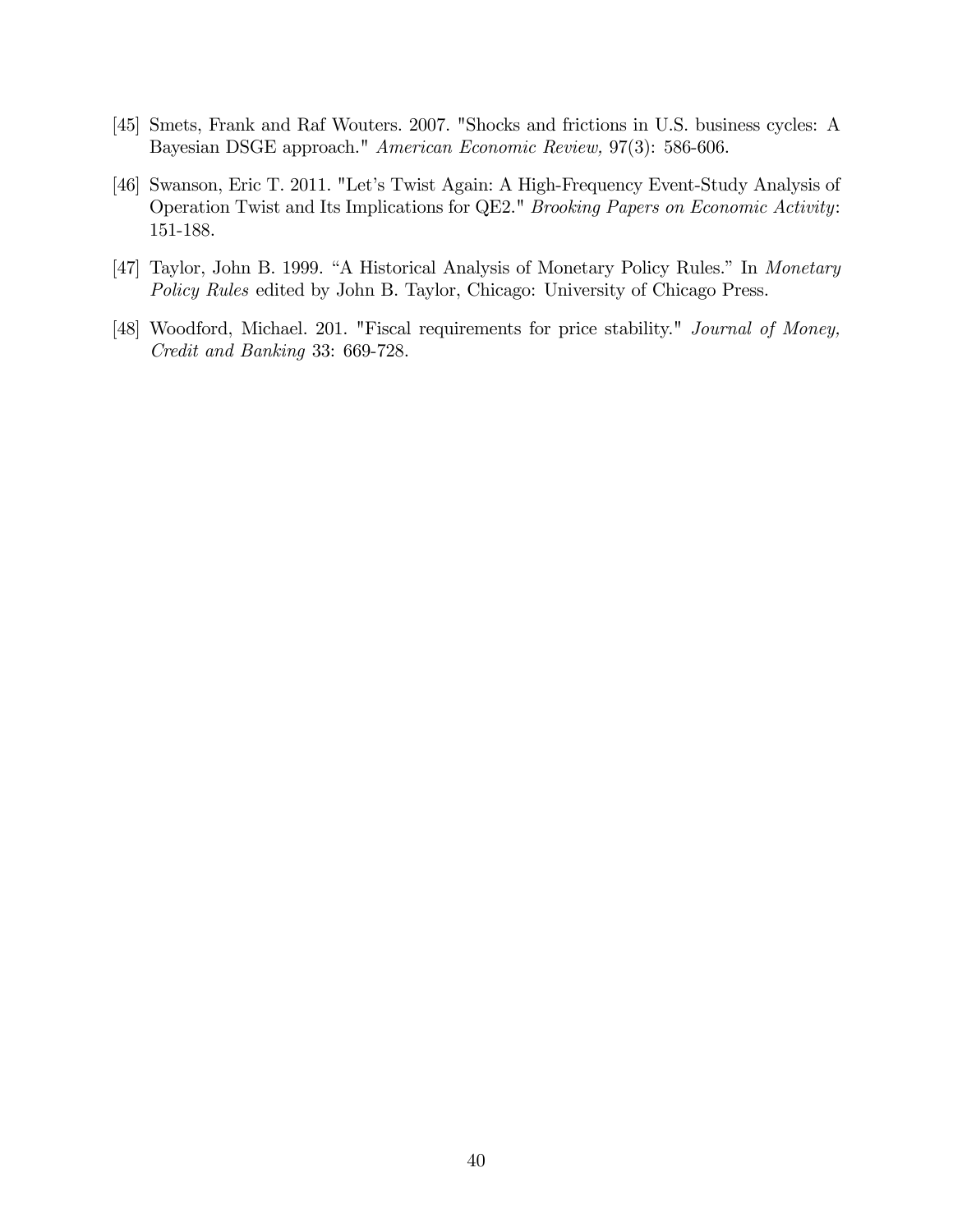- [45] Smets, Frank and Raf Wouters. 2007. "Shocks and frictions in U.S. business cycles: A Bayesian DSGE approach." American Economic Review, 97(3): 586-606.
- [46] Swanson, Eric T. 2011. "Let's Twist Again: A High-Frequency Event-Study Analysis of Operation Twist and Its Implications for QE2." Brooking Papers on Economic Activity: 151-188.
- [47] Taylor, John B. 1999. "A Historical Analysis of Monetary Policy Rules." In Monetary Policy Rules edited by John B. Taylor, Chicago: University of Chicago Press.
- [48] Woodford, Michael. 201. "Fiscal requirements for price stability." Journal of Money, Credit and Banking 33: 669-728.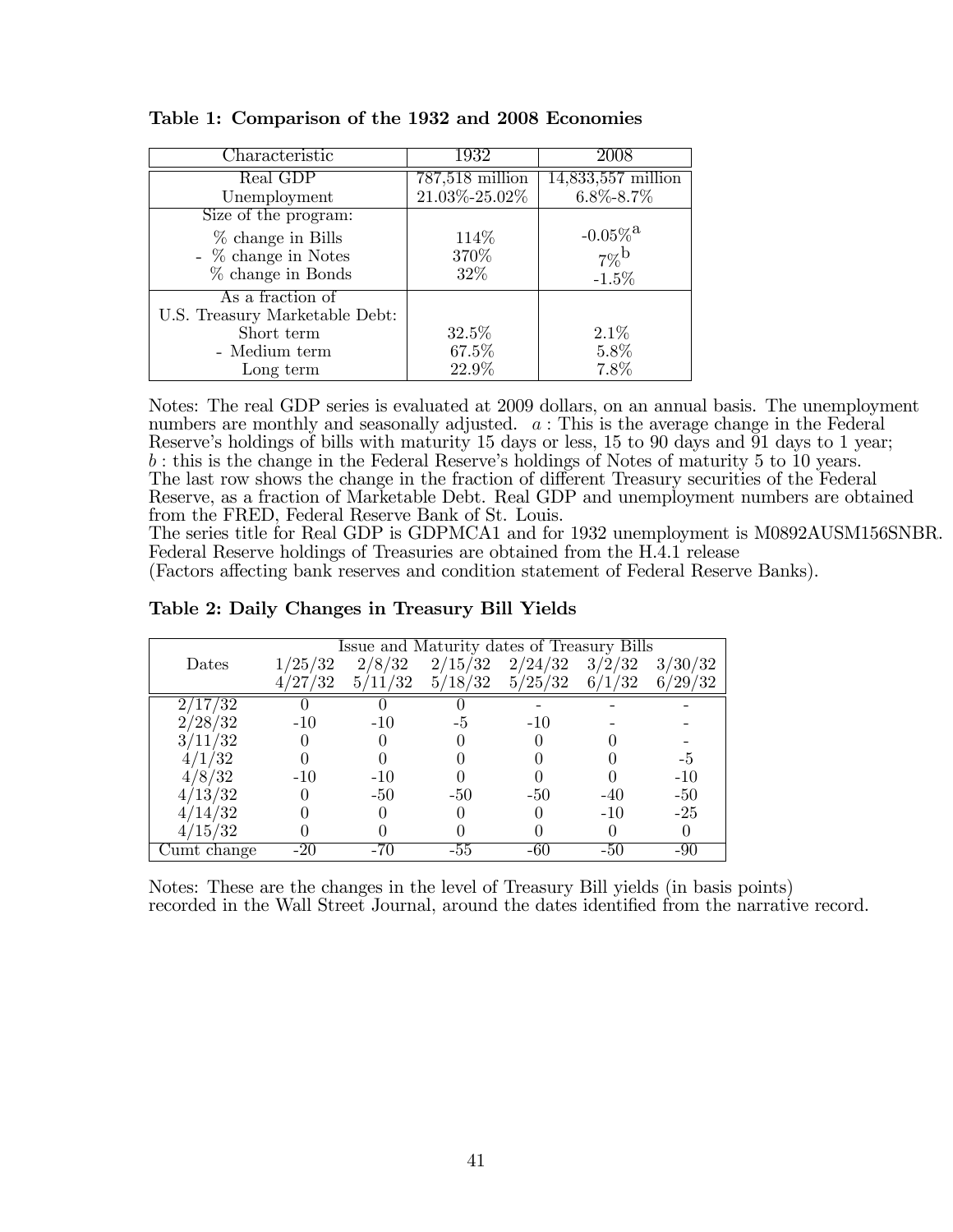| Characteristic                 | 1932              | 2008                   |
|--------------------------------|-------------------|------------------------|
| Real GDP                       | $787,518$ million | $14,833,557$ million   |
| Unemployment                   | 21.03%-25.02%     | $6.8\% - 8.7\%$        |
| Size of the program:           |                   |                        |
| $%$ change in Bills            | 114\%             | $-0.05\%$ <sup>a</sup> |
| $-$ % change in Notes          | 370%              | $7\%$ <sup>b</sup>     |
| $%$ change in Bonds            | 32\%              | $-1.5\%$               |
| As a fraction of               |                   |                        |
| U.S. Treasury Marketable Debt: |                   |                        |
| Short term                     | $32.5\%$          | 2.1%                   |
| - Medium term                  | 67.5%             | 5.8%                   |
| Long term                      | 22.9%             | 7.8%                   |

Table 1: Comparison of the 1932 and 2008 Economies

Notes: The real GDP series is evaluated at 2009 dollars, on an annual basis. The unemployment numbers are monthly and seasonally adjusted.  $a$ : This is the average change in the Federal Reserve's holdings of bills with maturity 15 days or less, 15 to 90 days and 91 days to 1 year; b : this is the change in the Federal Reserve's holdings of Notes of maturity 5 to 10 years. The last row shows the change in the fraction of different Treasury securities of the Federal Reserve, as a fraction of Marketable Debt. Real GDP and unemployment numbers are obtained from the FRED, Federal Reserve Bank of St. Louis.

The series title for Real GDP is GDPMCA1 and for 1932 unemployment is M0892AUSM156SNBR. Federal Reserve holdings of Treasuries are obtained from the H.4.1 release

(Factors affecting bank reserves and condition statement of Federal Reserve Banks).

|             |                  |         | Issue and Maturity dates of Treasury Bills |         |        |         |
|-------------|------------------|---------|--------------------------------------------|---------|--------|---------|
| Dates       | 1/25/32          | 2/8/32  | 2/15/32                                    | 2/24/32 | 3/2/32 | 3/30/32 |
|             | $^{\prime}27/32$ | 5/11/32 | 5/18/32                                    | 5/25/32 | 6/1/32 | 6/29/32 |
| 17/32       |                  |         |                                            |         |        |         |
| /28/32      | $-10$            | $-10$   | -5                                         | $-10$   |        |         |
| /11/32      |                  |         |                                            |         |        |         |
| 4/1/32      |                  |         |                                            |         |        | -5      |
| 4/8/32      | $-10$            | $-10$   |                                            |         |        | $-10$   |
| /13/32      |                  | $-50$   | $-50$                                      | -50     | $-40$  | $-50$   |
| 14/32       |                  |         |                                            |         | $-10$  | $-25$   |
| /15/32      |                  |         |                                            |         |        |         |
| Cumt change |                  |         | $-55$                                      | -60     | -50    |         |

Table 2: Daily Changes in Treasury Bill Yields

Notes: These are the changes in the level of Treasury Bill yields (in basis points) recorded in the Wall Street Journal, around the dates identified from the narrative record.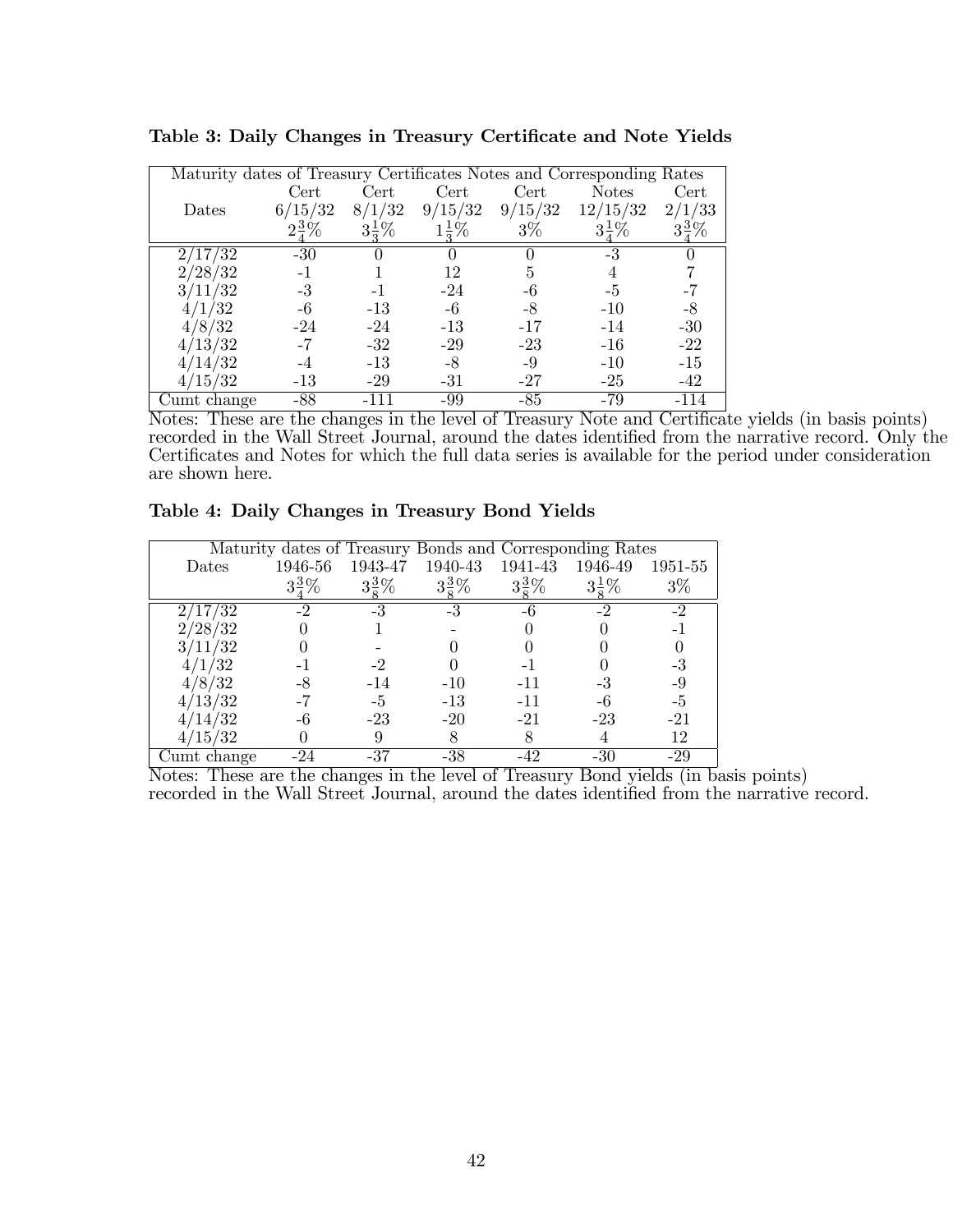| Maturity dates of Treasury Certificates Notes and Corresponding Rates |                  |                  |                  |         |                  |              |
|-----------------------------------------------------------------------|------------------|------------------|------------------|---------|------------------|--------------|
|                                                                       | Cert             | Cert             | Cert             | Cert    | <b>Notes</b>     | Cert         |
| Dates                                                                 | 6/15/32          | 8/1/32           | 9/15/32          | 9/15/32 | 12/15/32         | /33<br>$2$ . |
|                                                                       | $2\frac{3}{4}\%$ | $3\frac{1}{2}\%$ | $1\frac{1}{2}\%$ | $3\%$   | $3\frac{1}{2}\%$ |              |
| 2/17/32                                                               | $-30$            |                  |                  |         | -3               |              |
| 2/28/32                                                               | $-1$             |                  | 12               | 5       | 4                |              |
| 3/11/32                                                               | $-3$             | $-1$             | $-24$            | -6      | $-5$             | -7           |
| 4/1/32                                                                | -6               | $-13$            | -6               | -8      | $-10$            | $-8$         |
| 4/8/32                                                                | $-24$            | $-24$            | $-13$            | $-17$   | $-14$            | $-30$        |
| 4/13/32                                                               | $-7$             | $-32$            | $-29$            | $-23$   | $-16$            | $-22$        |
| 14/32                                                                 |                  | $-13$            | $-8$             | -9      | $-10$            | $-15$        |
| 4/15/32                                                               | $-13$            | $-29$            | $-31$            | $-27$   | $-25$            | $-42$        |
| Cumt change                                                           | -88              |                  | -99              | $-85$   | $-79$            | -114         |

Table 3: Daily Changes in Treasury Certificate and Note Yields

Notes: These are the changes in the level of Treasury Note and Certificate yields (in basis points) recorded in the Wall Street Journal, around the dates identified from the narrative record. Only the Certificates and Notes for which the full data series is available for the period under consideration are shown here.

|                  |                  |                  | Maturity dates of Treasury Bonds and Corresponding Rates |                  |                  |         |
|------------------|------------------|------------------|----------------------------------------------------------|------------------|------------------|---------|
| <b>Dates</b>     | 1946-56          | 1943-47          | 1940-43                                                  | 1941-43          | 1946-49          | 1951-55 |
|                  | $3\frac{3}{4}\%$ | $3\frac{3}{5}\%$ | $3\frac{3}{5}\%$                                         | $3\frac{3}{5}\%$ | $3\frac{1}{5}\%$ | $3\%$   |
| $^{\prime}17/32$ | $-2$             | -3               | -3                                                       | -6               | $-2$             | $-2$    |
| /28/32           |                  |                  |                                                          |                  |                  |         |
| /11/32           |                  |                  |                                                          |                  |                  |         |
| 4/1/32           |                  |                  |                                                          |                  |                  | -3      |
| 4/8/32           |                  | $-14$            | $-10$                                                    | $-11$            |                  | -9      |
| 13/32            |                  | -5               | $-13$                                                    | $-11$            |                  | -5      |
| 14/32            |                  | $-23$            | $-20$                                                    | $-21$            | $-23$            | $-21$   |
| 15/32            |                  | 9                |                                                          |                  |                  | 12      |
| Cumt change      |                  |                  | -38                                                      |                  |                  | -29     |

Table 4: Daily Changes in Treasury Bond Yields

Notes: These are the changes in the level of Treasury Bond yields (in basis points) recorded in the Wall Street Journal, around the dates identified from the narrative record.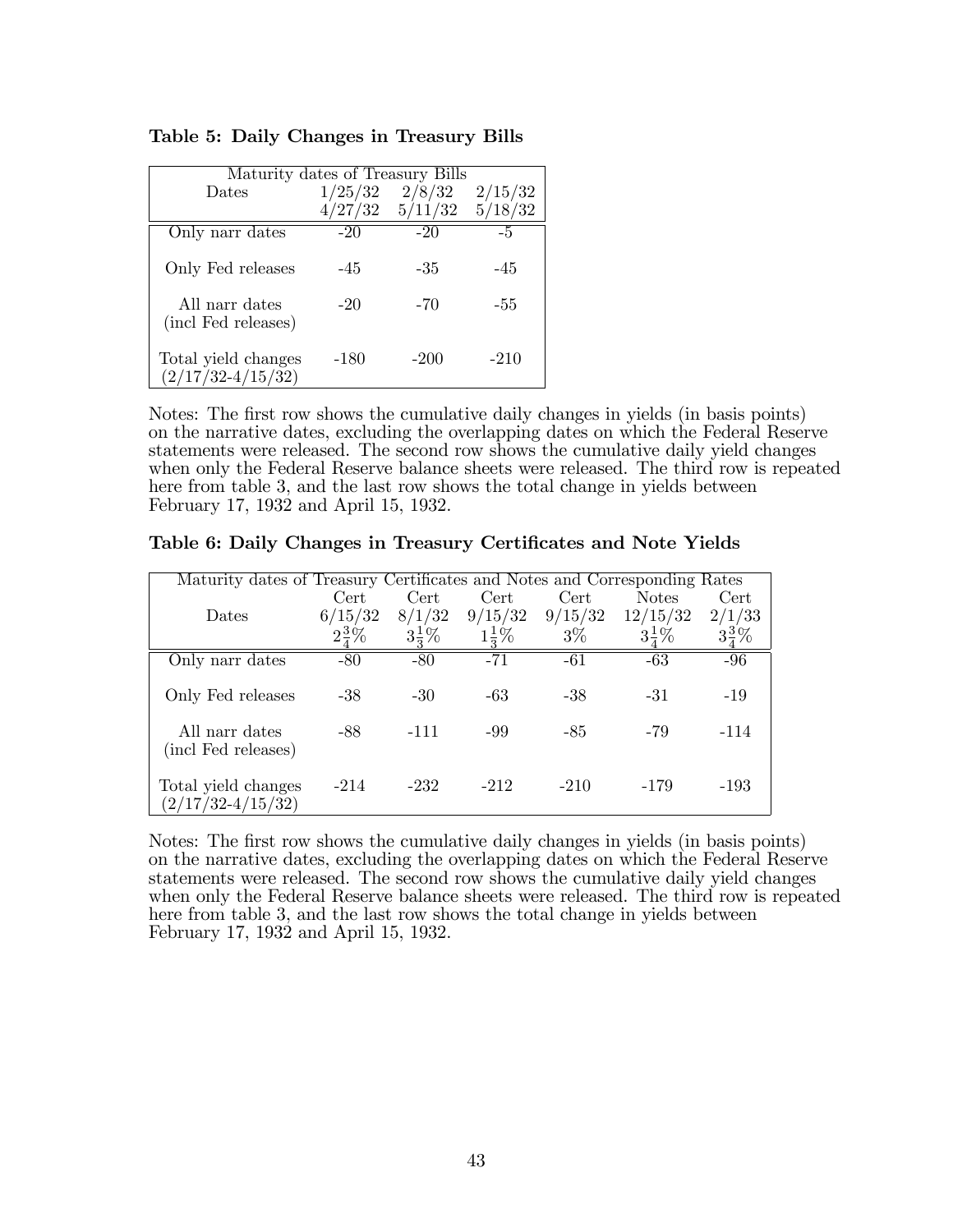| Maturity dates of Treasury Bills             |         |         |         |  |  |  |  |  |
|----------------------------------------------|---------|---------|---------|--|--|--|--|--|
| Dates                                        | 1/25/32 | 2/8/32  | 2/15/32 |  |  |  |  |  |
|                                              | 4/27/32 | 5/11/32 | 5/18/32 |  |  |  |  |  |
| Only narr dates                              | $-20$   | $-20$   | -5      |  |  |  |  |  |
| Only Fed releases                            | $-45$   | -35     | $-45$   |  |  |  |  |  |
| All narr dates<br>(incl Fed releases)        | $-20$   | $-70$   | -55     |  |  |  |  |  |
| Total yield changes<br>$(2/17/32 - 4/15/32)$ | -180    | $-200$  | $-210$  |  |  |  |  |  |

Table 5: Daily Changes in Treasury Bills

Notes: The first row shows the cumulative daily changes in yields (in basis points) on the narrative dates, excluding the overlapping dates on which the Federal Reserve statements were released. The second row shows the cumulative daily yield changes when only the Federal Reserve balance sheets were released. The third row is repeated here from table 3, and the last row shows the total change in yields between February 17, 1932 and April 15, 1932.

Table 6: Daily Changes in Treasury Certificates and Note Yields

| Maturity dates of Treasury Certificates and Notes and Corresponding Rates |         |        |                  |         |                  |        |
|---------------------------------------------------------------------------|---------|--------|------------------|---------|------------------|--------|
|                                                                           | Cert    | Cert   | Cert.            | Cert    | <b>Notes</b>     | Cert   |
| Dates                                                                     | 6/15/32 | 8/1/32 | 9/15/32          | 9/15/32 | 12/15/32         | 2/1/33 |
|                                                                           |         |        | $1\frac{1}{2}\%$ | $3\%$   | $3\frac{1}{7}\%$ |        |
| Only narr dates                                                           | $-80$   | $-80$  | $-71$            | -61     | $-63$            | -96    |
| Only Fed releases                                                         | $-38$   | $-30$  | -63              | $-38$   | $-31$            | $-19$  |
| All narr dates<br>(incl Fed releases)                                     | -88     | $-111$ | -99              | $-85$   | -79              | $-114$ |
| Total yield changes<br>$(2/17/32 - 4/15/32)$                              | $-214$  | $-232$ | $-212$           | $-210$  | -179             | $-193$ |

Notes: The first row shows the cumulative daily changes in yields (in basis points) on the narrative dates, excluding the overlapping dates on which the Federal Reserve statements were released. The second row shows the cumulative daily yield changes when only the Federal Reserve balance sheets were released. The third row is repeated here from table 3, and the last row shows the total change in yields between February 17, 1932 and April 15, 1932.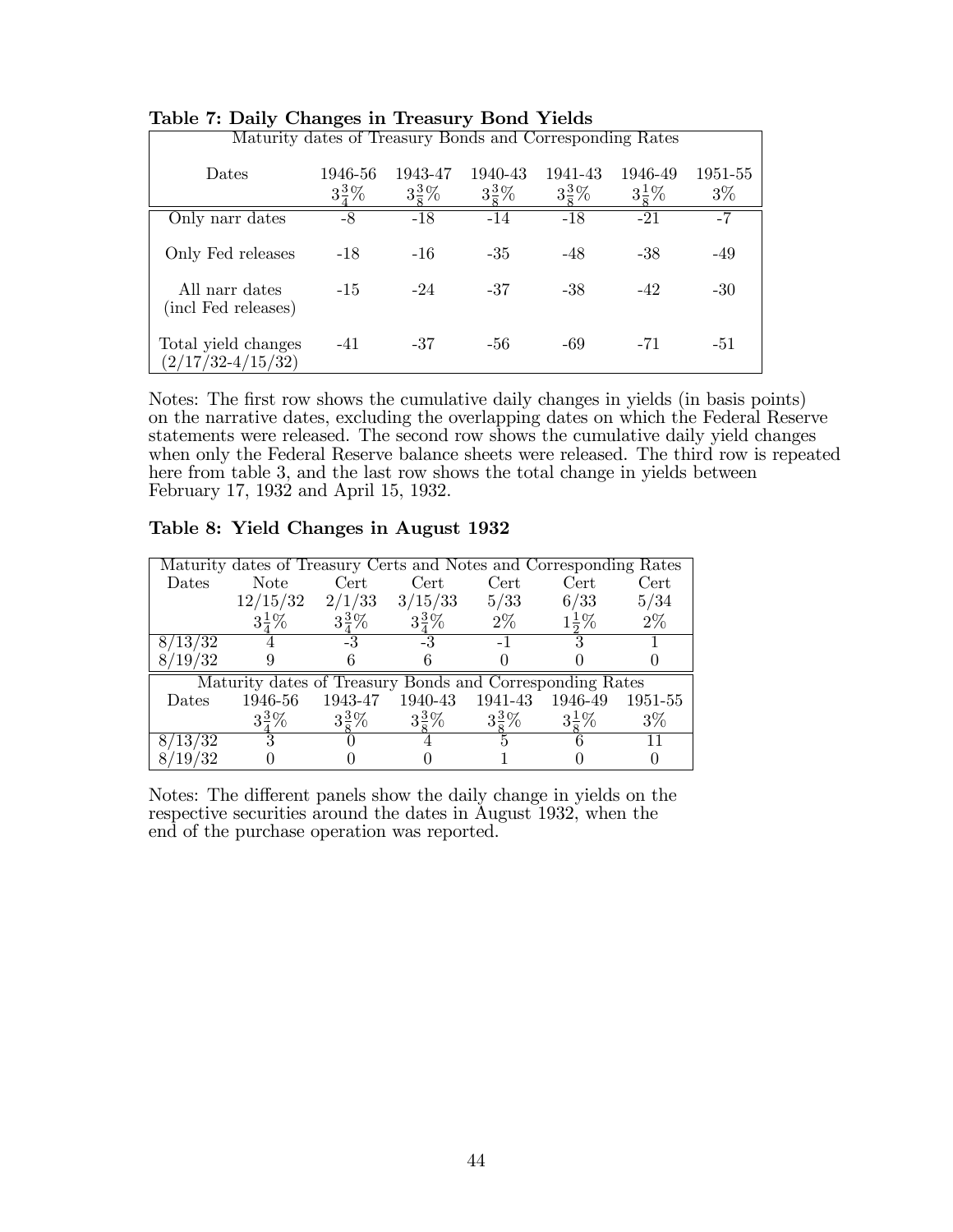| rapic repair, changes in ricasar, bond ricias            |                             |                             |                             |                             |                             |                  |
|----------------------------------------------------------|-----------------------------|-----------------------------|-----------------------------|-----------------------------|-----------------------------|------------------|
| Maturity dates of Treasury Bonds and Corresponding Rates |                             |                             |                             |                             |                             |                  |
| Dates                                                    | 1946-56<br>$3\frac{3}{7}\%$ | 1943-47<br>$3\frac{3}{5}\%$ | 1940-43<br>$3\frac{3}{8}\%$ | 1941-43<br>$3\frac{3}{8}\%$ | 1946-49<br>$3\frac{1}{5}\%$ | 1951-55<br>$3\%$ |
| Only narr dates                                          | -8                          | $-18$                       | $-14$                       | $-18$                       | $-21$                       | -7               |
| Only Fed releases                                        | $-18$                       | $-16$                       | $-35$                       | $-48$                       | $-38$                       | $-49$            |
| All narr dates<br>(incl Fed releases)                    | $-1.5$                      | $-24$                       | $-37$                       | $-38$                       | $-42$                       | $-30$            |
| Total yield changes<br>$(2/17/32 - 4/15/32)$             | $-41$                       | $-37$                       | -56                         | -69                         | $-71$                       | $-51$            |

### Table 7: Daily Changes in Treasury Bond Yields

Notes: The first row shows the cumulative daily changes in yields (in basis points) on the narrative dates, excluding the overlapping dates on which the Federal Reserve statements were released. The second row shows the cumulative daily yield changes when only the Federal Reserve balance sheets were released. The third row is repeated here from table 3, and the last row shows the total change in yields between February 17, 1932 and April 15, 1932.

### Table 8: Yield Changes in August 1932

|                      | Maturity dates of Treasury Certs and Notes and Corresponding Rates |                  |                                                 |                  |                  |       |
|----------------------|--------------------------------------------------------------------|------------------|-------------------------------------------------|------------------|------------------|-------|
| Dates                | Note                                                               | Cert             | $\operatorname{Cert}{}$                         | Cert             | Cert             | Cert  |
|                      | $12/15/32$ $2/1/33$ $3/15/33$                                      |                  |                                                 | 5/33             | 6/33             | 5/34  |
|                      |                                                                    | $3\frac{3}{7}\%$ | $3\frac{3}{7}\%$                                | $2\%$            | $1\frac{1}{2}\%$ | $2\%$ |
| $8/13/\overline{32}$ |                                                                    | $-3$             |                                                 |                  |                  |       |
| 8/19/32              |                                                                    |                  |                                                 |                  |                  |       |
|                      | Maturity dates of Treasury Bonds and Corresponding Rates           |                  |                                                 |                  |                  |       |
| <b>Dates</b>         |                                                                    |                  | 1946-56 1943-47 1940-43 1941-43 1946-49 1951-55 |                  |                  |       |
|                      | $3\frac{3}{7}\%$                                                   | $3\frac{3}{8}\%$ | $3\frac{3}{5}\%$                                | $3\frac{3}{8}\%$ | $3\frac{1}{5}\%$ | $3\%$ |
| $8/13/\overline{32}$ |                                                                    |                  |                                                 |                  |                  |       |
| 8/19/32              |                                                                    |                  |                                                 |                  |                  |       |

Notes: The different panels show the daily change in yields on the respective securities around the dates in August 1932, when the end of the purchase operation was reported.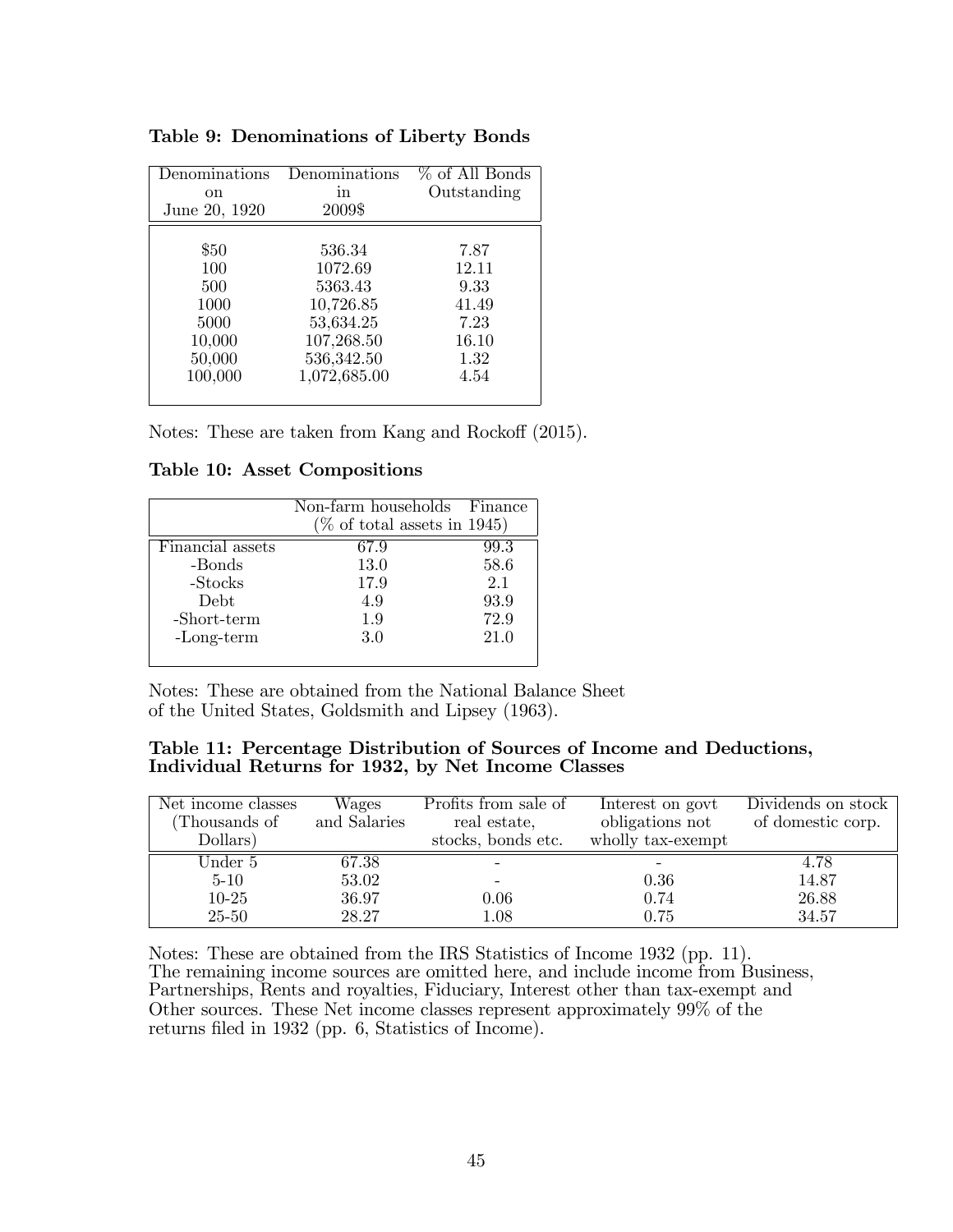| Denominations<br>on.<br>June 20, 1920 | Denominations<br>m<br>2009\$ | % of All Bonds<br>Outstanding |
|---------------------------------------|------------------------------|-------------------------------|
| \$50                                  | 536.34                       | 7.87                          |
| 100                                   | 1072.69                      | 12.11                         |
| 500                                   | 5363.43                      | 9.33                          |
| 1000                                  | 10,726.85                    | 41.49                         |
| 5000                                  | 53,634.25                    | 7.23                          |
| 10,000                                | 107,268.50                   | 16.10                         |
| 50,000                                | 536,342.50                   | 1.32                          |
| 100,000                               | 1,072,685.00                 | 4.54                          |
|                                       |                              |                               |

Table 9: Denominations of Liberty Bonds

Notes: These are taken from Kang and Rockoff (2015).

Table 10: Asset Compositions

|                  | Non-farm households Finance<br>$(\%$ of total assets in 1945) |      |
|------------------|---------------------------------------------------------------|------|
| Financial assets | 67.9                                                          | 99.3 |
| -Bonds           | 13.0                                                          | 58.6 |
| -Stocks          | 17.9                                                          | 2.1  |
| Debt.            | 4.9                                                           | 93.9 |
| -Short-term      | 1.9                                                           | 72.9 |
| $-Long-term$     | 3.0                                                           | 21.0 |
|                  |                                                               |      |

Notes: These are obtained from the National Balance Sheet of the United States, Goldsmith and Lipsey (1963).

#### Table 11: Percentage Distribution of Sources of Income and Deductions, Individual Returns for 1932, by Net Income Classes

| Net income classes<br>(Thousands of | Wages<br>and Salaries | Profits from sale of<br>real estate, | Interest on govt<br>obligations not | Dividends on stock<br>of domestic corp. |
|-------------------------------------|-----------------------|--------------------------------------|-------------------------------------|-----------------------------------------|
| Dollars)                            |                       | stocks, bonds etc.                   | wholly tax-exempt                   |                                         |
| Under 5                             | 67.38                 |                                      |                                     | 4.78                                    |
| $5 - 10$                            | 53.02                 |                                      | 0.36                                | 14.87                                   |
| $10 - 25$                           | 36.97                 | 0.06                                 | 0.74                                | 26.88                                   |
| $25 - 50$                           | 28.27                 | $1.08\,$                             | 0.75                                | 34.57                                   |

Notes: These are obtained from the IRS Statistics of Income 1932 (pp. 11). The remaining income sources are omitted here, and include income from Business, Partnerships, Rents and royalties, Fiduciary, Interest other than tax-exempt and Other sources. These Net income classes represent approximately 99% of the returns filed in 1932 (pp. 6, Statistics of Income).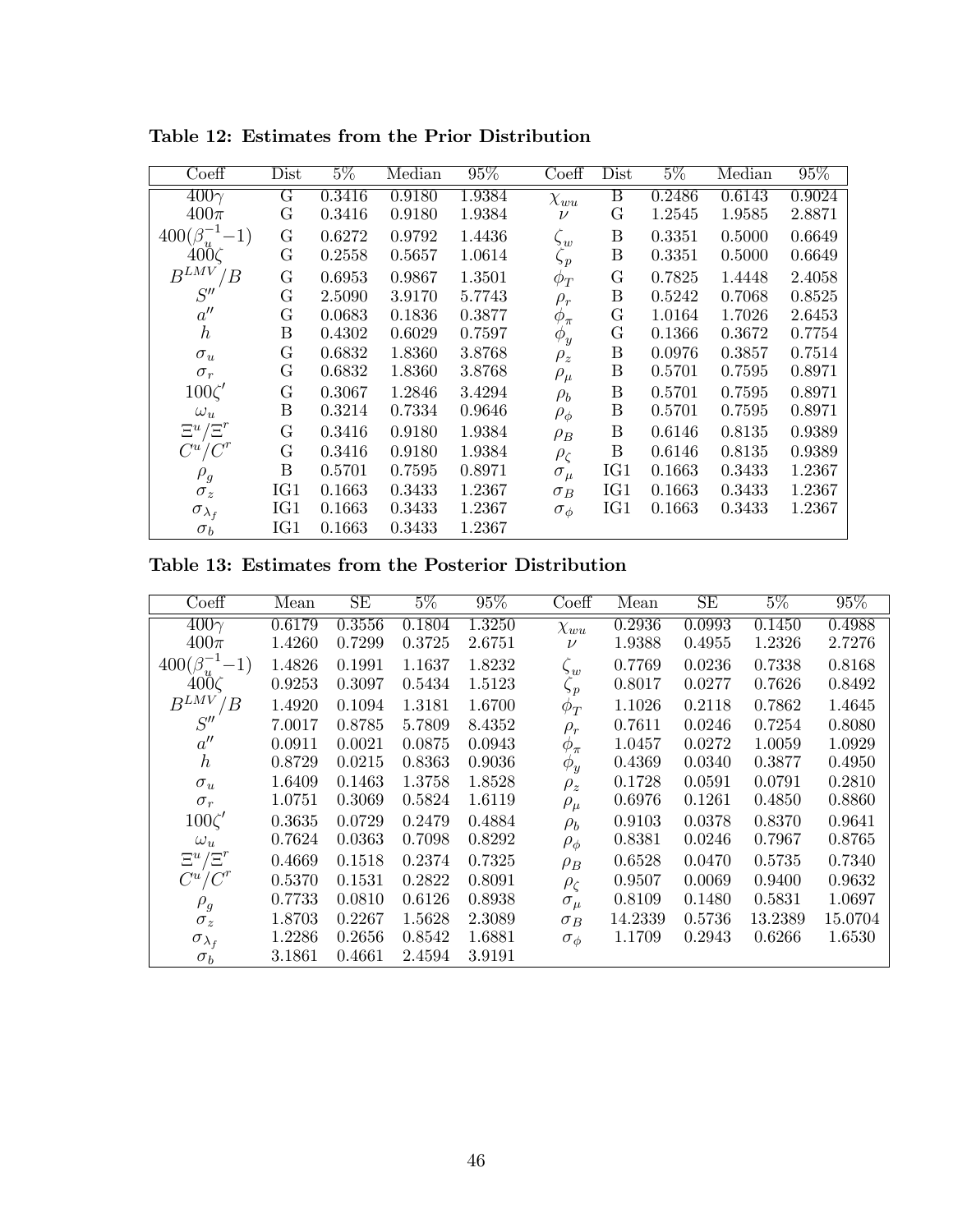| Coeff                     | Dist                    | $5\%$  | Median | $95\%$ | $\overline{\text{Coeff}}$ | Dist                    | $5\%$  | Median | $95\%$ |
|---------------------------|-------------------------|--------|--------|--------|---------------------------|-------------------------|--------|--------|--------|
| $400\gamma$               | $\overline{\mathrm{G}}$ | 0.3416 | 0.9180 | 1.9384 | $\chi_{wu}$               | $\overline{\mathrm{B}}$ | 0.2486 | 0.6143 | 0.9024 |
| $400\pi$                  | G                       | 0.3416 | 0.9180 | 1.9384 | $\nu$                     | G                       | 1.2545 | 1.9585 | 2.8871 |
| $400(\beta_u^{-1}\!-\!1)$ | G                       | 0.6272 | 0.9792 | 1.4436 | $\zeta_w$                 | B                       | 0.3351 | 0.5000 | 0.6649 |
| $400\zeta$                | $\mathbf G$             | 0.2558 | 0.5657 | 1.0614 | $\zeta_p$                 | $\boldsymbol{B}$        | 0.3351 | 0.5000 | 0.6649 |
| $B^{LMV}/B$               | $\mathbf G$             | 0.6953 | 0.9867 | 1.3501 | $\phi_T^{}$               | G                       | 0.7825 | 1.4448 | 2.4058 |
| S''                       | G                       | 2.5090 | 3.9170 | 5.7743 | $\rho_r$                  | Β                       | 0.5242 | 0.7068 | 0.8525 |
| $a^{\prime\prime}$        | G                       | 0.0683 | 0.1836 | 0.3877 | $\phi_{\pi}$              | G                       | 1.0164 | 1.7026 | 2.6453 |
| $\hbar$                   | B                       | 0.4302 | 0.6029 | 0.7597 | $\phi_y$                  | G                       | 0.1366 | 0.3672 | 0.7754 |
| $\sigma_u$                | G                       | 0.6832 | 1.8360 | 3.8768 | $\rho_z$                  | $\boldsymbol{B}$        | 0.0976 | 0.3857 | 0.7514 |
| $\sigma_r$                | $\mathbf G$             | 0.6832 | 1.8360 | 3.8768 | $\rho_\mu$                | $\boldsymbol{B}$        | 0.5701 | 0.7595 | 0.8971 |
| $100\zeta'$               | G                       | 0.3067 | 1.2846 | 3.4294 | $\rho_b$                  | Β                       | 0.5701 | 0.7595 | 0.8971 |
| $\omega_u$                | B                       | 0.3214 | 0.7334 | 0.9646 | $\rho_{\phi}$             | B                       | 0.5701 | 0.7595 | 0.8971 |
| $\Xi^u/\Xi^r$             | G                       | 0.3416 | 0.9180 | 1.9384 | $\rho_B$                  | B                       | 0.6146 | 0.8135 | 0.9389 |
| $C^u/C^r$                 | $\mathbf G$             | 0.3416 | 0.9180 | 1.9384 | $\rho_{\zeta}$            | $\boldsymbol{B}$        | 0.6146 | 0.8135 | 0.9389 |
| $\rho_g$                  | B                       | 0.5701 | 0.7595 | 0.8971 | $\sigma_{\mu}$            | IG1                     | 0.1663 | 0.3433 | 1.2367 |
| $\sigma_z$                | IG1                     | 0.1663 | 0.3433 | 1.2367 | $\sigma_B$                | IG1                     | 0.1663 | 0.3433 | 1.2367 |
| $\sigma_{\lambda_f}$      | IG1                     | 0.1663 | 0.3433 | 1.2367 | $\sigma_{\phi}$           | IG1                     | 0.1663 | 0.3433 | 1.2367 |
| $\sigma_b$                | IG1                     | 0.1663 | 0.3433 | 1.2367 |                           |                         |        |        |        |

Table 12: Estimates from the Prior Distribution

Table 13: Estimates from the Posterior Distribution

| Coeff                     | Mean   | SE     | $5\%$  | $95\%$ | Coeff           | Mean    | SE     | $5\%$   | 95%     |
|---------------------------|--------|--------|--------|--------|-----------------|---------|--------|---------|---------|
| $400\gamma$               | 0.6179 | 0.3556 | 0.1804 | 1.3250 | $\chi_{wu}$     | 0.2936  | 0.0993 | 0.1450  | 0.4988  |
| $400\pi$                  | 1.4260 | 0.7299 | 0.3725 | 2.6751 | $\nu$           | 1.9388  | 0.4955 | 1.2326  | 2.7276  |
| $400(\beta_u^{-1}\!-\!1)$ | 1.4826 | 0.1991 | 1.1637 | 1.8232 | $\zeta_w$       | 0.7769  | 0.0236 | 0.7338  | 0.8168  |
| $400\zeta$                | 0.9253 | 0.3097 | 0.5434 | 1.5123 | $\zeta_p$       | 0.8017  | 0.0277 | 0.7626  | 0.8492  |
| $B^{LMV}/B$               | 1.4920 | 0.1094 | 1.3181 | 1.6700 | $\phi_T$        | 1.1026  | 0.2118 | 0.7862  | 1.4645  |
| S''                       | 7.0017 | 0.8785 | 5.7809 | 8.4352 | $\rho_r$        | 0.7611  | 0.0246 | 0.7254  | 0.8080  |
| $a^{\prime\prime}$        | 0.0911 | 0.0021 | 0.0875 | 0.0943 | $\phi_{\pi}$    | 1.0457  | 0.0272 | 1.0059  | 1.0929  |
| $\hbar$                   | 0.8729 | 0.0215 | 0.8363 | 0.9036 | $\phi_y$        | 0.4369  | 0.0340 | 0.3877  | 0.4950  |
| $\sigma_u$                | 1.6409 | 0.1463 | 1.3758 | 1.8528 | $\rho_z$        | 0.1728  | 0.0591 | 0.0791  | 0.2810  |
| $\sigma_r$                | 1.0751 | 0.3069 | 0.5824 | 1.6119 | $\rho_\mu$      | 0.6976  | 0.1261 | 0.4850  | 0.8860  |
| $100\zeta'$               | 0.3635 | 0.0729 | 0.2479 | 0.4884 | $\rho_b$        | 0.9103  | 0.0378 | 0.8370  | 0.9641  |
| $\omega_u$                | 0.7624 | 0.0363 | 0.7098 | 0.8292 | $\rho_{\phi}$   | 0.8381  | 0.0246 | 0.7967  | 0.8765  |
| $\Xi^u/\Xi^r$             | 0.4669 | 0.1518 | 0.2374 | 0.7325 | $\rho_B$        | 0.6528  | 0.0470 | 0.5735  | 0.7340  |
| $C^u/C^r$                 | 0.5370 | 0.1531 | 0.2822 | 0.8091 | $\rho_{\zeta}$  | 0.9507  | 0.0069 | 0.9400  | 0.9632  |
| $\rho_g$                  | 0.7733 | 0.0810 | 0.6126 | 0.8938 | $\sigma_{\mu}$  | 0.8109  | 0.1480 | 0.5831  | 1.0697  |
| $\sigma_z$                | 1.8703 | 0.2267 | 1.5628 | 2.3089 | $\sigma_B$      | 14.2339 | 0.5736 | 13.2389 | 15.0704 |
| $\sigma_{\lambda_f}$      | 1.2286 | 0.2656 | 0.8542 | 1.6881 | $\sigma_{\phi}$ | 1.1709  | 0.2943 | 0.6266  | 1.6530  |
| $\sigma_b$                | 3.1861 | 0.4661 | 2.4594 | 3.9191 |                 |         |        |         |         |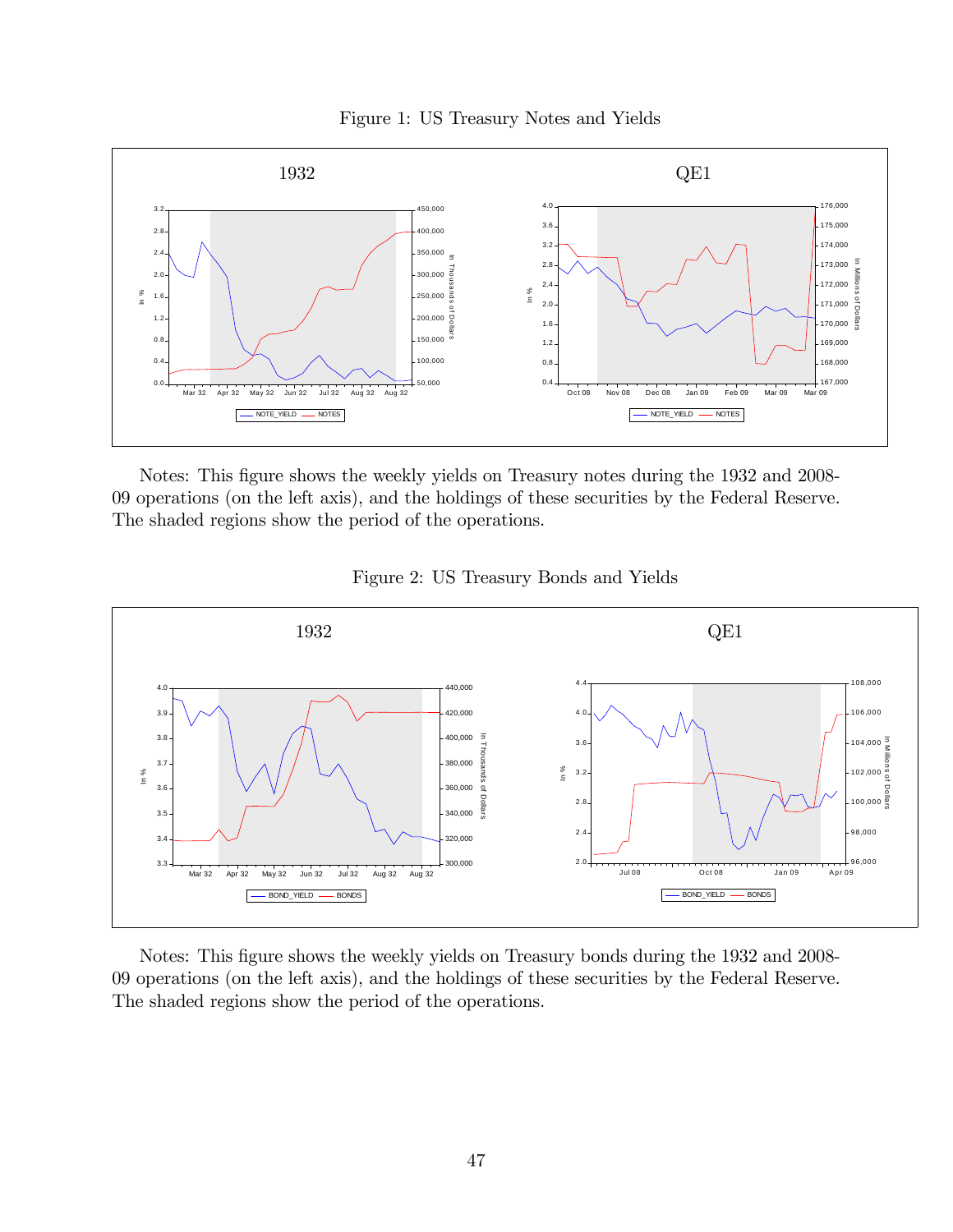



Notes: This figure shows the weekly yields on Treasury notes during the 1932 and 2008-09 operations (on the left axis), and the holdings of these securities by the Federal Reserve. The shaded regions show the period of the operations.





Notes: This figure shows the weekly yields on Treasury bonds during the 1932 and 2008-09 operations (on the left axis), and the holdings of these securities by the Federal Reserve. The shaded regions show the period of the operations.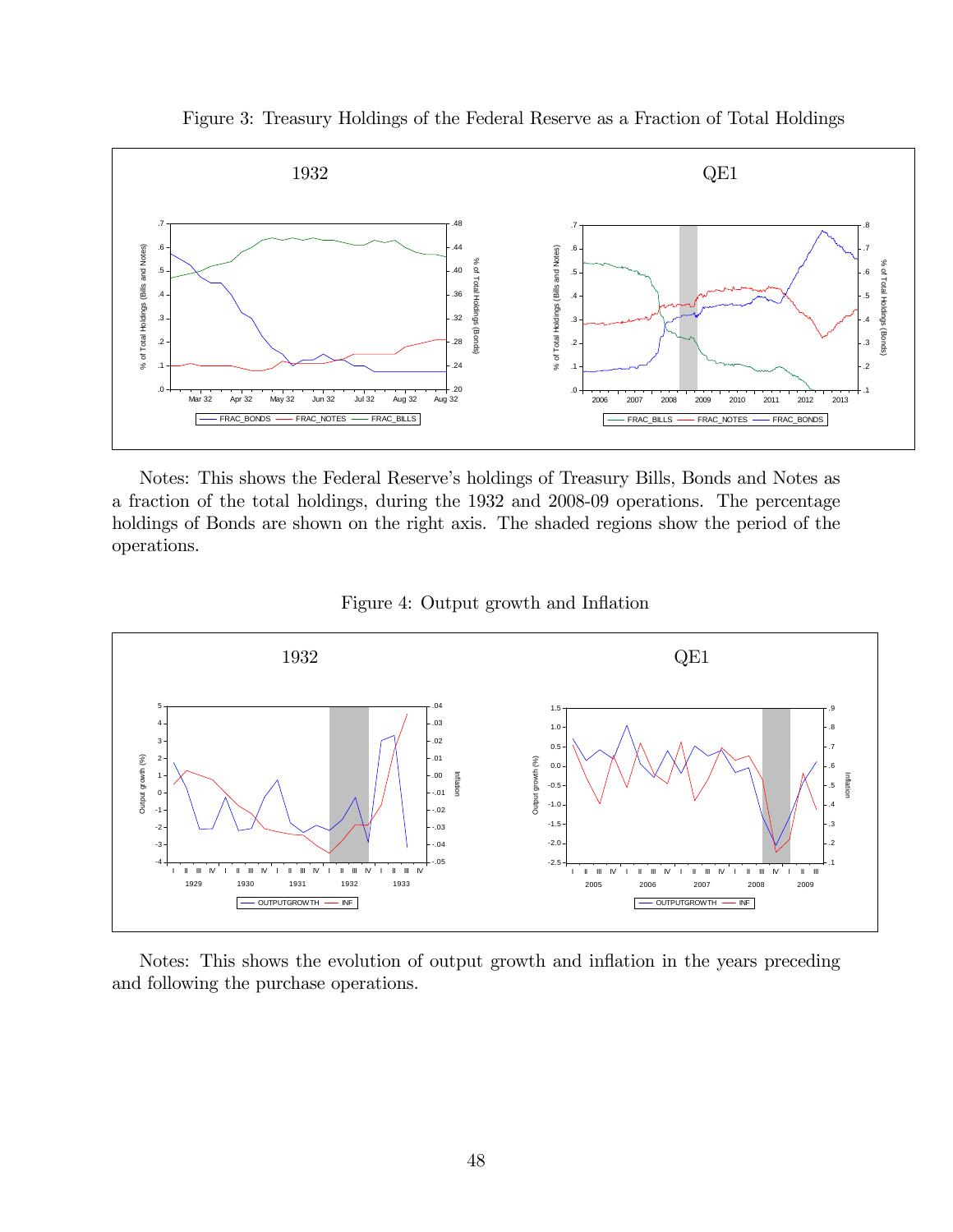Figure 3: Treasury Holdings of the Federal Reserve as a Fraction of Total Holdings



Notes: This shows the Federal Reserve's holdings of Treasury Bills, Bonds and Notes as a fraction of the total holdings, during the 1932 and 2008-09 operations. The percentage holdings of Bonds are shown on the right axis. The shaded regions show the period of the operations.





Notes: This shows the evolution of output growth and inflation in the years preceding and following the purchase operations.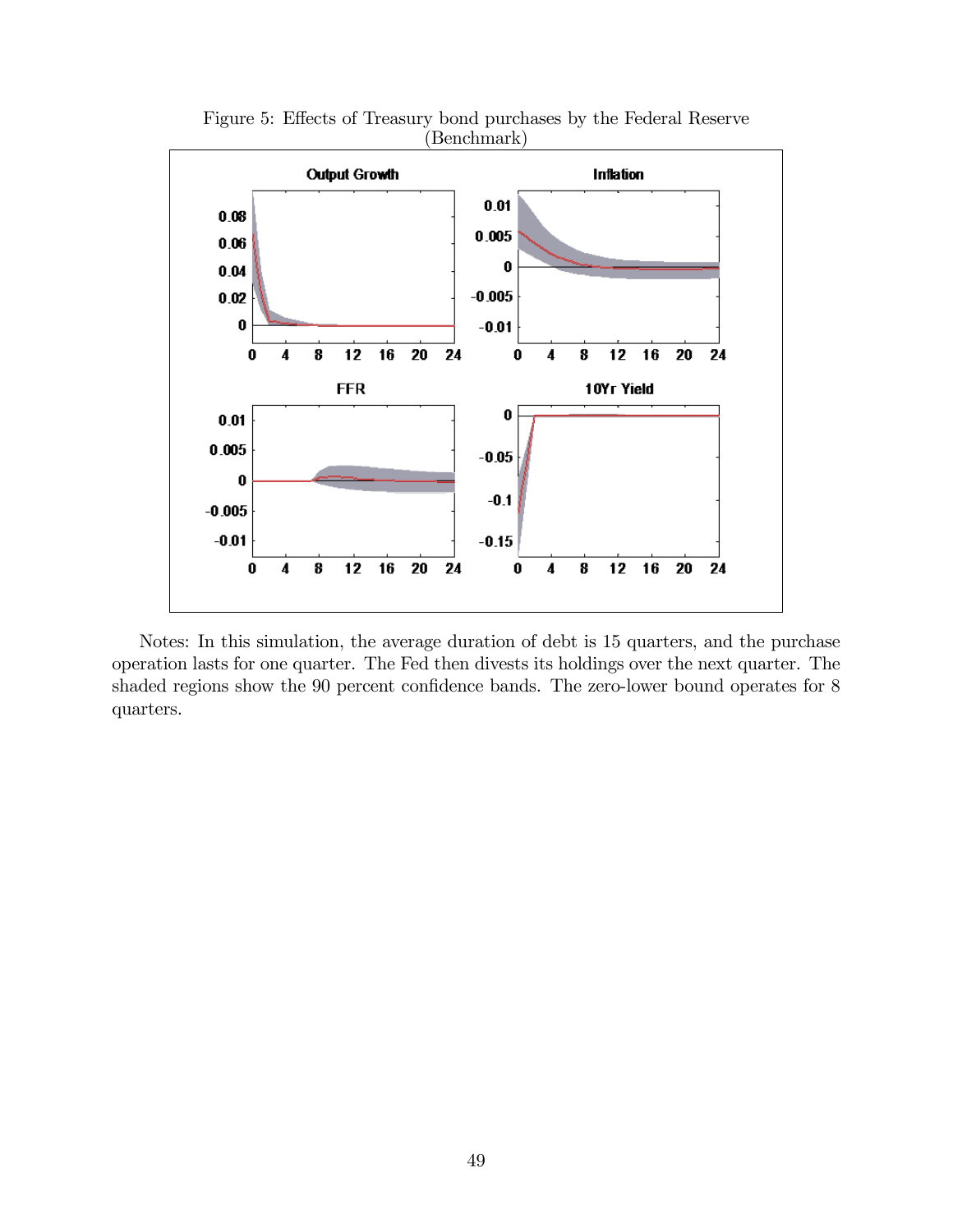

Figure 5: Effects of Treasury bond purchases by the Federal Reserve (Benchmark)

Notes: In this simulation, the average duration of debt is 15 quarters, and the purchase operation lasts for one quarter. The Fed then divests its holdings over the next quarter. The shaded regions show the  $90$  percent confidence bands. The zero-lower bound operates for  $8$ quarters.